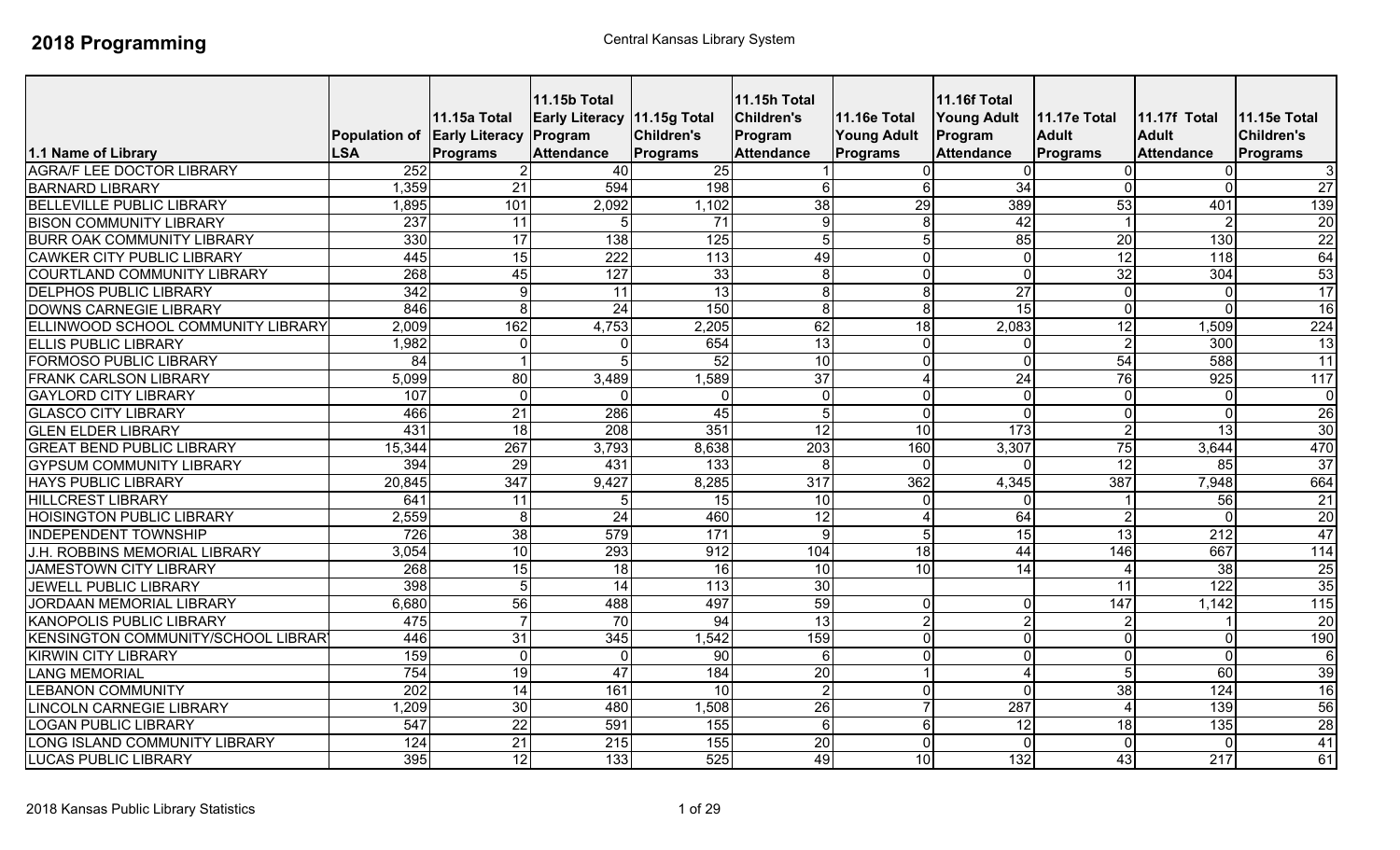| 1.1 Name of Library                                               | Population of Early Literacy Program<br><b>LSA</b> | 11.15a Total<br>Programs | <b>11.15b Total</b><br>Early Literacy 11.15g Total<br><b>Attendance</b> | <b>Children's</b><br><b>Programs</b> | <b>11.15h Total</b><br><b>Children's</b><br>Program<br><b>Attendance</b> | <b>11.16e Total</b><br><b>Young Adult</b><br>Programs | <b>11.16f Total</b><br><b>Young Adult</b><br>Program<br><b>Attendance</b> | 11.17e Total<br><b>Adult</b><br><b>Programs</b> | <b>11.17f Total</b><br><b>Adult</b><br><b>Attendance</b> | 11.15e Total<br><b>Children's</b><br><b>Programs</b> |
|-------------------------------------------------------------------|----------------------------------------------------|--------------------------|-------------------------------------------------------------------------|--------------------------------------|--------------------------------------------------------------------------|-------------------------------------------------------|---------------------------------------------------------------------------|-------------------------------------------------|----------------------------------------------------------|------------------------------------------------------|
| <b>AGRA/F LEE DOCTOR LIBRARY</b>                                  | 252                                                |                          | 40                                                                      | 25                                   |                                                                          |                                                       |                                                                           |                                                 | $\Omega$                                                 |                                                      |
| <b>BARNARD LIBRARY</b>                                            | 1,359                                              | $\overline{21}$          | 594                                                                     | 198                                  |                                                                          | 6                                                     | $\overline{34}$                                                           |                                                 | $\overline{0}$                                           | $\mathbf{3}$<br>27                                   |
| <b>BELLEVILLE PUBLIC LIBRARY</b>                                  | 1,895                                              | 101                      |                                                                         |                                      | 6<br>38                                                                  | 29                                                    | 389                                                                       | 53                                              | 401                                                      | 139                                                  |
| <b>BISON COMMUNITY LIBRARY</b>                                    | 237                                                | $\overline{11}$          | 2,092<br>5                                                              | 1,102<br>71                          | $\overline{9}$                                                           | 8                                                     | 42                                                                        |                                                 | $\overline{2}$                                           | 20                                                   |
| <b>BURR OAK COMMUNITY LIBRARY</b>                                 | 330                                                | 17                       | 138                                                                     | 125                                  | 5                                                                        |                                                       | $\overline{85}$                                                           | $\overline{20}$                                 | 130                                                      | $\overline{22}$                                      |
| <b>CAWKER CITY PUBLIC LIBRARY</b>                                 | 445                                                | $\overline{15}$          | 222                                                                     | 113                                  | 49                                                                       |                                                       | $\overline{0}$                                                            |                                                 | $\overline{118}$                                         | 64                                                   |
| <b>COURTLAND COMMUNITY LIBRARY</b>                                | 268                                                |                          | 127                                                                     |                                      |                                                                          | $\Omega$                                              | $\Omega$                                                                  | 12                                              | 304                                                      | 53                                                   |
|                                                                   | 342                                                | 45<br>9                  | 11                                                                      | 33                                   | 8                                                                        | 8                                                     | 27                                                                        | 32<br>∩                                         |                                                          | 17                                                   |
| <b>DELPHOS PUBLIC LIBRARY</b><br>DOWNS CARNEGIE LIBRARY           | 846                                                |                          | $\overline{24}$                                                         | 13<br>150                            | 8<br>8                                                                   | 8                                                     | 15                                                                        | $\Omega$                                        | $\overline{0}$<br>$\mathbf 0$                            | 16                                                   |
|                                                                   | 2,009                                              | 8<br>162                 | 4,753                                                                   |                                      | 62                                                                       |                                                       |                                                                           |                                                 |                                                          |                                                      |
| ELLINWOOD SCHOOL COMMUNITY LIBRARY<br><b>ELLIS PUBLIC LIBRARY</b> | 1,982                                              | $\mathbf 0$              | O                                                                       | 2,205<br>654                         | $\overline{13}$                                                          | $\overline{18}$<br>$\Omega$                           | 2,083<br>$\Omega$                                                         | $\overline{12}$<br>C.                           | 1,509<br>$\overline{300}$                                | 224<br>13                                            |
| <b>FORMOSO PUBLIC LIBRARY</b>                                     | 84                                                 |                          | 5                                                                       | $\overline{52}$                      | 10                                                                       | $\Omega$                                              | $\Omega$                                                                  | 54                                              | 588                                                      | 11                                                   |
| <b>FRANK CARLSON LIBRARY</b>                                      | 5,099                                              | $\overline{80}$          | 3,489                                                                   | ,589                                 | $\overline{37}$                                                          | 4                                                     | 24                                                                        | 76                                              | 925                                                      | 117                                                  |
| <b>GAYLORD CITY LIBRARY</b>                                       | 107                                                | $\mathbf{0}$             | ∩                                                                       |                                      | $\mathbf{0}$                                                             | $\Omega$                                              | $\mathbf{0}$                                                              | $\Omega$                                        | $\overline{0}$                                           | $\overline{0}$                                       |
| <b>GLASCO CITY LIBRARY</b>                                        | 466                                                | $\overline{21}$          | 286                                                                     | 45                                   | 5                                                                        | $\Omega$                                              | $\Omega$                                                                  | ∩                                               | $\mathbf 0$                                              | 26                                                   |
| <b>GLEN ELDER LIBRARY</b>                                         | 431                                                | 18                       | 208                                                                     | 351                                  | $\overline{12}$                                                          | $\overline{10}$                                       | 173                                                                       | 2                                               | 13                                                       | 30                                                   |
| <b>GREAT BEND PUBLIC LIBRARY</b>                                  | 15,344                                             | 267                      | 3,793                                                                   | 8,638                                | 203                                                                      | 160                                                   | 3,307                                                                     | 75                                              | 3,644                                                    | 470                                                  |
| <b>GYPSUM COMMUNITY LIBRARY</b>                                   | 394                                                | 29                       | 431                                                                     | 133                                  | 8                                                                        | $\Omega$                                              | $\Omega$                                                                  | $\overline{12}$                                 | $\overline{85}$                                          | 37                                                   |
| <b>HAYS PUBLIC LIBRARY</b>                                        | 20,845                                             | 347                      | 9,427                                                                   | 8,285                                | 317                                                                      | 362                                                   | 4,345                                                                     | 387                                             | 7,948                                                    | 664                                                  |
| <b>HILLCREST LIBRARY</b>                                          | 641                                                | 11                       | 5                                                                       | 15                                   | 10                                                                       | $\Omega$                                              | $\Omega$                                                                  |                                                 | 56                                                       | 21                                                   |
| <b>HOISINGTON PUBLIC LIBRARY</b>                                  | 2,559                                              | 8                        | $\overline{24}$                                                         | 460                                  | 12                                                                       | 4                                                     | 64                                                                        |                                                 | $\Omega$                                                 | 20                                                   |
| <b>INDEPENDENT TOWNSHIP</b>                                       | 726                                                | $\overline{38}$          | 579                                                                     | 171                                  | 9                                                                        |                                                       | 15                                                                        | 13                                              | 212                                                      | 47                                                   |
| J.H. ROBBINS MEMORIAL LIBRARY                                     | 3,054                                              | 10                       | 293                                                                     | 912                                  | 104                                                                      | 18                                                    | 44                                                                        | 146                                             | 667                                                      | 114                                                  |
| JAMESTOWN CITY LIBRARY                                            | 268                                                | $\overline{15}$          | 18                                                                      | 16                                   | 10                                                                       | $\overline{10}$                                       | 14                                                                        |                                                 | 38                                                       | 25                                                   |
| <b>JEWELL PUBLIC LIBRARY</b>                                      | 398                                                | 5                        | 14                                                                      | 113                                  | 30                                                                       |                                                       |                                                                           | 11                                              | 122                                                      | 35                                                   |
| <b>JORDAAN MEMORIAL LIBRARY</b>                                   | 6,680                                              | 56                       | 488                                                                     | 497                                  | 59                                                                       | $\Omega$                                              | $\overline{0}$                                                            | 147                                             | 1,142                                                    | $\overline{115}$                                     |
| <b>KANOPOLIS PUBLIC LIBRARY</b>                                   | 475                                                |                          | 70                                                                      | 94                                   | 13                                                                       | 2                                                     | $\overline{2}$                                                            |                                                 |                                                          | 20                                                   |
| <b>KENSINGTON COMMUNITY/SCHOOL LIBRAR</b>                         | 446                                                | $\overline{31}$          | 345                                                                     | 1,542                                | 159                                                                      | $\Omega$                                              | $\mathbf{0}$                                                              | $\Omega$                                        | $\overline{0}$                                           | 190                                                  |
| <b>KIRWIN CITY LIBRARY</b>                                        | 159                                                | $\Omega$                 | $\Omega$                                                                | 90                                   | 6                                                                        | $\Omega$                                              | $\Omega$                                                                  | ∩                                               | $\overline{0}$                                           | $6 \mid$                                             |
| <b>LANG MEMORIAL</b>                                              | 754                                                | 19                       | 47                                                                      | 184                                  | 20                                                                       |                                                       | $\overline{4}$                                                            |                                                 | 60                                                       | 39                                                   |
| <b>LEBANON COMMUNITY</b>                                          | $\overline{202}$                                   | 14                       | 161                                                                     | 10                                   | $\overline{2}$                                                           | $\Omega$                                              | $\Omega$                                                                  | $\overline{38}$                                 | 124                                                      | 16                                                   |
| <b>LINCOLN CARNEGIE LIBRARY</b>                                   | 1,209                                              | 30                       | 480                                                                     | 1,508                                | 26                                                                       |                                                       | 287                                                                       | $\lambda$                                       | 139                                                      | 56                                                   |
| <b>LOGAN PUBLIC LIBRARY</b>                                       | 547                                                | $\overline{22}$          | 591                                                                     | 155                                  | $6\phantom{1}6$                                                          | 6                                                     | 12                                                                        | $\overline{18}$                                 | 135                                                      | 28                                                   |
| LONG ISLAND COMMUNITY LIBRARY                                     | 124                                                | 21                       | 215                                                                     | 155                                  | 20                                                                       | $\Omega$                                              | $\Omega$                                                                  | $\Omega$                                        | $\Omega$                                                 | 41                                                   |
| <b>LUCAS PUBLIC LIBRARY</b>                                       | 395                                                | 12                       | 133                                                                     | 525                                  | 49                                                                       | 10                                                    | 132                                                                       | 43                                              | 217                                                      | 61                                                   |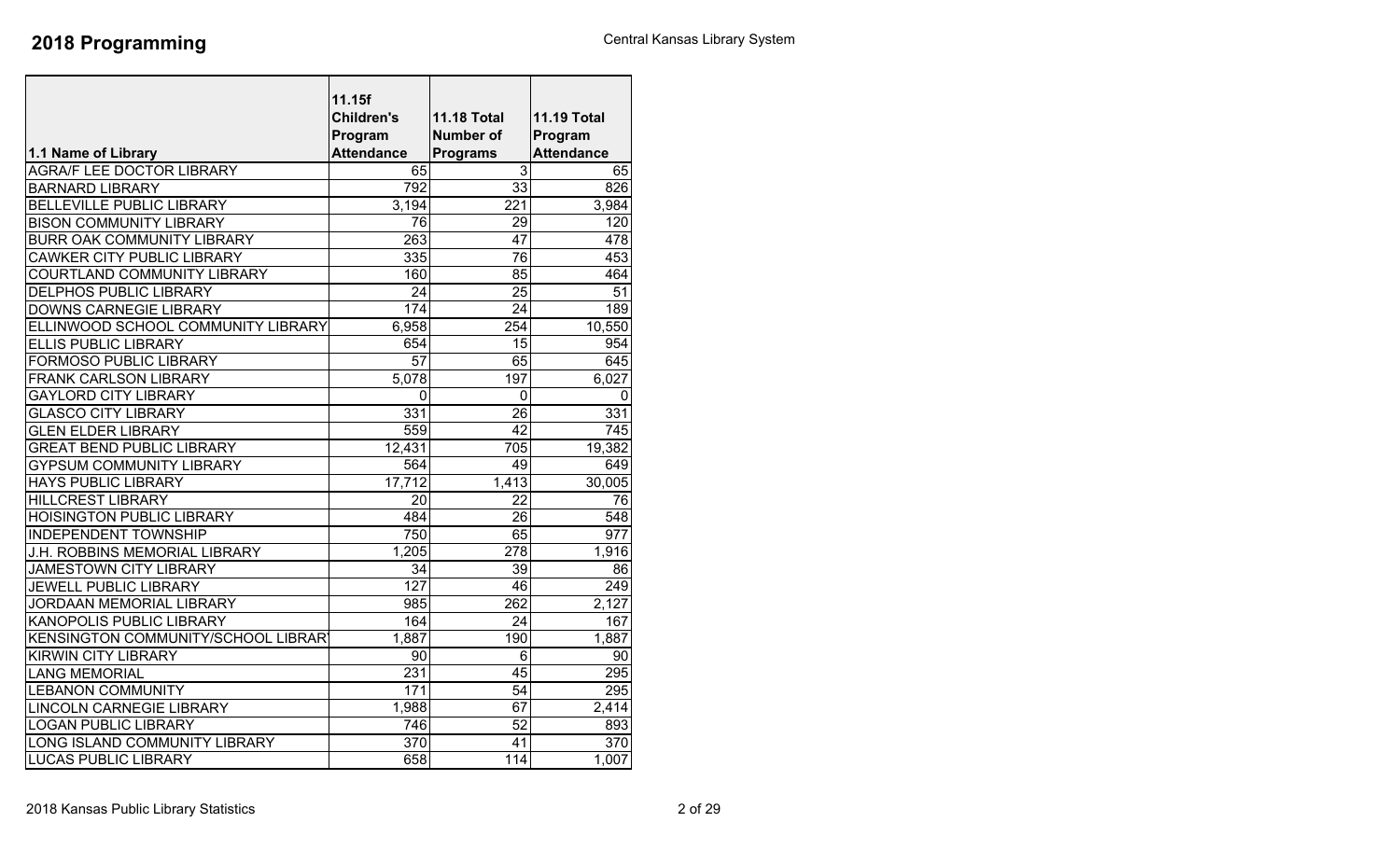|                                      | 11.15f            |                    |                    |
|--------------------------------------|-------------------|--------------------|--------------------|
|                                      | <b>Children's</b> | <b>11.18 Total</b> | <b>11.19 Total</b> |
|                                      | Program           | <b>Number of</b>   | Program            |
| 1.1 Name of Library                  | <b>Attendance</b> | <b>Programs</b>    | <b>Attendance</b>  |
| <b>AGRA/F LEE DOCTOR LIBRARY</b>     | 65                | 3                  | 65                 |
| <b>BARNARD LIBRARY</b>               | 792               | 33                 | 826                |
| <b>BELLEVILLE PUBLIC LIBRARY</b>     | 3,194             | 221                | 3,984              |
| <b>BISON COMMUNITY LIBRARY</b>       | 76                | $\overline{29}$    | 120                |
| BURR OAK COMMUNITY LIBRARY           | 263               | 47                 | 478                |
| <b>CAWKER CITY PUBLIC LIBRARY</b>    | 335               | 76                 | 453                |
| COURTLAND COMMUNITY LIBRARY          | 160               | 85                 | 464                |
| <b>DELPHOS PUBLIC LIBRARY</b>        | 24                | 25                 | 51                 |
| DOWNS CARNEGIE LIBRARY               | 174               | 24                 | 189                |
| ELLINWOOD SCHOOL COMMUNITY LIBRARY   | 6,958             | 254                | 10,550             |
| <b>ELLIS PUBLIC LIBRARY</b>          | 654               | 15                 | 954                |
| FORMOSO PUBLIC LIBRARY               | $\overline{57}$   | 65                 | 645                |
| <b>FRANK CARLSON LIBRARY</b>         | 5,078             | 197                | 6,027              |
| <b>GAYLORD CITY LIBRARY</b>          | 0                 | 0                  | 0                  |
| <b>GLASCO CITY LIBRARY</b>           | 331               | 26                 | 331                |
| <b>GLEN ELDER LIBRARY</b>            | 559               | 42                 | 745                |
| <b>GREAT BEND PUBLIC LIBRARY</b>     | 12,431            | 705                | 19,382             |
| <b>GYPSUM COMMUNITY LIBRARY</b>      | 564               | 49                 | 649                |
| <b>HAYS PUBLIC LIBRARY</b>           | 17,712            | 1,413              | 30,005             |
| <b>HILLCREST LIBRARY</b>             | 20                | 22                 | 76                 |
| <b>HOISINGTON PUBLIC LIBRARY</b>     | 484               | 26                 | 548                |
| <b>INDEPENDENT TOWNSHIP</b>          | 750               | 65                 | 977                |
| <b>J.H. ROBBINS MEMORIAL LIBRARY</b> | 1,205             | 278                | 1,916              |
| <b>JAMESTOWN CITY LIBRARY</b>        | 34                | 39                 | 86                 |
| <b>JEWELL PUBLIC LIBRARY</b>         | $\overline{127}$  | 46                 | 249                |
| JORDAAN MEMORIAL LIBRARY             | 985               | 262                | 2,127              |
| KANOPOLIS PUBLIC LIBRARY             | 164               | 24                 | 167                |
| KENSINGTON COMMUNITY/SCHOOL LIBRAR   | 1,887             | 190                | 1,887              |
| <b>KIRWIN CITY LIBRARY</b>           | 90                | 6                  | 90                 |
| <b>LANG MEMORIAL</b>                 | 231               | 45                 | 295                |
| <b>LEBANON COMMUNITY</b>             | 171               | $\overline{54}$    | $\overline{295}$   |
| <b>LINCOLN CARNEGIE LIBRARY</b>      | 1,988             | 67                 | 2,414              |
| <b>LOGAN PUBLIC LIBRARY</b>          | 746               | 52                 | 893                |
| LONG ISLAND COMMUNITY LIBRARY        | 370               | 41                 | 370                |
| <b>LUCAS PUBLIC LIBRARY</b>          | 658               | 114                | 1,007              |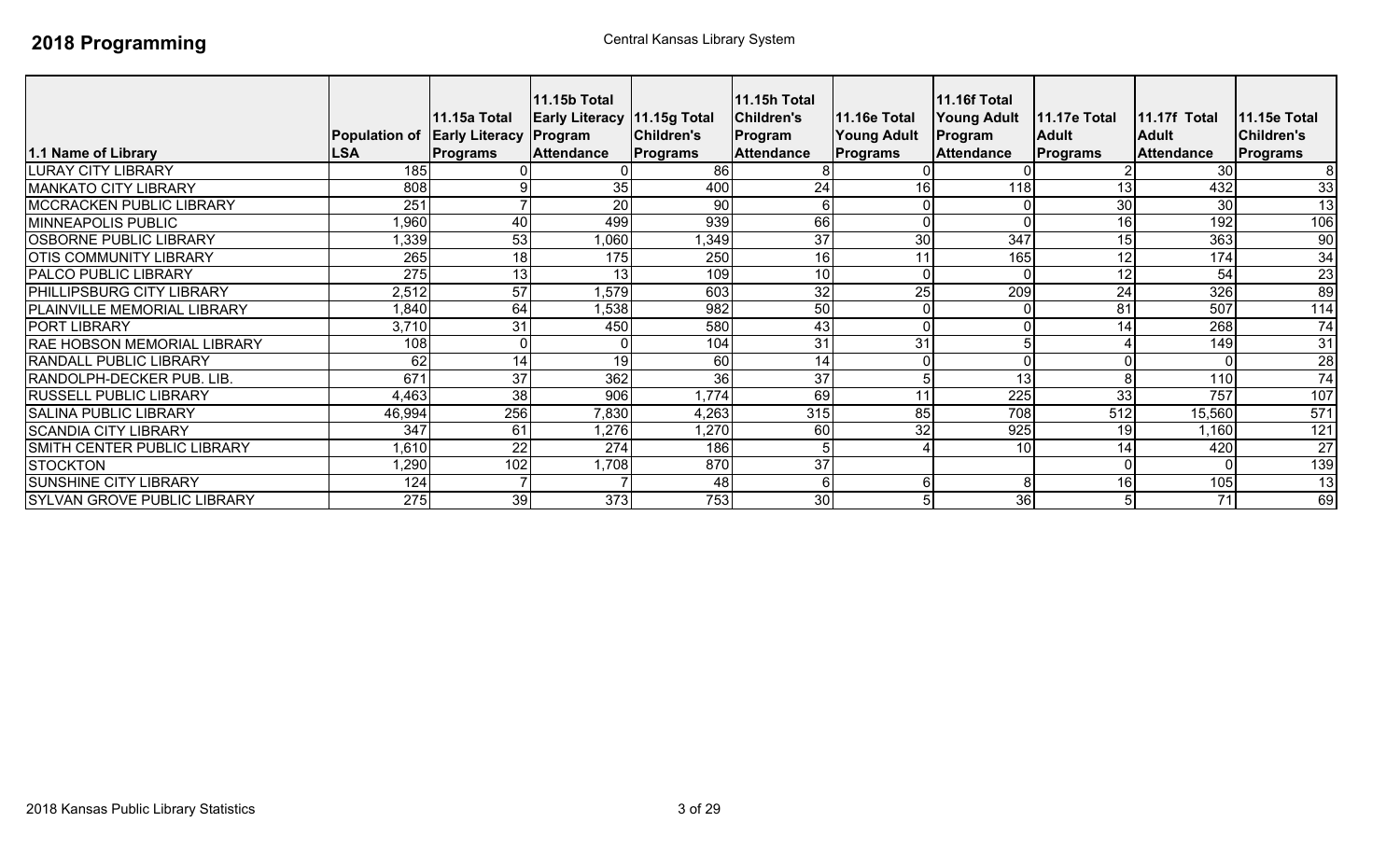| 1.1 Name of Library                | <b>LSA</b> | 11.15a Total<br>Population of Early Literacy Program<br><b>Programs</b> | 11.15b Total<br><b>Early Literacy 11.15g Total</b><br><b>Attendance</b> | <b>Children's</b><br>Programs | 11.15h Total<br><b>Children's</b><br>Program<br><b>Attendance</b> | <b>11.16e Total</b><br><b>Young Adult</b><br>Programs | <b>11.16f Total</b><br><b>Young Adult</b><br>Program<br><b>Attendance</b> | <b>11.17e Total</b><br><b>Adult</b><br><b>Programs</b> | 11.17f Total<br><b>Adult</b><br><b>Attendance</b> | <b>11.15e Total</b><br><b>Children's</b><br>Programs |
|------------------------------------|------------|-------------------------------------------------------------------------|-------------------------------------------------------------------------|-------------------------------|-------------------------------------------------------------------|-------------------------------------------------------|---------------------------------------------------------------------------|--------------------------------------------------------|---------------------------------------------------|------------------------------------------------------|
| LURAY CITY LIBRARY                 | 185        |                                                                         |                                                                         | 86                            |                                                                   |                                                       |                                                                           |                                                        | 30                                                |                                                      |
| <b>MANKATO CITY LIBRARY</b>        | 808        |                                                                         | 35                                                                      | 400                           | 24                                                                | 16                                                    | 118                                                                       | 13                                                     | 432                                               | 33                                                   |
| <b>MCCRACKEN PUBLIC LIBRARY</b>    | 251        |                                                                         | 20                                                                      | 90                            | 6                                                                 |                                                       |                                                                           | 30                                                     | 30                                                | $\overline{13}$                                      |
| MINNEAPOLIS PUBLIC                 | .960       | 40                                                                      | 499                                                                     | 939                           | 66                                                                |                                                       |                                                                           | 16                                                     | 192                                               | 106                                                  |
| <b>OSBORNE PUBLIC LIBRARY</b>      | ,339       | 53                                                                      | 1,060                                                                   | ,349                          | 37                                                                | 30                                                    | 347                                                                       | 15                                                     | 363                                               | 90                                                   |
| <b>OTIS COMMUNITY LIBRARY</b>      | 265        | 18                                                                      | 175                                                                     | 250                           | 16                                                                | 11                                                    | 165                                                                       | 12                                                     | 174                                               | 34                                                   |
| <b>PALCO PUBLIC LIBRARY</b>        | 275        | 13                                                                      | 13                                                                      | 109                           | 10                                                                | $\Omega$                                              |                                                                           | 12                                                     | 54                                                | $\overline{23}$                                      |
| <b>PHILLIPSBURG CITY LIBRARY</b>   | 2,512      | $\overline{57}$                                                         | ,579                                                                    | 603                           | 32                                                                | 25                                                    | 209                                                                       | 24                                                     | 326                                               | 89                                                   |
| PLAINVILLE MEMORIAL LIBRARY        | 1,840      | 64                                                                      | 1,538                                                                   | 982                           | 50                                                                |                                                       |                                                                           | 81                                                     | 507                                               | 114                                                  |
| <b>PORT LIBRARY</b>                | 3,710      | 31                                                                      | 450                                                                     | 580                           | 43                                                                |                                                       |                                                                           | 14                                                     | 268                                               | 74                                                   |
| <b>RAE HOBSON MEMORIAL LIBRARY</b> | 108        | $\overline{0}$                                                          |                                                                         | 104                           | 31                                                                | 31                                                    |                                                                           |                                                        | 149                                               | 31                                                   |
| <b>RANDALL PUBLIC LIBRARY</b>      | 62         | 14                                                                      | 19                                                                      | 60                            | 14                                                                |                                                       |                                                                           |                                                        |                                                   | 28                                                   |
| RANDOLPH-DECKER PUB. LIB.          | 671        | 37                                                                      | 362                                                                     | 36                            | 37                                                                | 5                                                     | 13                                                                        |                                                        | 110                                               | $\overline{74}$                                      |
| <b>RUSSELL PUBLIC LIBRARY</b>      | 4,463      | 38                                                                      | 906                                                                     | 1,774                         | 69                                                                | 11                                                    | $\overline{225}$                                                          | 33                                                     | $\overline{757}$                                  | 107                                                  |
| <b>SALINA PUBLIC LIBRARY</b>       | 46,994     | 256                                                                     | 7,830                                                                   | 4,263                         | 315                                                               | 85                                                    | 708                                                                       | 512                                                    | 15,560                                            | 571                                                  |
| <b>SCANDIA CITY LIBRARY</b>        | 347        | 61                                                                      | 1,276                                                                   | 1,270                         | 60                                                                | 32                                                    | 925                                                                       | 19                                                     | 1,160                                             | $\overline{121}$                                     |
| SMITH CENTER PUBLIC LIBRARY        | 1,610      | 22                                                                      | $\overline{274}$                                                        | 186                           |                                                                   |                                                       | 10                                                                        | 14                                                     | 420                                               | $\overline{27}$                                      |
| <b>STOCKTON</b>                    | ,290       | 102                                                                     | 1,708                                                                   | 870                           | 37                                                                |                                                       |                                                                           |                                                        |                                                   | 139                                                  |
| <b>SUNSHINE CITY LIBRARY</b>       | 124        |                                                                         |                                                                         | 48                            | 6                                                                 | 6                                                     | 8                                                                         | 16                                                     | 105                                               | $\overline{13}$                                      |
| <b>SYLVAN GROVE PUBLIC LIBRARY</b> | 275        | 39                                                                      | 373                                                                     | 753                           | 30                                                                | 5                                                     | 36                                                                        |                                                        | 71                                                | 69                                                   |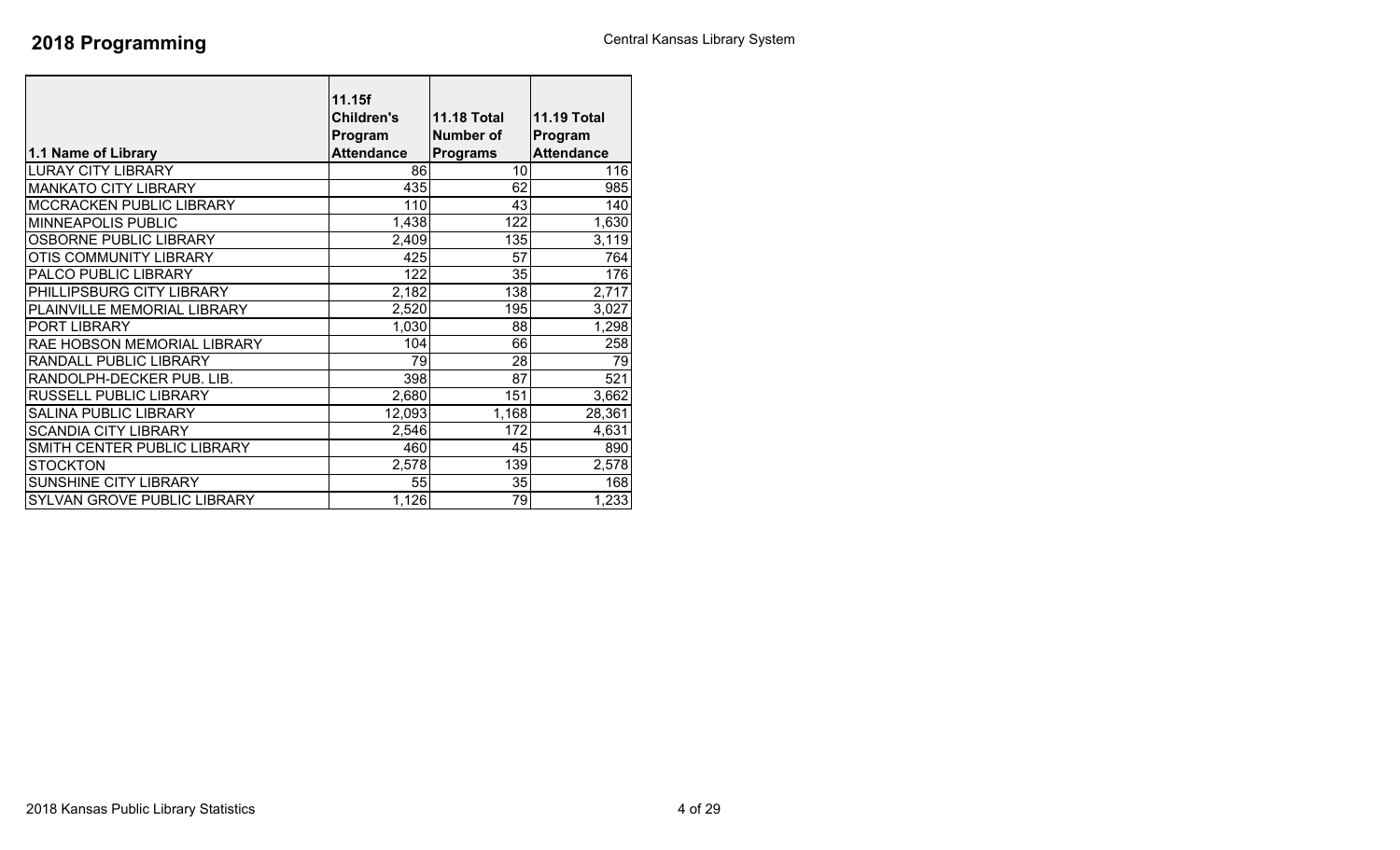| 1.1 Name of Library          | 11.15f<br><b>Children's</b><br>Program<br><b>Attendance</b> | <b>11.18 Total</b><br><b>Number of</b><br><b>Programs</b> | <b>11.19 Total</b><br>Program<br><b>Attendance</b> |
|------------------------------|-------------------------------------------------------------|-----------------------------------------------------------|----------------------------------------------------|
| <b>LURAY CITY LIBRARY</b>    | 86                                                          | 10                                                        | 116                                                |
| <b>MANKATO CITY LIBRARY</b>  | 435                                                         | 62                                                        | 985                                                |
| MCCRACKEN PUBLIC LIBRARY     | 110                                                         | 43                                                        | 140                                                |
| MINNEAPOLIS PUBLIC           | 1,438                                                       | 122                                                       | 1,630                                              |
| OSBORNE PUBLIC LIBRARY       | 2,409                                                       | 135                                                       | 3,119                                              |
| OTIS COMMUNITY LIBRARY       | 425                                                         | 57                                                        | 764                                                |
| PALCO PUBLIC LIBRARY         | 122                                                         | 35                                                        | 176                                                |
| PHILLIPSBURG CITY LIBRARY    | 2,182                                                       | 138                                                       | 2,717                                              |
| PLAINVILLE MEMORIAL LIBRARY  | 2,520                                                       | 195                                                       | 3,027                                              |
| PORT LIBRARY                 | 1,030                                                       | 88                                                        | 1,298                                              |
| RAE HOBSON MEMORIAL LIBRARY  | 104                                                         | 66                                                        | 258                                                |
| RANDALL PUBLIC LIBRARY       | 79                                                          | 28                                                        | 79                                                 |
| RANDOLPH-DECKER PUB. LIB.    | 398                                                         | 87                                                        | 521                                                |
| RUSSELL PUBLIC LIBRARY       | 2,680                                                       | 151                                                       | 3,662                                              |
| <b>SALINA PUBLIC LIBRARY</b> | 12,093                                                      | 1,168                                                     | 28,361                                             |
| <b>SCANDIA CITY LIBRARY</b>  | 2,546                                                       | 172                                                       | 4,631                                              |
| SMITH CENTER PUBLIC LIBRARY  | 460                                                         | 45                                                        | 890                                                |
| <b>STOCKTON</b>              | 2,578                                                       | 139                                                       | 2,578                                              |
| SUNSHINE CITY LIBRARY        | 55                                                          | 35                                                        | 168                                                |
| SYLVAN GROVE PUBLIC LIBRARY  | 1,126                                                       | 79                                                        | 1,233                                              |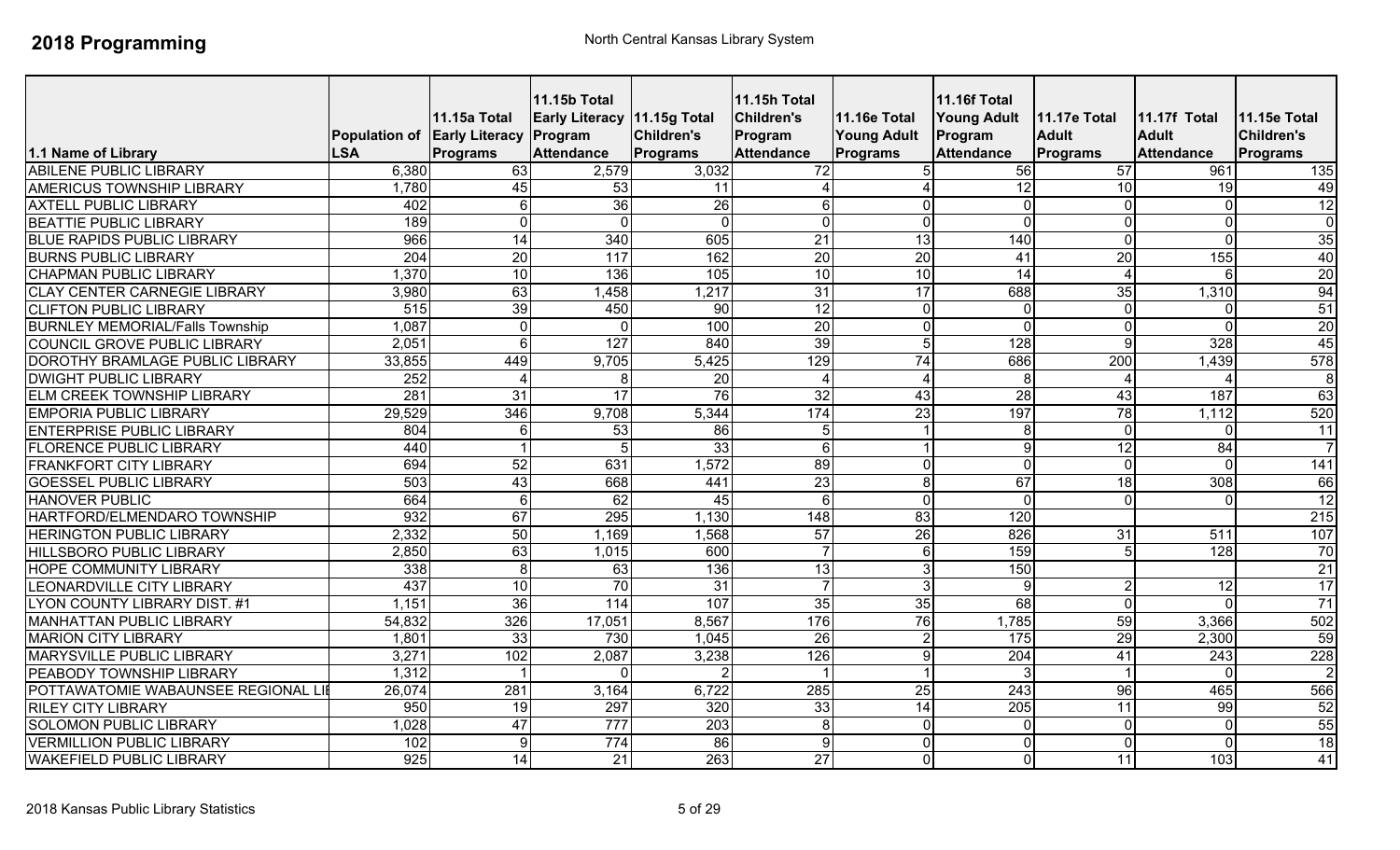|                                        | Population of Early Literacy Program | <b>11.15a Total</b>              | <b>11.15b Total</b><br>Early Literacy 11.15g Total | Children's                  | <b>11.15h Total</b><br><b>Children's</b><br>Program<br><b>Attendance</b> | 11.16e Total<br><b>Young Adult</b> | 11.16f Total<br><b>Young Adult</b><br>Program | 11.17e Total<br><b>Adult</b> | <b>11.17f Total</b><br><b>Adult</b><br><b>Attendance</b> | 11.15e Total<br><b>Children's</b> |
|----------------------------------------|--------------------------------------|----------------------------------|----------------------------------------------------|-----------------------------|--------------------------------------------------------------------------|------------------------------------|-----------------------------------------------|------------------------------|----------------------------------------------------------|-----------------------------------|
| 1.1 Name of Library                    | <b>LSA</b>                           | <b>Programs</b>                  | <b>Attendance</b>                                  | Programs                    |                                                                          | Programs                           | <b>Attendance</b>                             | <b>Programs</b>              |                                                          | Programs                          |
| <b>ABILENE PUBLIC LIBRARY</b>          | 6,380                                | 63                               | 2,579                                              | 3,032                       | 72                                                                       |                                    | 56                                            | 57                           | 961                                                      | 135                               |
| AMERICUS TOWNSHIP LIBRARY              | 1,780                                | 45                               | 53                                                 | 11                          |                                                                          |                                    | $\overline{12}$                               | 10                           | 19                                                       | 49                                |
| <b>AXTELL PUBLIC LIBRARY</b>           | 402<br>189                           | 6 <sup>1</sup><br>$\overline{0}$ | 36                                                 | $\overline{26}$<br>$\Omega$ | $6\phantom{.}$<br>$\overline{\mathsf{o}}$                                | $\overline{0}$<br>$\overline{0}$   | $\overline{0}$<br>$\overline{0}$              | $\Omega$<br>$\Omega$         | $\overline{0}$<br>$\overline{\mathsf{o}}$                | 12<br>$\overline{0}$              |
| <b>BEATTIE PUBLIC LIBRARY</b>          | 966                                  |                                  | $\overline{0}$                                     |                             |                                                                          |                                    |                                               | $\Omega$                     |                                                          |                                   |
| <b>BLUE RAPIDS PUBLIC LIBRARY</b>      |                                      | 14                               | 340                                                | 605                         | 21                                                                       | 13                                 | 140                                           |                              | $\overline{0}$                                           | 35                                |
| <b>BURNS PUBLIC LIBRARY</b>            | $\overline{204}$                     | 20                               | 117                                                | 162                         | $\overline{20}$                                                          | 20                                 | $\overline{41}$                               | $\overline{20}$              | 155                                                      | 40                                |
| <b>CHAPMAN PUBLIC LIBRARY</b>          | 1,370                                | 10                               | 136                                                | 105                         | 10                                                                       | 10                                 | 14                                            |                              | 6                                                        | 20                                |
| <b>CLAY CENTER CARNEGIE LIBRARY</b>    | 3,980                                | 63                               | 1,458                                              | 1,217                       | $\overline{31}$                                                          | 17                                 | 688                                           | 35                           | 1,310                                                    | 94                                |
| <b>CLIFTON PUBLIC LIBRARY</b>          | 515                                  | 39                               | 450                                                | $\overline{90}$             | 12                                                                       | $\overline{0}$                     | $\overline{0}$                                | $\Omega$                     | $\Omega$                                                 | 51                                |
| <b>BURNLEY MEMORIAL/Falls Township</b> | 1,087                                | $\overline{0}$                   | $\overline{0}$                                     | 100                         | 20                                                                       | $\overline{0}$                     | $\overline{\mathsf{o}}$                       | $\Omega$                     | $\overline{\mathsf{o}}$                                  | 20                                |
| <b>COUNCIL GROVE PUBLIC LIBRARY</b>    | 2,051                                | $\overline{6}$                   | 127                                                | 840                         | 39                                                                       | $\overline{5}$                     | 128                                           | $\mathsf{Q}$                 | 328                                                      | 45                                |
| DOROTHY BRAMLAGE PUBLIC LIBRARY        | 33,855                               | 449                              | 9,705                                              | 5,425                       | 129                                                                      | $\overline{74}$                    | 686                                           | $\overline{200}$             | 1,439                                                    | $\overline{578}$                  |
| <b>DWIGHT PUBLIC LIBRARY</b>           | 252                                  | $\overline{4}$                   | 8                                                  | 20                          | $\overline{4}$                                                           | $\overline{4}$                     | 8                                             | $\boldsymbol{\Lambda}$       | $\boldsymbol{\Delta}$                                    | $\infty$                          |
| <b>ELM CREEK TOWNSHIP LIBRARY</b>      | 281                                  | 31                               | 17                                                 | 76                          | 32                                                                       | 43                                 | 28                                            | 43                           | 187                                                      | 63                                |
| <b>EMPORIA PUBLIC LIBRARY</b>          | 29,529                               | 346                              | 9,708                                              | 5,344                       | 174                                                                      | 23                                 | 197                                           | 78                           | 1,112                                                    | 520                               |
| <b>ENTERPRISE PUBLIC LIBRARY</b>       | 804                                  | $6 \mid$                         | 53                                                 | 86                          | 5                                                                        |                                    | 8                                             | $\Omega$                     | $\overline{0}$                                           | 11                                |
| <b>FLORENCE PUBLIC LIBRARY</b>         | 440                                  |                                  | 5                                                  | 33                          | $\sigma$                                                                 |                                    | 9                                             | $\overline{12}$              | 84                                                       | $\overline{7}$                    |
| <b>FRANKFORT CITY LIBRARY</b>          | 694                                  | 52                               | 631                                                | 1,572                       | 89                                                                       | $\overline{0}$                     | $\overline{0}$                                | $\Omega$                     | $\overline{0}$                                           | 141                               |
| <b>GOESSEL PUBLIC LIBRARY</b>          | 503                                  | 43                               | 668                                                | 441                         | 23                                                                       | 8 <sup>1</sup>                     | 67                                            | $\overline{18}$              | 308                                                      | 66                                |
| <b>HANOVER PUBLIC</b>                  | 664                                  | $6 \mid$                         | 62                                                 | 45                          | 6                                                                        | $\Omega$                           | $\overline{0}$                                | $\Omega$                     | $\overline{0}$                                           | 12                                |
| HARTFORD/ELMENDARO TOWNSHIP            | 932                                  | 67                               | 295                                                | 1,130                       | 148                                                                      | 83                                 | 120                                           |                              |                                                          | 215                               |
| <b>HERINGTON PUBLIC LIBRARY</b>        | 2,332                                | 50                               | 1,169                                              | 1,568                       | 57                                                                       | 26                                 | 826                                           | 31                           | 511                                                      | 107                               |
| HILLSBORO PUBLIC LIBRARY               | 2,850                                | 63                               | 1,015                                              | 600                         | $\overline{7}$                                                           | 6 <sup>1</sup>                     | 159                                           |                              | 128                                                      | 70                                |
| <b>HOPE COMMUNITY LIBRARY</b>          | 338                                  | 8 <sup>1</sup>                   | 63                                                 | 136                         | $\overline{13}$                                                          | 3 <sup>l</sup>                     | 150                                           |                              |                                                          | $\overline{21}$                   |
| <b>LEONARDVILLE CITY LIBRARY</b>       | 437                                  | 10                               | $\overline{70}$                                    | $\overline{31}$             | $\overline{7}$                                                           | <u>ပ</u>                           | 9                                             |                              | $\overline{12}$                                          | 17                                |
| <b>LYON COUNTY LIBRARY DIST. #1</b>    | 1,151                                | 36                               | 114                                                | 107                         | 35                                                                       | 35                                 | 68                                            | $\Omega$                     | $\Omega$                                                 | 71                                |
| MANHATTAN PUBLIC LIBRARY               | 54,832                               | 326                              | 17,051                                             | 8,567                       | 176                                                                      | 76                                 | 1,785                                         | 59                           | 3,366                                                    | 502                               |
| <b>MARION CITY LIBRARY</b>             | 1,801                                | 33                               | 730                                                | 1,045                       | $\overline{26}$                                                          | $\overline{2}$                     | 175                                           | 29                           | 2,300                                                    | 59                                |
| MARYSVILLE PUBLIC LIBRARY              | 3,271                                | 102                              | 2,087                                              | 3,238                       | 126                                                                      | 9                                  | 204                                           | 41                           | 243                                                      | 228                               |
| PEABODY TOWNSHIP LIBRARY               | 1,312                                |                                  | $\Omega$                                           |                             |                                                                          |                                    | 3                                             |                              | $\mathbf 0$                                              | $\overline{2}$                    |
| POTTAWATOMIE WABAUNSEE REGIONAL LI     | 26,074                               | 281                              | 3,164                                              | 6,722                       | 285                                                                      | 25                                 | 243                                           | 96                           | 465                                                      | 566                               |
| <b>RILEY CITY LIBRARY</b>              | 950                                  | 19                               | 297                                                | 320                         | 33                                                                       | 14                                 | $\overline{205}$                              | 11                           | 99                                                       | 52                                |
| <b>SOLOMON PUBLIC LIBRARY</b>          | 1,028                                | 47                               | 777                                                | $\overline{203}$            | 8                                                                        | $\Omega$                           | $\overline{0}$                                | $\Omega$                     | $\overline{0}$                                           | 55                                |
| <b>VERMILLION PUBLIC LIBRARY</b>       | 102                                  | $\overline{9}$                   | 774                                                | 86                          | 9                                                                        | $\Omega$                           | $\overline{0}$                                | $\Omega$                     | $\mathbf 0$                                              | 18                                |
| <b>WAKEFIELD PUBLIC LIBRARY</b>        | 925                                  | 14                               | 21                                                 | 263                         | $\overline{27}$                                                          | $\Omega$                           | $\overline{0}$                                | 11                           | 103                                                      | 41                                |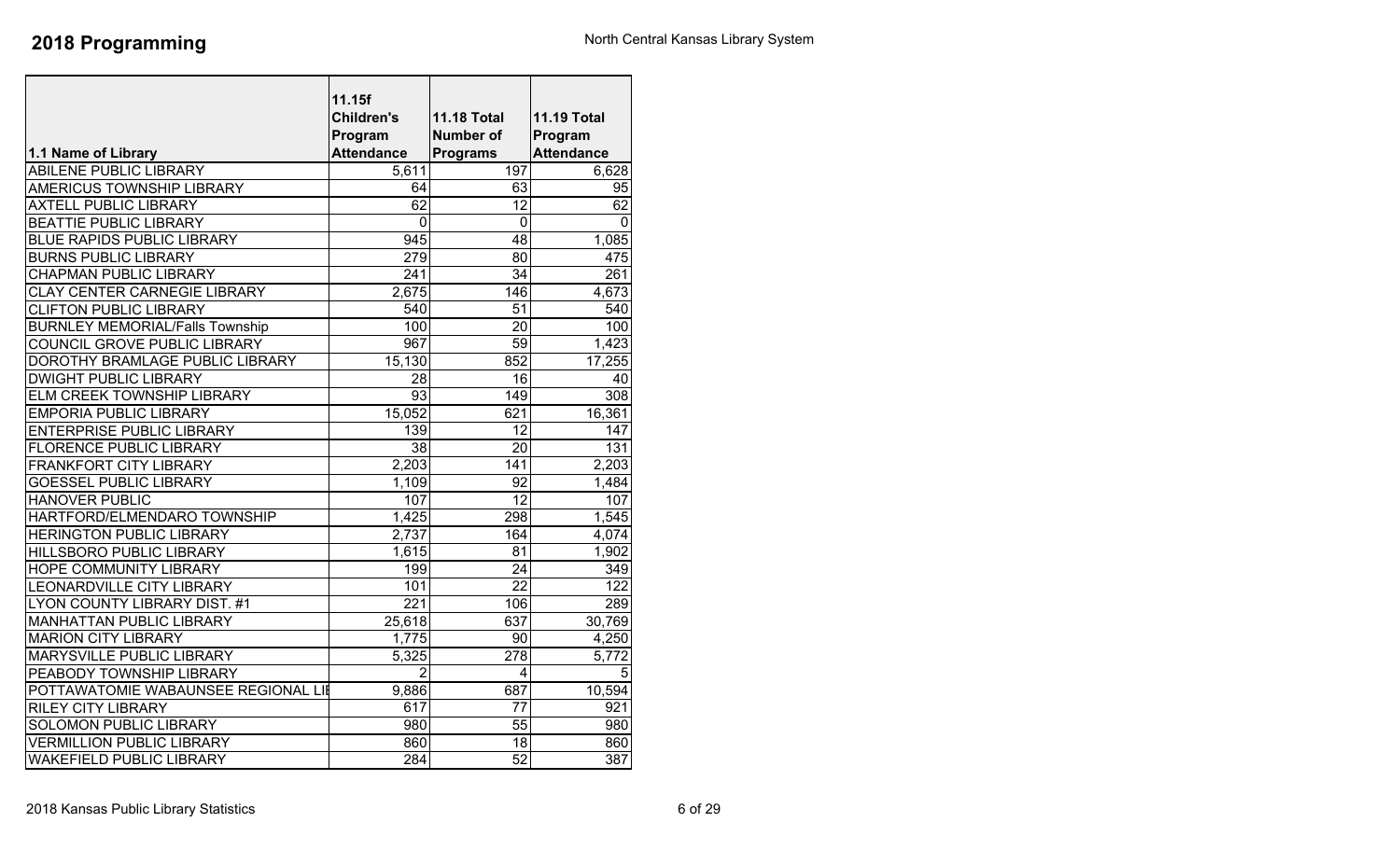|                                        | 11.15f            |                    |                    |
|----------------------------------------|-------------------|--------------------|--------------------|
|                                        | <b>Children's</b> | <b>11.18 Total</b> | <b>11.19 Total</b> |
|                                        | Program           | Number of          | Program            |
| 1.1 Name of Library                    | <b>Attendance</b> | <b>Programs</b>    | <b>Attendance</b>  |
| <b>ABILENE PUBLIC LIBRARY</b>          | 5,611             | 197                | 6,628              |
| <b>AMERICUS TOWNSHIP LIBRARY</b>       | 64                | 63                 | 95                 |
| <b>AXTELL PUBLIC LIBRARY</b>           | 62                | $\overline{12}$    | 62                 |
| <b>BEATTIE PUBLIC LIBRARY</b>          | 0                 | $\mathbf 0$        | 0                  |
| <b>BLUE RAPIDS PUBLIC LIBRARY</b>      | 945               | 48                 | 1,085              |
| <b>BURNS PUBLIC LIBRARY</b>            | $\overline{279}$  | 80                 | 475                |
| <b>CHAPMAN PUBLIC LIBRARY</b>          | 241               | 34                 | 261                |
| <b>CLAY CENTER CARNEGIE LIBRARY</b>    | 2,675             | 146                | 4.673              |
| <b>CLIFTON PUBLIC LIBRARY</b>          | 540               | 51                 | 540                |
| <b>BURNLEY MEMORIAL/Falls Township</b> | 100               | 20                 | 100                |
| COUNCIL GROVE PUBLIC LIBRARY           | 967               | 59                 | 1,423              |
| DOROTHY BRAMLAGE PUBLIC LIBRARY        | 15,130            | 852                | 17,255             |
| <b>DWIGHT PUBLIC LIBRARY</b>           | 28                | 16                 | 40                 |
| ELM CREEK TOWNSHIP LIBRARY             | 93                | 149                | 308                |
| <b>EMPORIA PUBLIC LIBRARY</b>          | 15,052            | 621                | 16,361             |
| <b>ENTERPRISE PUBLIC LIBRARY</b>       | 139               | 12                 | 147                |
| <b>FLORENCE PUBLIC LIBRARY</b>         | $\overline{38}$   | 20                 | 131                |
| <b>FRANKFORT CITY LIBRARY</b>          | 2,203             | 141                | 2,203              |
| <b>GOESSEL PUBLIC LIBRARY</b>          | 1,109             | 92                 | 1,484              |
| <b>HANOVER PUBLIC</b>                  | 107               | 12                 | 107                |
| HARTFORD/ELMENDARO TOWNSHIP            | 1,425             | 298                | 1,545              |
| <b>HERINGTON PUBLIC LIBRARY</b>        | 2,737             | 164                | 4,074              |
| <b>HILLSBORO PUBLIC LIBRARY</b>        | 1,615             | 81                 | 1,902              |
| <b>HOPE COMMUNITY LIBRARY</b>          | 199               | $\overline{24}$    | 349                |
| <b>LEONARDVILLE CITY LIBRARY</b>       | 101               | $\overline{22}$    | 122                |
| LYON COUNTY LIBRARY DIST. #1           | $\overline{221}$  | 106                | 289                |
| <b>MANHATTAN PUBLIC LIBRARY</b>        | 25,618            | 637                | 30,769             |
| <b>MARION CITY LIBRARY</b>             | 1,775             | 90                 | 4,250              |
| <b>MARYSVILLE PUBLIC LIBRARY</b>       | 5,325             | 278                | 5,772              |
| PEABODY TOWNSHIP LIBRARY               | $\overline{2}$    | 4                  | 5                  |
| POTTAWATOMIE WABAUNSEE REGIONAL LII    | 9,886             | 687                | 10,594             |
| <b>RILEY CITY LIBRARY</b>              | 617               | 77                 | 921                |
| <b>SOLOMON PUBLIC LIBRARY</b>          | 980               | 55                 | 980                |
| <b>VERMILLION PUBLIC LIBRARY</b>       | 860               | 18                 | 860                |
| <b>WAKEFIELD PUBLIC LIBRARY</b>        | 284               | 52                 | 387                |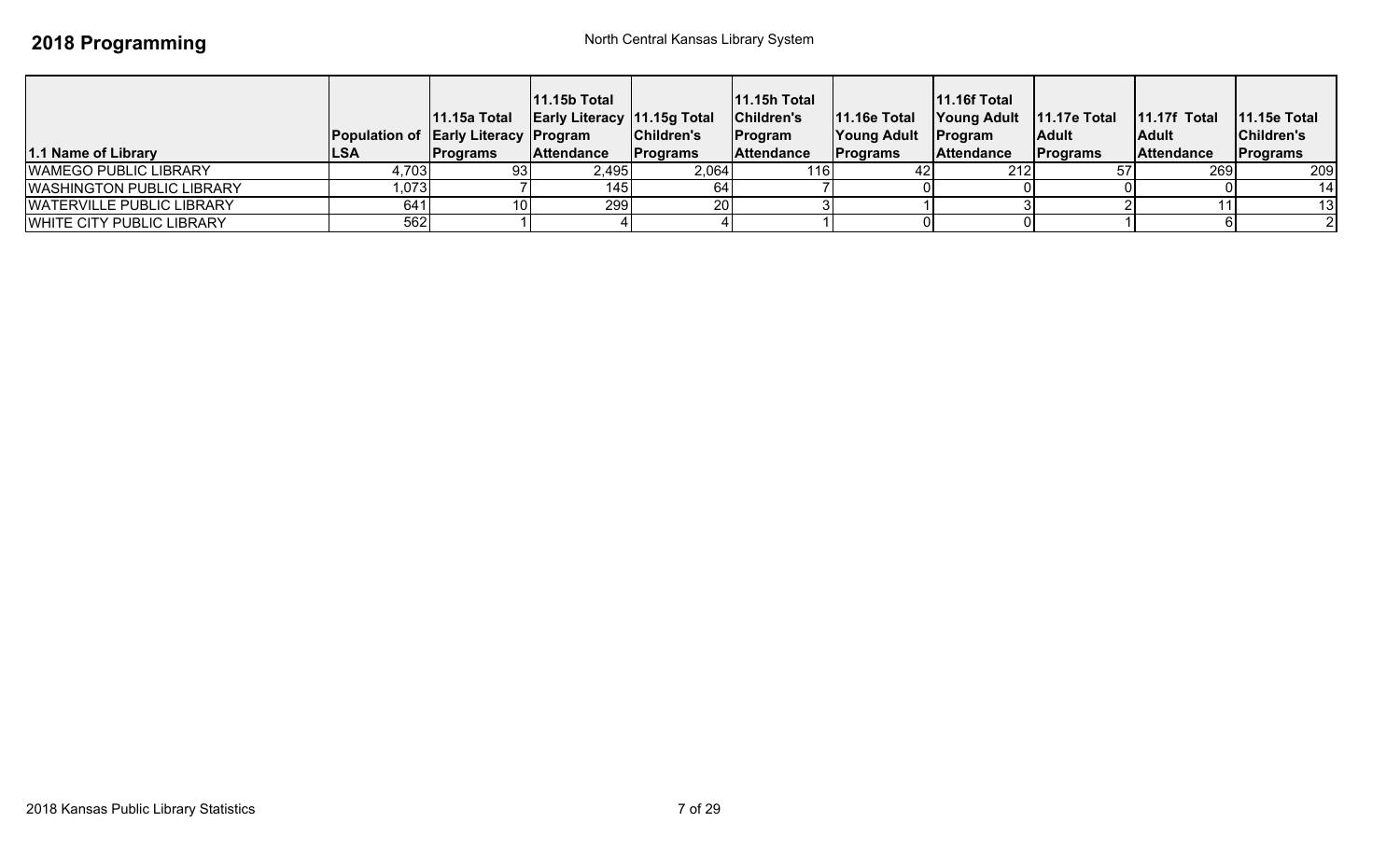| 1.1 Name of Library              | <b>Population of Early Literacy Program</b><br><b>LSA</b> | 11.15a Total<br><b>Programs</b> | $11.15b$ Total<br><b>Early Literacy 11.15g Total</b><br><b>Attendance</b> | Children's<br><b>Programs</b> | 11.15h Total<br>Children's<br><b>Program</b><br><b>Attendance</b> | <b>11.16e Total</b><br>Young Adult<br><b>Programs</b> | <b>11.16f Total</b><br>Young Adult   11.17e Total<br>Program<br><b>Attendance</b> | Adult<br><b>Programs</b> | $11.17f$ Total<br><b>Adult</b><br><b>Attendance</b> | $11.15e$ Total<br>Children's<br>Programs |
|----------------------------------|-----------------------------------------------------------|---------------------------------|---------------------------------------------------------------------------|-------------------------------|-------------------------------------------------------------------|-------------------------------------------------------|-----------------------------------------------------------------------------------|--------------------------|-----------------------------------------------------|------------------------------------------|
| <b>WAMEGO PUBLIC LIBRARY</b>     | 4,703                                                     | 93 I                            | 2,495                                                                     | 2,064                         |                                                                   |                                                       | 212                                                                               |                          | 269                                                 | 209                                      |
| <b>WASHINGTON PUBLIC LIBRARY</b> | 1,073                                                     |                                 | 1451                                                                      |                               |                                                                   |                                                       |                                                                                   |                          |                                                     | 14                                       |
| <b>WATERVILLE PUBLIC LIBRARY</b> | 641                                                       | 10 <sup>1</sup>                 | 299                                                                       | 20                            |                                                                   |                                                       |                                                                                   |                          |                                                     | 13                                       |
| WHITE CITY PUBLIC LIBRARY        | 562                                                       |                                 |                                                                           |                               |                                                                   |                                                       |                                                                                   |                          |                                                     |                                          |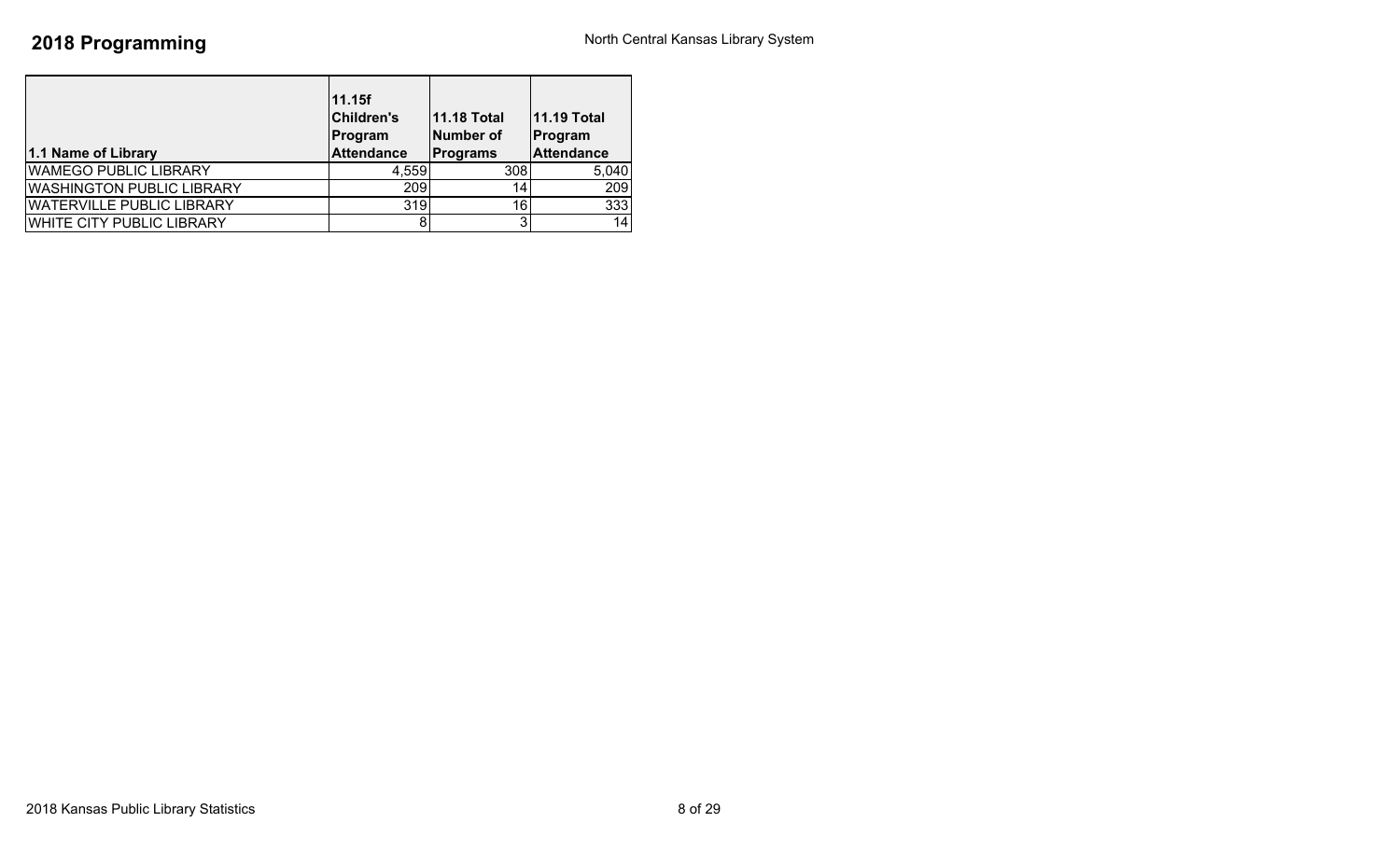| 1.1 Name of Library              | 11.15f<br><b>Children's</b><br>Program<br><b>Attendance</b> | <b>11.18 Total</b><br>Number of<br><b>Programs</b> | <b>11.19 Total</b><br>Program<br><b>Attendance</b> |
|----------------------------------|-------------------------------------------------------------|----------------------------------------------------|----------------------------------------------------|
| <b>WAMEGO PUBLIC LIBRARY</b>     | 4,559                                                       | 308                                                | 5,040                                              |
| <b>WASHINGTON PUBLIC LIBRARY</b> | 209                                                         | 14                                                 | 209                                                |
| <b>WATERVILLE PUBLIC LIBRARY</b> | 319                                                         | 16 <sub>1</sub>                                    | 333                                                |
| <b>WHITE CITY PUBLIC LIBRARY</b> |                                                             |                                                    | 14                                                 |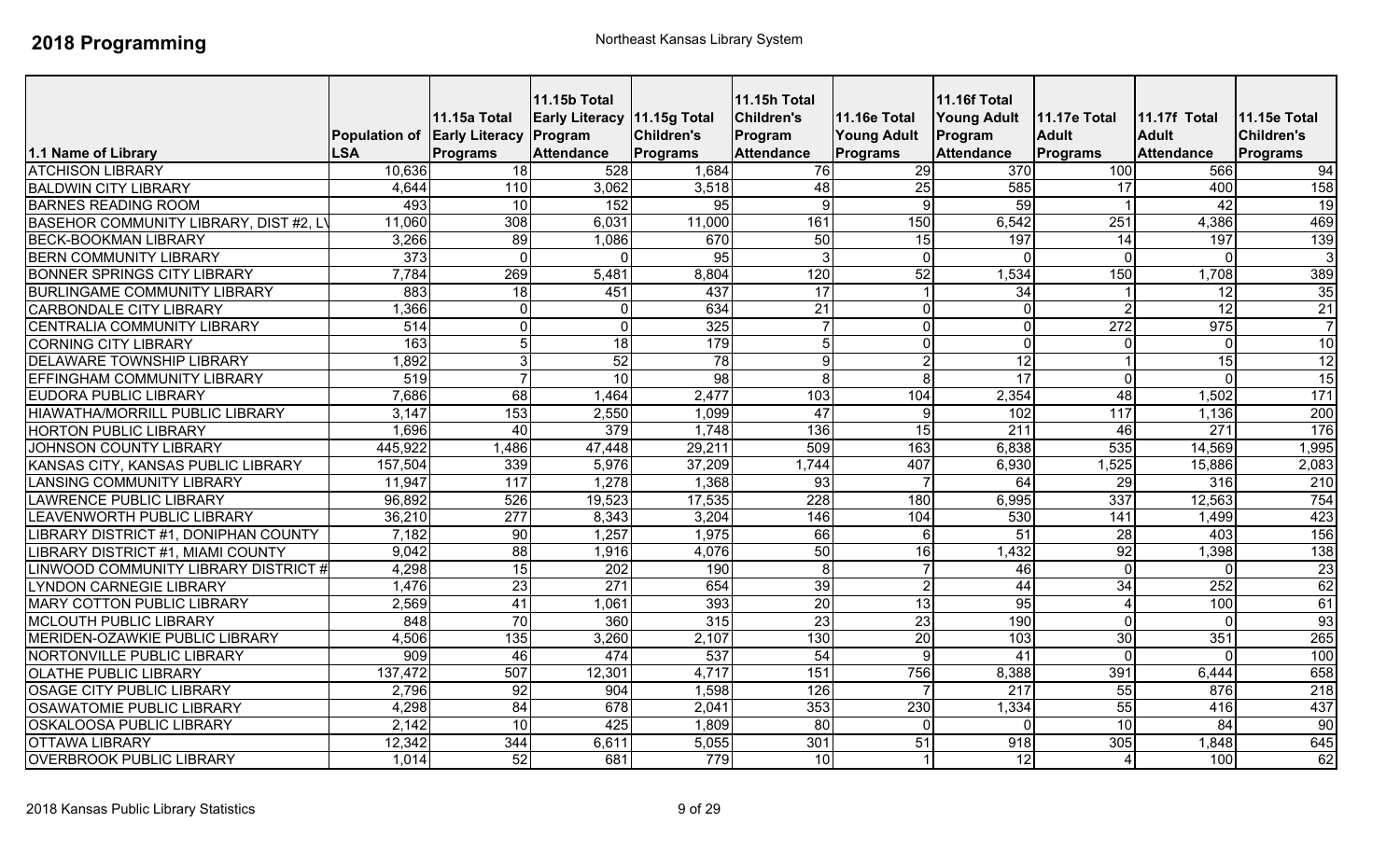| 1.1 Name of Library                    | Population of Early Literacy Program<br><b>LSA</b> | <b>11.15a Total</b><br>Programs | <b>11.15b Total</b><br><b>Early Literacy 11.15g Total</b><br><b>Attendance</b> | Children's<br>Programs | <b>11.15h Total</b><br><b>Children's</b><br>Program<br><b>Attendance</b> | 11.16e Total<br><b>Young Adult</b><br><b>Programs</b> | <b>11.16f Total</b><br><b>Young Adult</b><br>Program<br><b>Attendance</b> | 11.17e Total<br><b>Adult</b><br><b>Programs</b> | <b>11.17f Total</b><br><b>Adult</b><br><b>Attendance</b> | 11.15e Total<br><b>Children's</b><br>Programs |
|----------------------------------------|----------------------------------------------------|---------------------------------|--------------------------------------------------------------------------------|------------------------|--------------------------------------------------------------------------|-------------------------------------------------------|---------------------------------------------------------------------------|-------------------------------------------------|----------------------------------------------------------|-----------------------------------------------|
| <b>ATCHISON LIBRARY</b>                | 10,636                                             | 18                              | 528                                                                            | 1,684                  | 76                                                                       | 29                                                    | 370                                                                       | 100                                             | 566                                                      | 94                                            |
| <b>BALDWIN CITY LIBRARY</b>            | 4,644                                              | 110                             | 3,062                                                                          | 3,518                  | 48                                                                       | 25                                                    | 585                                                                       | $\overline{17}$                                 | 400                                                      | 158                                           |
| <b>BARNES READING ROOM</b>             | 493                                                | 10                              | 152                                                                            | 95                     | 9                                                                        | 9 <sub>l</sub>                                        | 59                                                                        |                                                 | 42                                                       | 19                                            |
| BASEHOR COMMUNITY LIBRARY, DIST #2, L' | 11,060                                             | 308                             | 6,031                                                                          | 11,000                 | 161                                                                      | 150                                                   | 6,542                                                                     | 251                                             | 4,386                                                    | 469                                           |
| <b>BECK-BOOKMAN LIBRARY</b>            | 3,266                                              | 89                              | 1,086                                                                          | 670                    | 50                                                                       | 15                                                    | 197                                                                       | 14                                              | 197                                                      | 139                                           |
| <b>BERN COMMUNITY LIBRARY</b>          | $\overline{373}$                                   | $\Omega$                        | $\Omega$                                                                       | 95                     | 3                                                                        | $\Omega$                                              | $\Omega$                                                                  | $\Omega$                                        | $\Omega$                                                 | 3                                             |
| <b>BONNER SPRINGS CITY LIBRARY</b>     | 7,784                                              | 269                             | 5,481                                                                          | 8,804                  | 120                                                                      | 52                                                    | 1,534                                                                     | 150                                             | 1,708                                                    | 389                                           |
| <b>BURLINGAME COMMUNITY LIBRARY</b>    | 883                                                | 18                              | 451                                                                            | 437                    | $\overline{17}$                                                          |                                                       | 34                                                                        |                                                 | 12                                                       | 35                                            |
| <b>CARBONDALE CITY LIBRARY</b>         | $\overline{.366}$                                  | $\overline{0}$                  | $\overline{0}$                                                                 | 634                    | $\overline{21}$                                                          | $\overline{0}$                                        | $\mathbf 0$                                                               |                                                 | $\overline{12}$                                          | 21                                            |
| <b>CENTRALIA COMMUNITY LIBRARY</b>     | $\overline{514}$                                   | οI                              | $\overline{0}$                                                                 | 325                    | $\overline{7}$                                                           | $\overline{0}$                                        | $\overline{0}$                                                            | 272                                             | 975                                                      | $\overline{7}$                                |
| <b>CORNING CITY LIBRARY</b>            | 163                                                | $\overline{5}$                  | 18                                                                             | 179                    | 5                                                                        | $\overline{0}$                                        | $\overline{\mathsf{o}}$                                                   | $\Omega$                                        | $\mathbf 0$                                              | 10                                            |
| <b>DELAWARE TOWNSHIP LIBRARY</b>       | 1,892                                              | $\overline{3}$                  | 52                                                                             | $\overline{78}$        | 9                                                                        | $\overline{2}$                                        | $\overline{12}$                                                           |                                                 | 15                                                       | 12                                            |
| <b>EFFINGHAM COMMUNITY LIBRARY</b>     | 519                                                | $\overline{7}$                  | 10                                                                             | 98                     | 8                                                                        | 8                                                     | $\overline{17}$                                                           | $\Omega$                                        | $\overline{0}$                                           | 15                                            |
| <b>EUDORA PUBLIC LIBRARY</b>           | 7,686                                              | $\overline{68}$                 | 1,464                                                                          | 2,477                  | 103                                                                      | 104                                                   | 2,354                                                                     | 48                                              | 1,502                                                    | 171                                           |
| HIAWATHA/MORRILL PUBLIC LIBRARY        | 3,147                                              | 153                             | 2,550                                                                          | 1,099                  | 47                                                                       | 9                                                     | 102                                                                       | 117                                             | 1,136                                                    | 200                                           |
| <b>HORTON PUBLIC LIBRARY</b>           | 1,696                                              | 40                              | 379                                                                            | 1,748                  | 136                                                                      | 15                                                    | $\overline{211}$                                                          | 46                                              | 271                                                      | 176                                           |
| JOHNSON COUNTY LIBRARY                 | 445,922                                            | 1,486                           | 47,448                                                                         | 29,211                 | 509                                                                      | 163                                                   | 6,838                                                                     | 535                                             | 14,569                                                   | 1,995                                         |
| KANSAS CITY, KANSAS PUBLIC LIBRARY     | 157,504                                            | 339                             | 5,976                                                                          | 37,209                 | 1,744                                                                    | 407                                                   | 6,930                                                                     | ,525                                            | 15,886                                                   | 2,083                                         |
| <b>LANSING COMMUNITY LIBRARY</b>       | 11,947                                             | 117                             | 1,278                                                                          | 1,368                  | 93                                                                       |                                                       | 64                                                                        | 29                                              | $\overline{316}$                                         | 210                                           |
| <b>LAWRENCE PUBLIC LIBRARY</b>         | 96,892                                             | 526                             | 19,523                                                                         | 17,535                 | 228                                                                      | 180                                                   | 6,995                                                                     | 337                                             | 12,563                                                   | 754                                           |
| <b>LEAVENWORTH PUBLIC LIBRARY</b>      | 36,210                                             | $\overline{277}$                | 8,343                                                                          | 3,204                  | 146                                                                      | 104                                                   | 530                                                                       | 141                                             | 1,499                                                    | 423                                           |
| LIBRARY DISTRICT #1, DONIPHAN COUNTY   | 7,182                                              | 90                              | 1,257                                                                          | 1,975                  | 66                                                                       | 6                                                     | 51                                                                        | 28                                              | 403                                                      | 156                                           |
| LIBRARY DISTRICT #1, MIAMI COUNTY      | 9,042                                              | $\overline{88}$                 | 1,916                                                                          | 4,076                  | 50                                                                       | 16                                                    | 1,432                                                                     | 92                                              | 1,398                                                    | 138                                           |
| LINWOOD COMMUNITY LIBRARY DISTRICT #   | 4,298                                              | 15                              | 202                                                                            | 190                    | $\infty$                                                                 |                                                       | 46                                                                        | $\Omega$                                        | $\overline{0}$                                           | 23                                            |
| <b>LYNDON CARNEGIE LIBRARY</b>         | 1,476                                              | 23                              | 271                                                                            | 654                    | 39                                                                       | 2 <sub>l</sub>                                        | 44                                                                        | $\overline{34}$                                 | 252                                                      | 62                                            |
| <b>MARY COTTON PUBLIC LIBRARY</b>      | 2,569                                              | 41                              | 1,061                                                                          | 393                    | 20                                                                       | 13                                                    | 95                                                                        |                                                 | 100                                                      | 61                                            |
| MCLOUTH PUBLIC LIBRARY                 | 848                                                | 70                              | 360                                                                            | 315                    | $\overline{23}$                                                          | 23                                                    | 190                                                                       | $\Omega$                                        | $\Omega$                                                 | 93                                            |
| MERIDEN-OZAWKIE PUBLIC LIBRARY         | 4,506                                              | 135                             | 3,260                                                                          | 2,107                  | 130                                                                      | $\overline{20}$                                       | 103                                                                       | 30                                              | 351                                                      | 265                                           |
| NORTONVILLE PUBLIC LIBRARY             | 909                                                | 46                              | 474                                                                            | 537                    | 54                                                                       | $\mathbf{Q}$                                          | 41                                                                        | $\Omega$                                        | $\Omega$                                                 | 100                                           |
| <b>OLATHE PUBLIC LIBRARY</b>           | 137,472                                            | 507                             | 12,301                                                                         | 4,717                  | 151                                                                      | 756                                                   | 8,388                                                                     | 391                                             | 6,444                                                    | 658                                           |
| <b>OSAGE CITY PUBLIC LIBRARY</b>       | 2,796                                              | 92                              | 904                                                                            | 1,598                  | 126                                                                      |                                                       | $\overline{217}$                                                          | 55                                              | 876                                                      | 218                                           |
| <b>OSAWATOMIE PUBLIC LIBRARY</b>       | 4,298                                              | 84                              | 678                                                                            | 2,041                  | 353                                                                      | 230                                                   | 1,334                                                                     | 55                                              | 416                                                      | 437                                           |
| <b>OSKALOOSA PUBLIC LIBRARY</b>        | 2,142                                              | 10                              | 425                                                                            | 1,809                  | $\overline{80}$                                                          | $\Omega$                                              | $\Omega$                                                                  | $\overline{10}$                                 | 84                                                       | 90                                            |
| <b>OTTAWA LIBRARY</b>                  | 12,342                                             | 344                             | 6,611                                                                          | 5,055                  | 301                                                                      | 51                                                    | 918                                                                       | 305                                             | 1,848                                                    | 645                                           |
| <b>OVERBROOK PUBLIC LIBRARY</b>        | 1,014                                              | 52                              | 681                                                                            | 779                    | 10                                                                       |                                                       | 12                                                                        |                                                 | 100                                                      | 62                                            |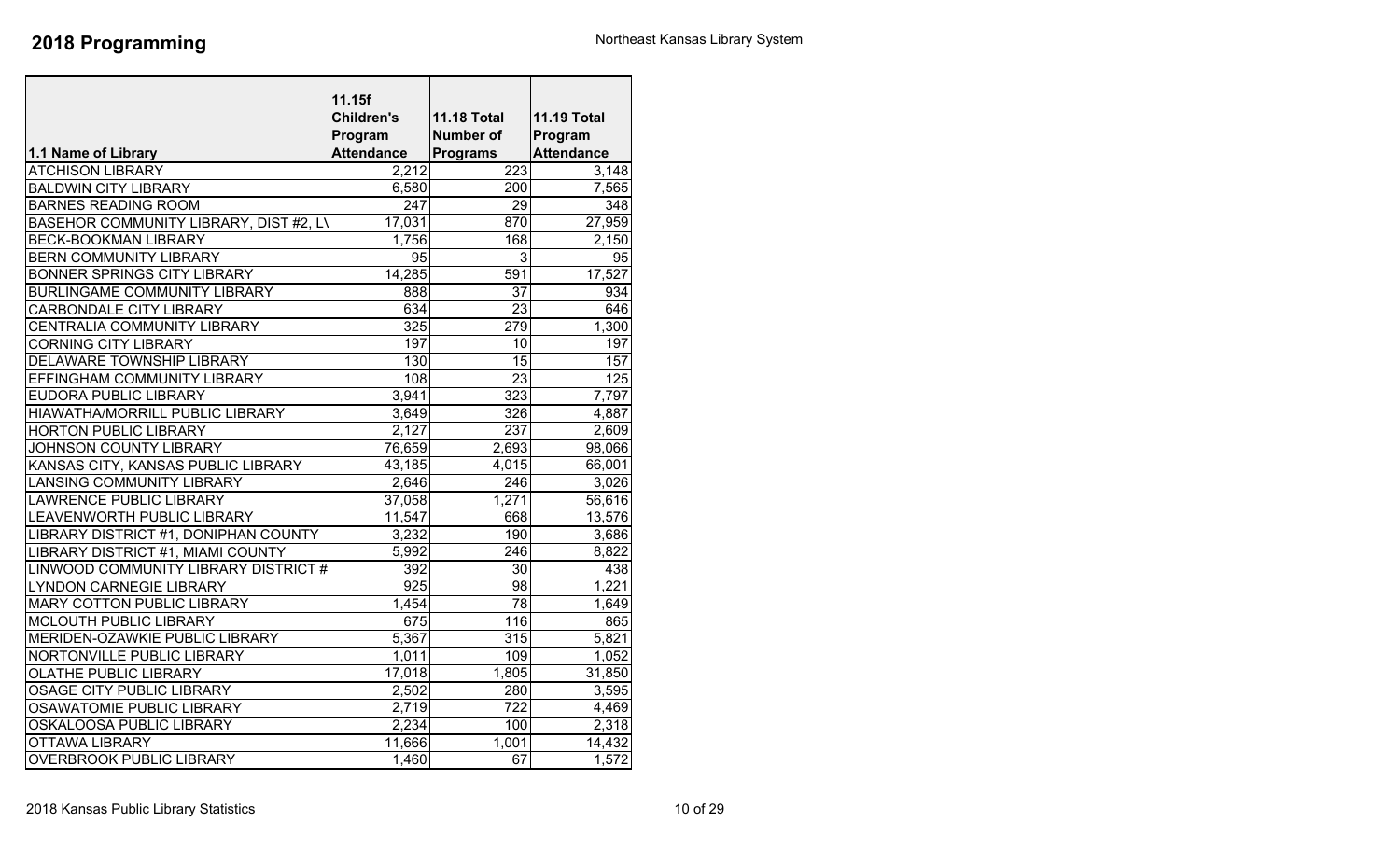|                                        | 11.15f            |                    |                    |
|----------------------------------------|-------------------|--------------------|--------------------|
|                                        | <b>Children's</b> | <b>11.18 Total</b> | <b>11.19 Total</b> |
|                                        | Program           | <b>Number of</b>   | Program            |
| 1.1 Name of Library                    | <b>Attendance</b> | <b>Programs</b>    | <b>Attendance</b>  |
| <b>ATCHISON LIBRARY</b>                | 2,212             | 223                | 3,148              |
| <b>BALDWIN CITY LIBRARY</b>            | 6,580             | 200                | 7,565              |
| <b>BARNES READING ROOM</b>             | 247               | 29                 | 348                |
| BASEHOR COMMUNITY LIBRARY, DIST #2, LY | 17,031            | 870                | 27,959             |
| <b>BECK-BOOKMAN LIBRARY</b>            | 1,756             | 168                | 2,150              |
| <b>BERN COMMUNITY LIBRARY</b>          | $\overline{95}$   | 3                  | $\overline{95}$    |
| <b>BONNER SPRINGS CITY LIBRARY</b>     | 14,285            | 591                | 17,527             |
| BURLINGAME COMMUNITY LIBRARY           | 888               | $\overline{37}$    | 934                |
| CARBONDALE CITY LIBRARY                | 634               | 23                 | 646                |
| CENTRALIA COMMUNITY LIBRARY            | 325               | $\overline{279}$   | 1,300              |
| <b>CORNING CITY LIBRARY</b>            | 197               | 10                 | 197                |
| DELAWARE TOWNSHIP LIBRARY              | 130               | $\overline{15}$    | 157                |
| EFFINGHAM COMMUNITY LIBRARY            | 108               | $\overline{23}$    | $\overline{125}$   |
| <b>EUDORA PUBLIC LIBRARY</b>           | 3,941             | 323                | 7,797              |
| HIAWATHA/MORRILL PUBLIC LIBRARY        | 3,649             | 326                | 4,887              |
| <b>HORTON PUBLIC LIBRARY</b>           | 2,127             | $\overline{237}$   | 2,609              |
| JOHNSON COUNTY LIBRARY                 | 76,659            | 2,693              | 98,066             |
| KANSAS CITY, KANSAS PUBLIC LIBRARY     | 43,185            | 4,015              | 66,001             |
| <b>LANSING COMMUNITY LIBRARY</b>       | 2,646             | 246                | 3,026              |
| LAWRENCE PUBLIC LIBRARY                | 37,058            | 1,271              | 56,616             |
| LEAVENWORTH PUBLIC LIBRARY             | 11,547            | 668                | 13,576             |
| LIBRARY DISTRICT #1, DONIPHAN COUNTY   | 3,232             | 190                | 3,686              |
| LIBRARY DISTRICT #1, MIAMI COUNTY      | 5,992             | $\overline{246}$   | 8,822              |
| LINWOOD COMMUNITY LIBRARY DISTRICT #   | 392               | 30                 | 438                |
| <b>LYNDON CARNEGIE LIBRARY</b>         | 925               | 98                 | 1,221              |
| <b>MARY COTTON PUBLIC LIBRARY</b>      | 1,454             | $\overline{78}$    | 1,649              |
| MCLOUTH PUBLIC LIBRARY                 | 675               | 116                | 865                |
| MERIDEN-OZAWKIE PUBLIC LIBRARY         | 5,367             | $\overline{315}$   | 5,821              |
| NORTONVILLE PUBLIC LIBRARY             | 1,011             | 109                | 1,052              |
| <b>OLATHE PUBLIC LIBRARY</b>           | 17,018            | 1,805              | 31,850             |
| OSAGE CITY PUBLIC LIBRARY              | 2,502             | 280                | 3,595              |
| <b>OSAWATOMIE PUBLIC LIBRARY</b>       | 2,719             | 722                | 4,469              |
| OSKALOOSA PUBLIC LIBRARY               | 2,234             | 100                | 2,318              |
| <b>OTTAWA LIBRARY</b>                  | 11,666            | 1,001              | 14,432             |
| <b>OVERBROOK PUBLIC LIBRARY</b>        | 1,460             | 67                 | 1,572              |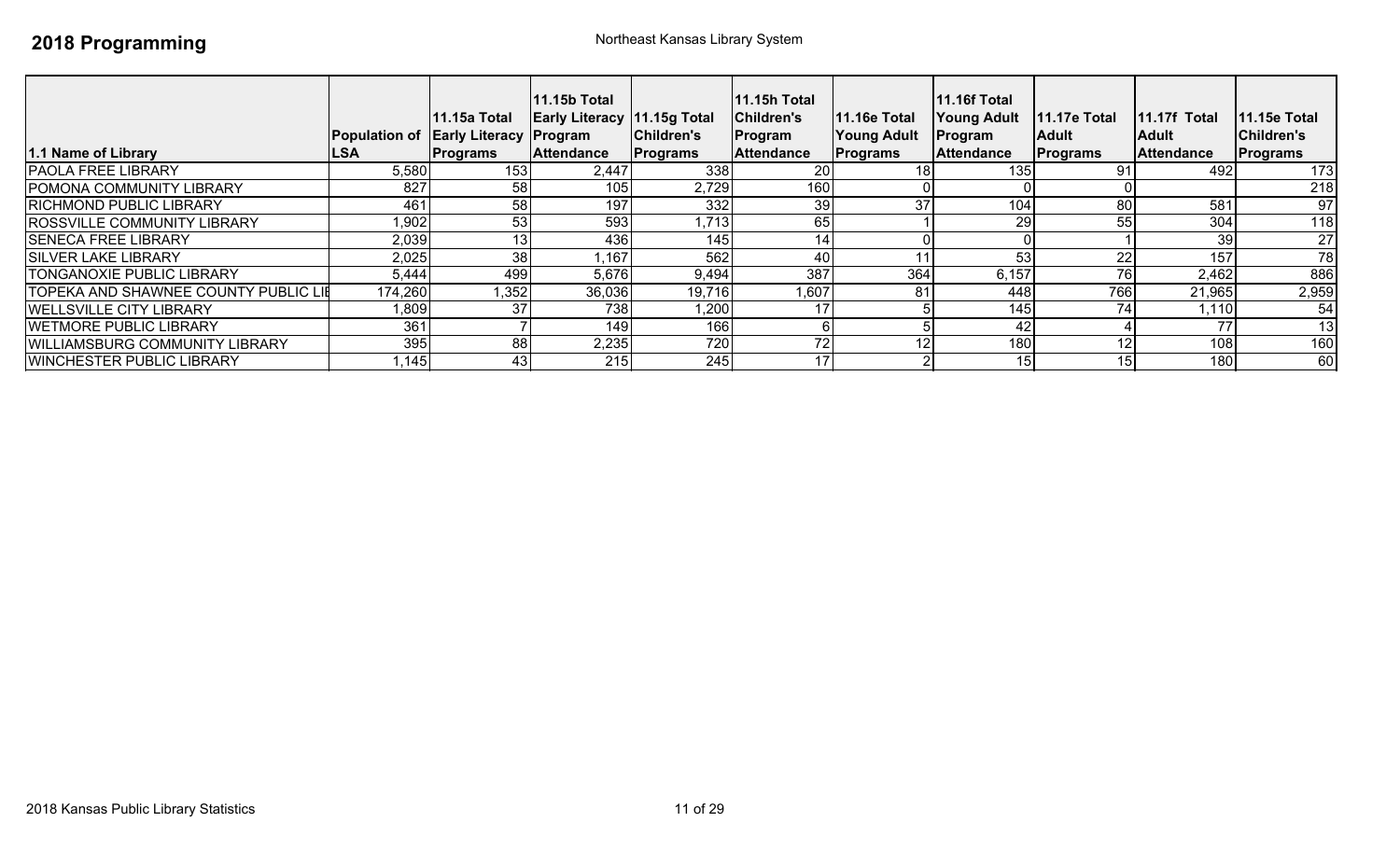| 1.1 Name of Library                         | <b>Population of Early Literacy Program</b><br> LSA | <b>11.15a Total</b><br><b>Programs</b> | $11.15b$ Total<br><b>Early Literacy 11.15g Total</b><br><b>Attendance</b> | Children's<br><b>Programs</b> | 11.15h Total<br>Children's<br>Program<br><b>Attendance</b> | <b>11.16e Total</b><br><b>Young Adult</b><br><b>Programs</b> | <b>11.16f Total</b><br><b>Young Adult</b><br><b>Program</b><br><b>Attendance</b> | <b>11.17e Total</b><br><b>IAdult</b><br><b>Programs</b> | 11.17f Total<br>lAdult<br><b>Attendance</b> | <b>11.15e Total</b><br>Children's<br><b>Programs</b> |
|---------------------------------------------|-----------------------------------------------------|----------------------------------------|---------------------------------------------------------------------------|-------------------------------|------------------------------------------------------------|--------------------------------------------------------------|----------------------------------------------------------------------------------|---------------------------------------------------------|---------------------------------------------|------------------------------------------------------|
| <b>PAOLA FREE LIBRARY</b>                   | 5,580                                               | 153                                    | 2,447                                                                     | 338                           | 20                                                         |                                                              | 135                                                                              | 9.                                                      | 492                                         | 173                                                  |
| <b>POMONA COMMUNITY LIBRARY</b>             | 827                                                 | 58 <sub>l</sub>                        | 105                                                                       | 2,729                         | 160                                                        |                                                              |                                                                                  |                                                         |                                             | 218                                                  |
| <b>RICHMOND PUBLIC LIBRARY</b>              | 461                                                 | 58                                     | 197                                                                       | 332                           | 39                                                         | 37                                                           | 104                                                                              | 80                                                      | 581                                         | 97                                                   |
| <b>ROSSVILLE COMMUNITY LIBRARY</b>          | .902                                                | 53                                     | 593                                                                       | 1,713                         | 65                                                         |                                                              | 29                                                                               | 55                                                      | 304                                         | 118                                                  |
| <b>SENECA FREE LIBRARY</b>                  | 2,039                                               | 13                                     | 436                                                                       | 145                           | 14 <sub>1</sub>                                            |                                                              |                                                                                  |                                                         | 39                                          | 27                                                   |
| <b>SILVER LAKE LIBRARY</b>                  | 2,025                                               | 38                                     | 1,167                                                                     | 562                           | 40                                                         |                                                              | 53                                                                               | 22                                                      | 157                                         | 78                                                   |
| <b>TONGANOXIE PUBLIC LIBRARY</b>            | 5,444                                               | 499                                    | 5,676                                                                     | 9,494                         | 387                                                        | 364                                                          | 6,157                                                                            | 76                                                      | 2,462                                       | 886                                                  |
| <b>TOPEKA AND SHAWNEE COUNTY PUBLIC LIE</b> | 174,260                                             | 1,352                                  | 36,036                                                                    | 19,716                        | 1,607                                                      | 81                                                           | 448                                                                              | 766                                                     | 21,965                                      | 2,959                                                |
| <b>WELLSVILLE CITY LIBRARY</b>              | 1,809                                               | 37                                     | 738                                                                       | 1,200                         |                                                            |                                                              | 145                                                                              |                                                         | 1,110                                       | 54                                                   |
| <b>WETMORE PUBLIC LIBRARY</b>               | 361                                                 |                                        | 149                                                                       | 166                           |                                                            |                                                              | 42                                                                               |                                                         | 77                                          | 13                                                   |
| <b>WILLIAMSBURG COMMUNITY LIBRARY</b>       | 395                                                 | 88                                     | 2,235                                                                     | 720                           | 72                                                         | 12                                                           | 180                                                                              | 12                                                      | 108                                         | 160                                                  |
| <b>WINCHESTER PUBLIC LIBRARY</b>            | ,145                                                | 43                                     | 215                                                                       | 245                           | 17                                                         |                                                              | 15 <sub>1</sub>                                                                  | 15                                                      | 180                                         | 60                                                   |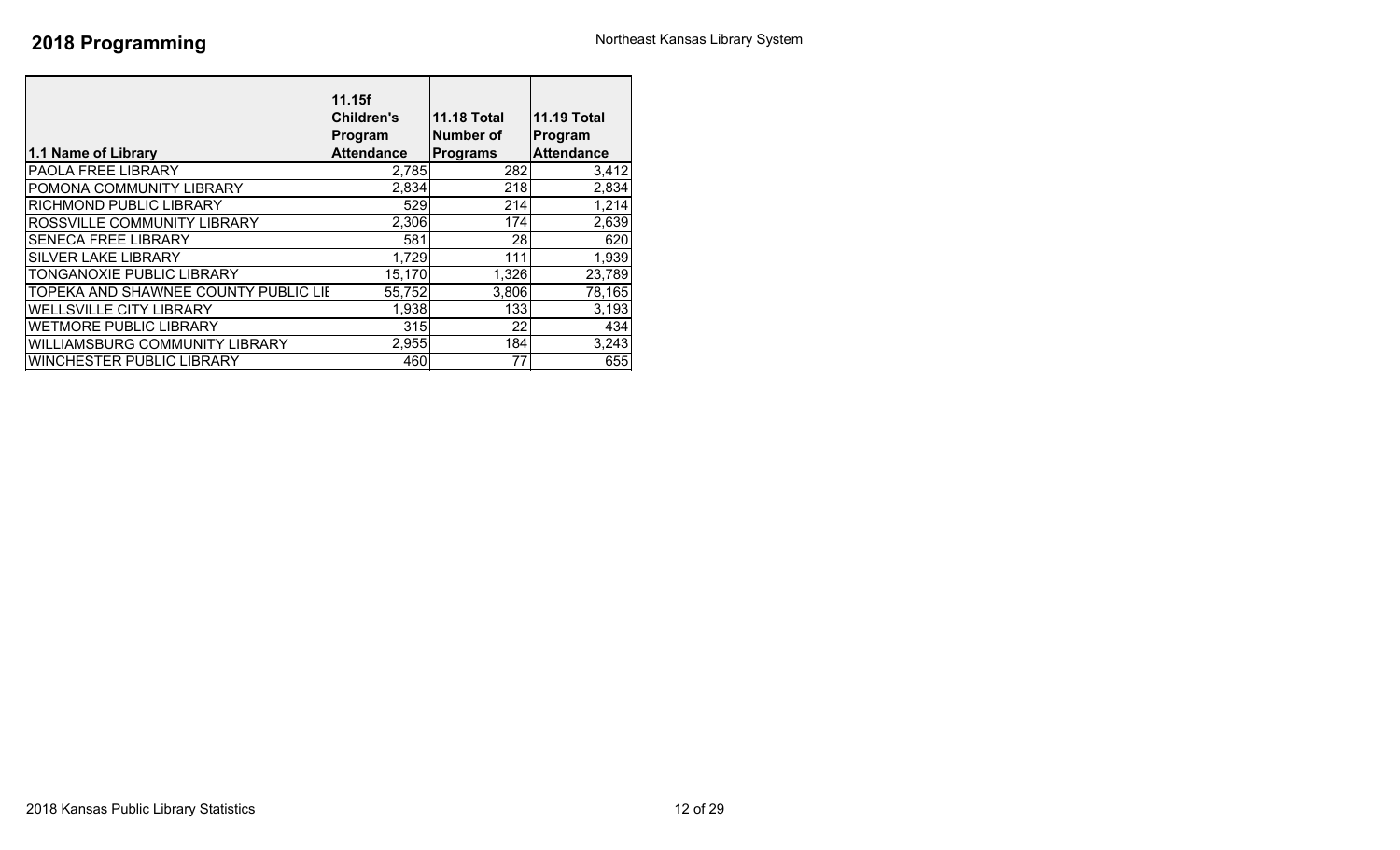|                                      | 11.15f            |                    |                    |
|--------------------------------------|-------------------|--------------------|--------------------|
|                                      | <b>Children's</b> | <b>11.18 Total</b> | <b>11.19 Total</b> |
|                                      | Program           | Number of          | Program            |
| 1.1 Name of Library                  | <b>Attendance</b> | <b>Programs</b>    | <b>Attendance</b>  |
| PAOLA FREE LIBRARY                   | 2,785             | 282                | 3,412              |
| POMONA COMMUNITY LIBRARY             | 2,834             | 218                | 2,834              |
| RICHMOND PUBLIC LIBRARY              | 529               | 214                | 1,214              |
| ROSSVILLE COMMUNITY LIBRARY          | 2,306             | 174                | 2,639              |
| <b>SENECA FREE LIBRARY</b>           | 581               | 28                 | 620                |
| <b>SILVER LAKE LIBRARY</b>           | 1,729             | 111                | 1,939              |
| TONGANOXIE PUBLIC LIBRARY            | 15,170            | 1,326              | 23,789             |
| TOPEKA AND SHAWNEE COUNTY PUBLIC LIE | 55,752            | 3,806              | 78,165             |
| <b>WELLSVILLE CITY LIBRARY</b>       | 1,938             | 133                | 3,193              |
| WETMORE PUBLIC LIBRARY               | 315               | 22                 | 434                |
| WILLIAMSBURG COMMUNITY LIBRARY       | 2,955             | 184                | 3,243              |
| WINCHESTER PUBLIC LIBRARY            | 460               | 77                 | 655                |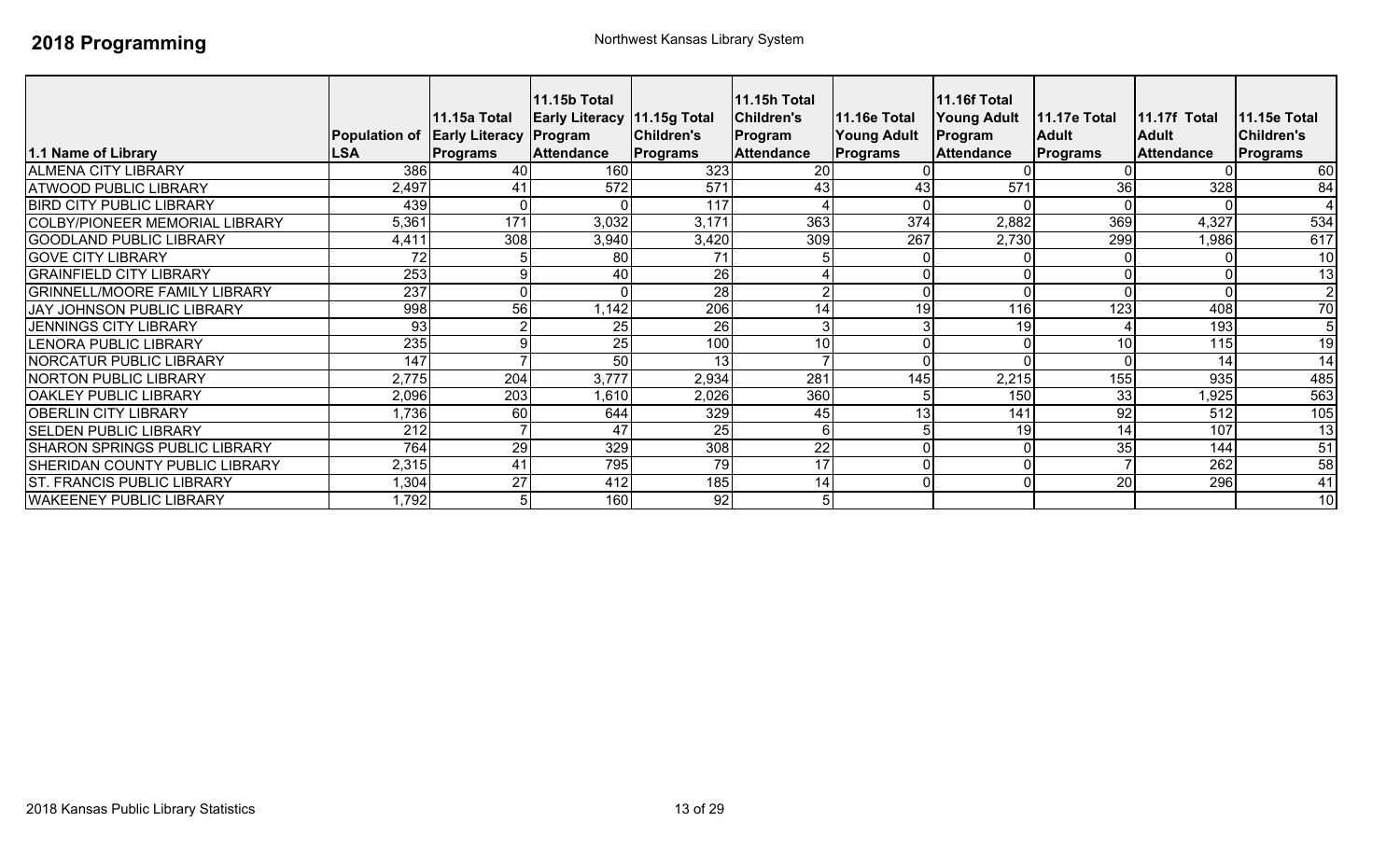| 1.1 Name of Library                   | <b>LSA</b> | 11.15a Total<br>Population of Early Literacy Program<br><b>Programs</b> | 11.15b Total<br><b>Early Literacy 11.15g Total</b><br><b>Attendance</b> | Children's<br>Programs | 11.15h Total<br><b>Children's</b><br>Program<br><b>Attendance</b> | <b>11.16e Total</b><br><b>Young Adult</b><br>Programs | <b>11.16f Total</b><br><b>Young Adult</b><br>Program<br><b>Attendance</b> | <b>11.17e Total</b><br><b>Adult</b><br><b>Programs</b> | 11.17f Total<br><b>Adult</b><br><b>Attendance</b> | <b>11.15e Total</b><br><b>Children's</b><br>Programs |
|---------------------------------------|------------|-------------------------------------------------------------------------|-------------------------------------------------------------------------|------------------------|-------------------------------------------------------------------|-------------------------------------------------------|---------------------------------------------------------------------------|--------------------------------------------------------|---------------------------------------------------|------------------------------------------------------|
| <b>ALMENA CITY LIBRARY</b>            | 386        | 40                                                                      | 160                                                                     | 323                    | 20                                                                |                                                       |                                                                           |                                                        |                                                   | 60                                                   |
| <b>ATWOOD PUBLIC LIBRARY</b>          | 2,497      | 41                                                                      | 572                                                                     | 571                    | 43                                                                | 43                                                    | 571                                                                       | 36                                                     | 328                                               | 84                                                   |
| <b>BIRD CITY PUBLIC LIBRARY</b>       | 439        | ΩI                                                                      |                                                                         | 117                    |                                                                   |                                                       |                                                                           |                                                        |                                                   |                                                      |
| <b>COLBY/PIONEER MEMORIAL LIBRARY</b> | 5,361      | 171                                                                     | 3,032                                                                   | 3,171                  | 363                                                               | 374                                                   | 2,882                                                                     | 369                                                    | 4,327                                             | 534                                                  |
| <b>GOODLAND PUBLIC LIBRARY</b>        | 4,411      | 308                                                                     | 3,940                                                                   | 3,420                  | 309                                                               | 267                                                   | 2,730                                                                     | 299                                                    | 1,986                                             | 617                                                  |
| <b>GOVE CITY LIBRARY</b>              | 72         |                                                                         | 80                                                                      | 71                     |                                                                   |                                                       |                                                                           |                                                        |                                                   | 10                                                   |
| <b>GRAINFIELD CITY LIBRARY</b>        | 253        | 9                                                                       | 40                                                                      | 26                     |                                                                   |                                                       |                                                                           |                                                        |                                                   | 13                                                   |
| <b>GRINNELL/MOORE FAMILY LIBRARY</b>  | 237        | $\Omega$                                                                |                                                                         | $\overline{28}$        |                                                                   | U                                                     |                                                                           |                                                        |                                                   | $\overline{2}$                                       |
| JAY JOHNSON PUBLIC LIBRARY            | 998        | 56                                                                      | 1,142                                                                   | 206                    | 14                                                                | 19                                                    | 1161                                                                      | 123                                                    | 408                                               | 70                                                   |
| <b>JENNINGS CITY LIBRARY</b>          | 93         | C                                                                       | 25                                                                      | 26                     |                                                                   |                                                       | 19                                                                        |                                                        | 193                                               | 5                                                    |
| <b>LENORA PUBLIC LIBRARY</b>          | 235        | 9                                                                       | 25                                                                      | 100                    | 10                                                                |                                                       |                                                                           | 10                                                     | 115                                               | 19                                                   |
| <b>NORCATUR PUBLIC LIBRARY</b>        | 147        |                                                                         | 50                                                                      | 13                     |                                                                   |                                                       |                                                                           |                                                        | 14                                                | $\overline{14}$                                      |
| <b>NORTON PUBLIC LIBRARY</b>          | 2,775      | 204                                                                     | 3,777                                                                   | 2,934                  | 281                                                               | 145                                                   | 2,215                                                                     | 155                                                    | 935                                               | 485                                                  |
| <b>OAKLEY PUBLIC LIBRARY</b>          | 2,096      | $\overline{203}$                                                        | 1,610                                                                   | 2,026                  | 360                                                               | 5                                                     | 150                                                                       | 33                                                     | ,925                                              | 563                                                  |
| <b>OBERLIN CITY LIBRARY</b>           | 1,736      | 60                                                                      | 644                                                                     | 329                    | 45                                                                | 13                                                    | 141                                                                       | 92                                                     | 512                                               | 105                                                  |
| <b>SELDEN PUBLIC LIBRARY</b>          | 212        |                                                                         | 47                                                                      | 25                     | 6                                                                 |                                                       | 19                                                                        | 14                                                     | 107                                               | 13                                                   |
| <b>SHARON SPRINGS PUBLIC LIBRARY</b>  | 764        | 29                                                                      | 329                                                                     | 308                    | 22                                                                |                                                       |                                                                           | 35                                                     | 144                                               | 51                                                   |
| <b>SHERIDAN COUNTY PUBLIC LIBRARY</b> | 2,315      | 41                                                                      | 795                                                                     | 79                     | 17                                                                | 0                                                     |                                                                           |                                                        | 262                                               | 58                                                   |
| <b>ST. FRANCIS PUBLIC LIBRARY</b>     | 1,304      | $\overline{27}$                                                         | 412                                                                     | 185                    | 14                                                                | 0                                                     |                                                                           | 20                                                     | 296                                               | $\overline{41}$                                      |
| <b>WAKEENEY PUBLIC LIBRARY</b>        | 1,792      | 5 <sub>l</sub>                                                          | 160                                                                     | 92                     | 5                                                                 |                                                       |                                                                           |                                                        |                                                   | 10                                                   |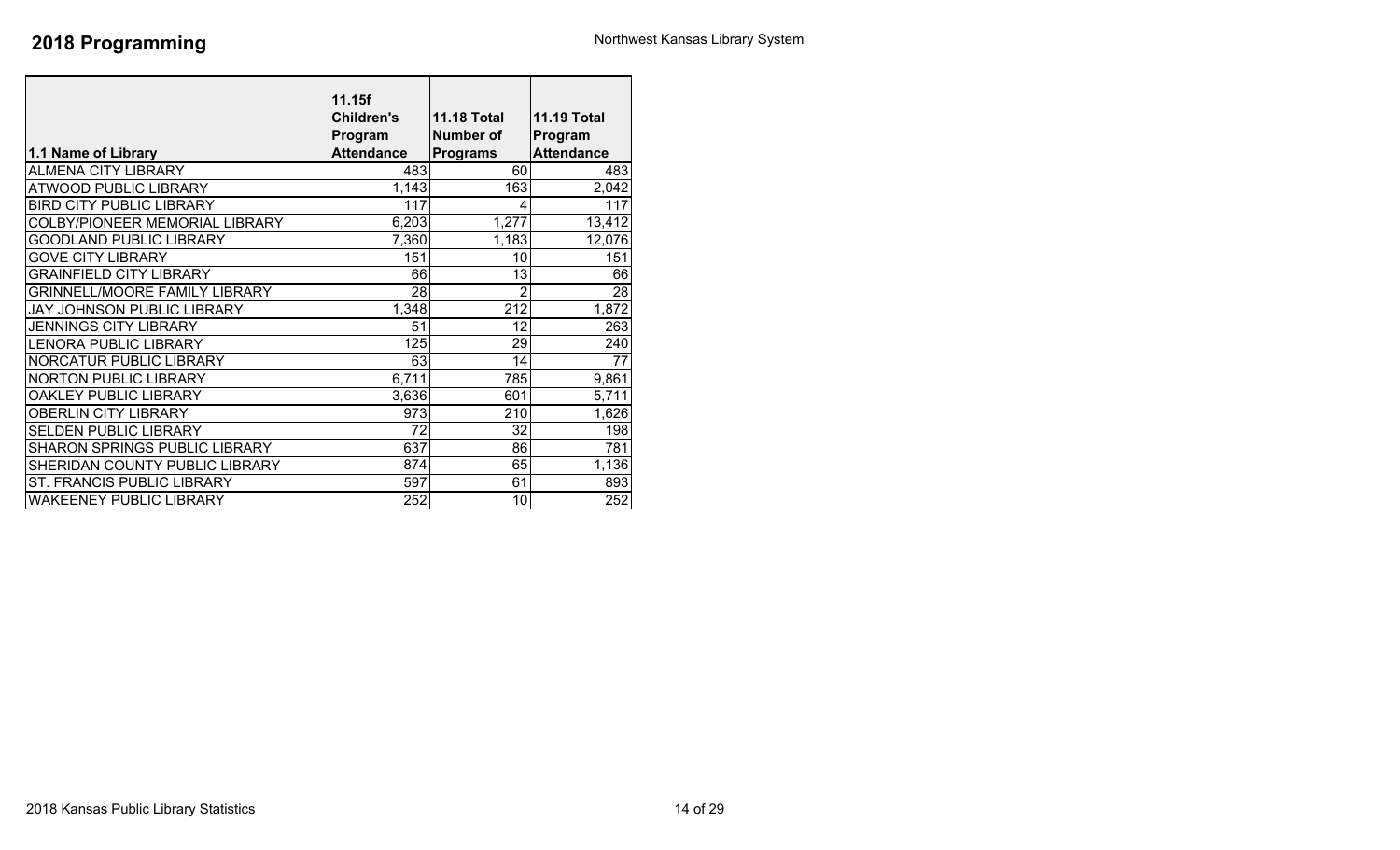| 1.1 Name of Library                  | 11.15f<br><b>Children's</b><br>Program<br><b>Attendance</b> | <b>11.18 Total</b><br><b>Number of</b><br><b>Programs</b> | <b>11.19 Total</b><br>Program<br><b>Attendance</b> |
|--------------------------------------|-------------------------------------------------------------|-----------------------------------------------------------|----------------------------------------------------|
| <b>ALMENA CITY LIBRARY</b>           | 483                                                         | 60                                                        | 483                                                |
| <b>ATWOOD PUBLIC LIBRARY</b>         | 1,143                                                       | 163                                                       | 2,042                                              |
| <b>BIRD CITY PUBLIC LIBRARY</b>      | 117                                                         | 4                                                         | 117                                                |
| COLBY/PIONEER MEMORIAL LIBRARY       | 6,203                                                       | 1,277                                                     | 13,412                                             |
| <b>GOODLAND PUBLIC LIBRARY</b>       | 7,360                                                       | 1,183                                                     | 12,076                                             |
| <b>GOVE CITY LIBRARY</b>             | 151                                                         | 10                                                        | 151                                                |
| <b>GRAINFIELD CITY LIBRARY</b>       | 66                                                          | 13                                                        | 66                                                 |
| <b>GRINNELL/MOORE FAMILY LIBRARY</b> | 28                                                          | 2                                                         | 28                                                 |
| JAY JOHNSON PUBLIC LIBRARY           | 1,348                                                       | 212                                                       | 1,872                                              |
| <b>JENNINGS CITY LIBRARY</b>         | 51                                                          | 12                                                        | 263                                                |
| LENORA PUBLIC LIBRARY                | 125                                                         | 29                                                        | 240                                                |
| NORCATUR PUBLIC LIBRARY              | 63                                                          | 14                                                        | 77                                                 |
| <b>NORTON PUBLIC LIBRARY</b>         | 6,711                                                       | 785                                                       | 9,861                                              |
| OAKLEY PUBLIC LIBRARY                | 3,636                                                       | 601                                                       | 5,711                                              |
| <b>OBERLIN CITY LIBRARY</b>          | 973                                                         | 210                                                       | 1,626                                              |
| <b>SELDEN PUBLIC LIBRARY</b>         | 72                                                          | 32                                                        | 198                                                |
| SHARON SPRINGS PUBLIC LIBRARY        | 637                                                         | 86                                                        | 781                                                |
| SHERIDAN COUNTY PUBLIC LIBRARY       | 874                                                         | 65                                                        | 1,136                                              |
| ST. FRANCIS PUBLIC LIBRARY           | 597                                                         | 61                                                        | 893                                                |
| <b>WAKEENEY PUBLIC LIBRARY</b>       | 252                                                         | 10                                                        | 252                                                |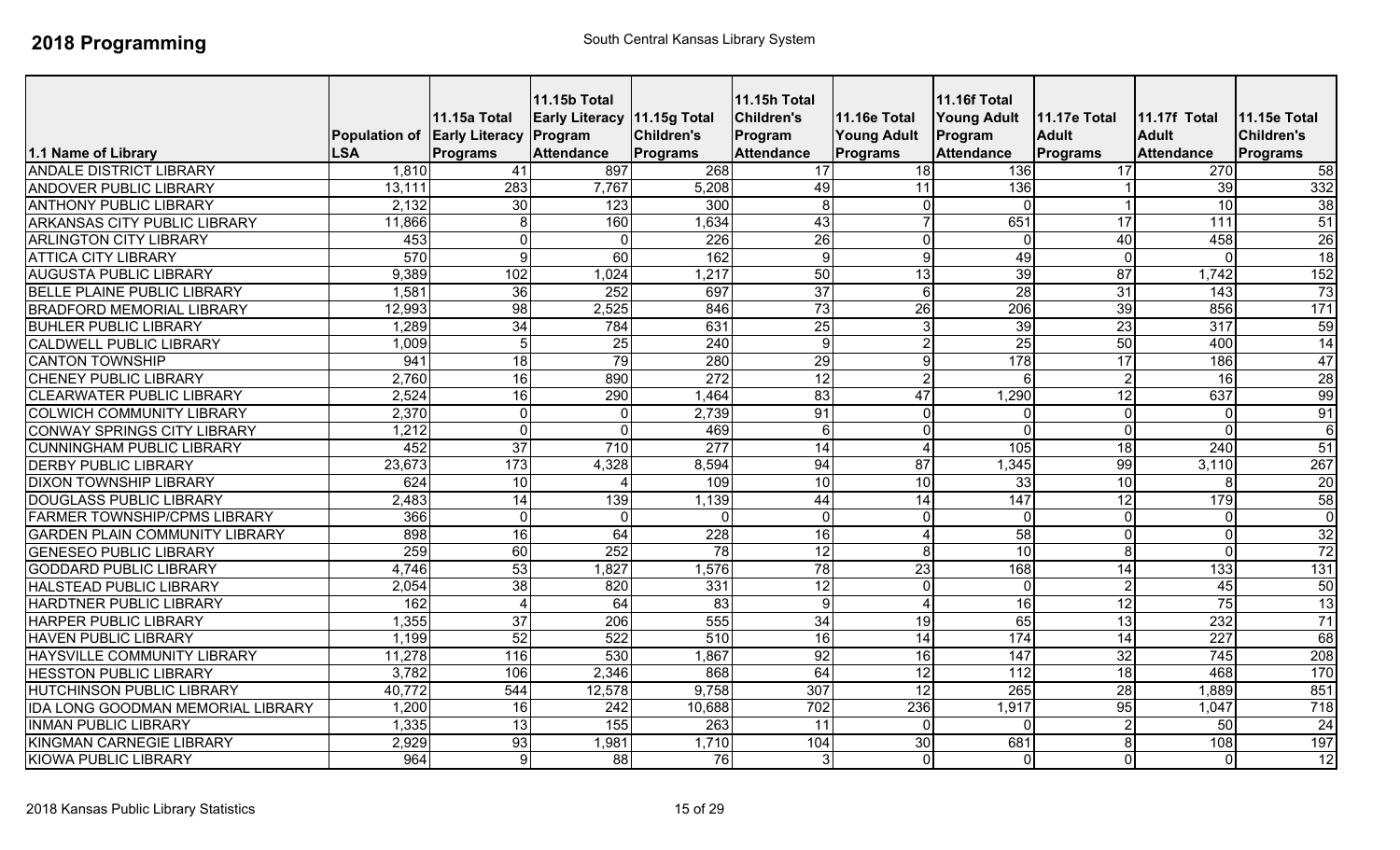| 1.1 Name of Library                      | Population of Early Literacy Program<br><b>LSA</b> | <b>11.15a Total</b><br><b>Programs</b> | <b>11.15b Total</b><br><b>Early Literacy 11.15g Total</b><br><b>Attendance</b> | Children's<br>Programs | <b>11.15h Total</b><br><b>Children's</b><br>Program<br><b>Attendance</b> | 11.16e Total<br><b>Young Adult</b><br><b>Programs</b> | <b>11.16f Total</b><br><b>Young Adult</b><br>Program<br><b>Attendance</b> | 11.17e Total<br><b>Adult</b><br>Programs | <b>11.17f Total</b><br><b>Adult</b><br><b>Attendance</b> | <b>11.15e Total</b><br><b>Children's</b><br>Programs |
|------------------------------------------|----------------------------------------------------|----------------------------------------|--------------------------------------------------------------------------------|------------------------|--------------------------------------------------------------------------|-------------------------------------------------------|---------------------------------------------------------------------------|------------------------------------------|----------------------------------------------------------|------------------------------------------------------|
| <b>ANDALE DISTRICT LIBRARY</b>           | 1,810                                              | 41                                     | 897                                                                            | 268                    | 17                                                                       | 18                                                    | 136                                                                       | 17                                       | 270                                                      | 58                                                   |
| ANDOVER PUBLIC LIBRARY                   | 13,111                                             | $\overline{283}$                       | 7,767                                                                          | 5,208                  | 49                                                                       | 11                                                    | 136                                                                       |                                          | 39                                                       | 332                                                  |
| <b>ANTHONY PUBLIC LIBRARY</b>            | 2,132                                              | 30                                     | 123                                                                            | 300                    | 8                                                                        | $\overline{0}$                                        | $\Omega$                                                                  |                                          | 10                                                       | 38                                                   |
| <b>ARKANSAS CITY PUBLIC LIBRARY</b>      | 11,866                                             | 8 <sup>1</sup>                         | 160                                                                            | 1,634                  | 43                                                                       |                                                       | 651                                                                       | $\overline{17}$                          | 111                                                      | 51                                                   |
| <b>ARLINGTON CITY LIBRARY</b>            | 453                                                | $\Omega$                               | $\Omega$                                                                       | $\overline{226}$       | 26                                                                       | $\overline{0}$                                        | $\overline{0}$                                                            | 40                                       | 458                                                      | 26                                                   |
| <b>ATTICA CITY LIBRARY</b>               | 570                                                | $\overline{9}$                         | 60                                                                             | 162                    | 9                                                                        | $\overline{9}$                                        | 49                                                                        | $\Omega$                                 | $\mathbf 0$                                              | 18                                                   |
| <b>AUGUSTA PUBLIC LIBRARY</b>            | 9,389                                              | 102                                    | 1,024                                                                          | 1,217                  | 50                                                                       | 13                                                    | 39                                                                        | $\overline{87}$                          | 1,742                                                    | 152                                                  |
| BELLE PLAINE PUBLIC LIBRARY              | 1,581                                              | 36                                     | 252                                                                            | 697                    | 37                                                                       | $6 \mid$                                              | $\overline{28}$                                                           | $\overline{31}$                          | $\overline{143}$                                         | 73                                                   |
| <b>BRADFORD MEMORIAL LIBRARY</b>         | 12,993                                             | 98                                     | 2,525                                                                          | 846                    | 73                                                                       | 26                                                    | 206                                                                       | 39                                       | 856                                                      | $\overline{171}$                                     |
| <b>BUHLER PUBLIC LIBRARY</b>             | 1,289                                              | 34                                     | 784                                                                            | 631                    | 25                                                                       | 3 <sub>l</sub>                                        | 39                                                                        | 23                                       | 317                                                      | 59                                                   |
| <b>CALDWELL PUBLIC LIBRARY</b>           | 1,009                                              | $\overline{5}$                         | 25                                                                             | 240                    | 9                                                                        | $\overline{2}$                                        | 25                                                                        | 50                                       | 400                                                      | 14                                                   |
| <b>CANTON TOWNSHIP</b>                   | 941                                                | 18                                     | 79                                                                             | 280                    | 29                                                                       | 9                                                     | 178                                                                       | 17                                       | 186                                                      | 47                                                   |
| <b>CHENEY PUBLIC LIBRARY</b>             | 2,760                                              | 16                                     | 890                                                                            | 272                    | $\overline{12}$                                                          | $\overline{2}$                                        | 6                                                                         | $\mathcal{P}$                            | 16                                                       | 28                                                   |
| <b>CLEARWATER PUBLIC LIBRARY</b>         | 2,524                                              | 16                                     | 290                                                                            | 1,464                  | 83                                                                       | 47                                                    | 1,290                                                                     | 12                                       | 637                                                      | 99                                                   |
| <b>COLWICH COMMUNITY LIBRARY</b>         | 2,370                                              | $\overline{0}$                         | $\Omega$                                                                       | 2,739                  | 91                                                                       | $\Omega$                                              | $\Omega$                                                                  | $\Omega$                                 | $\overline{0}$                                           | 91                                                   |
| <b>CONWAY SPRINGS CITY LIBRARY</b>       | 1,212                                              | $\overline{0}$                         | $\overline{0}$                                                                 | 469                    | $6\phantom{1}$                                                           | $\overline{0}$                                        | $\overline{0}$                                                            | $\Omega$                                 | $\overline{\mathsf{o}}$                                  | $\overline{6}$                                       |
| <b>CUNNINGHAM PUBLIC LIBRARY</b>         | 452                                                | $\overline{37}$                        | 710                                                                            | 277                    | 14                                                                       | $\overline{4}$                                        | 105                                                                       | $\overline{18}$                          | 240                                                      | 51                                                   |
| <b>DERBY PUBLIC LIBRARY</b>              | 23,673                                             | 173                                    | 4,328                                                                          | 8,594                  | 94                                                                       | 87                                                    | 1,345                                                                     | 99                                       | 3,110                                                    | 267                                                  |
| <b>DIXON TOWNSHIP LIBRARY</b>            | 624                                                | 10                                     |                                                                                | 109                    | $\overline{10}$                                                          | 10                                                    | 33                                                                        | $\overline{10}$                          | 8                                                        | 20                                                   |
| <b>DOUGLASS PUBLIC LIBRARY</b>           | 2,483                                              | 14                                     | 139                                                                            | 1,139                  | 44                                                                       | 14                                                    | 147                                                                       | 12                                       | 179                                                      | 58                                                   |
| <b>FARMER TOWNSHIP/CPMS LIBRARY</b>      | 366                                                | $\overline{0}$                         | $\Omega$                                                                       |                        | $\overline{0}$                                                           | $\Omega$                                              | $\Omega$                                                                  | $\Omega$                                 | $\Omega$                                                 | $\overline{0}$                                       |
| <b>GARDEN PLAIN COMMUNITY LIBRARY</b>    | 898                                                | 16                                     | 64                                                                             | $\overline{228}$       | $\overline{16}$                                                          | $\Delta$                                              | $\overline{58}$                                                           | 0                                        | $\overline{0}$                                           | 32                                                   |
| <b>GENESEO PUBLIC LIBRARY</b>            | 259                                                | 60                                     | 252                                                                            | 78                     | 12                                                                       | 8 <sup>1</sup>                                        | 10                                                                        | 8                                        | $\overline{\mathsf{o}}$                                  | 72                                                   |
| <b>GODDARD PUBLIC LIBRARY</b>            | 4,746                                              | 53                                     | 1,827                                                                          | 1,576                  | 78                                                                       | 23                                                    | 168                                                                       | $\overline{14}$                          | 133                                                      | 131                                                  |
| <b>HALSTEAD PUBLIC LIBRARY</b>           | 2,054                                              | 38                                     | 820                                                                            | 331                    | 12                                                                       | $\overline{0}$                                        | $\overline{0}$                                                            | $\mathfrak{p}$                           | 45                                                       | 50                                                   |
| <b>HARDTNER PUBLIC LIBRARY</b>           | 162                                                | $\overline{4}$                         | 64                                                                             | $\overline{83}$        | 9                                                                        | $\Delta$                                              | $\overline{16}$                                                           | $\overline{12}$                          | 75                                                       | 13                                                   |
| <b>HARPER PUBLIC LIBRARY</b>             | 1,355                                              | 37                                     | 206                                                                            | 555                    | 34                                                                       | 19                                                    | 65                                                                        | $\overline{13}$                          | 232                                                      | 71                                                   |
| <b>HAVEN PUBLIC LIBRARY</b>              | 1,199                                              | 52                                     | 522                                                                            | 510                    | $\overline{16}$                                                          | 14                                                    | 174                                                                       | $\overline{14}$                          | 227                                                      | 68                                                   |
| HAYSVILLE COMMUNITY LIBRARY              | 11,278                                             | 116                                    | 530                                                                            | 1,867                  | 92                                                                       | 16                                                    | 147                                                                       | $\overline{32}$                          | 745                                                      | $\overline{208}$                                     |
| <b>HESSTON PUBLIC LIBRARY</b>            | 3,782                                              | 106                                    | 2,346                                                                          | 868                    | 64                                                                       | $\overline{12}$                                       | $\overline{112}$                                                          | $\overline{18}$                          | 468                                                      | 170                                                  |
| HUTCHINSON PUBLIC LIBRARY                | 40,772                                             | 544                                    | 12,578                                                                         | 9,758                  | 307                                                                      | 12                                                    | 265                                                                       | 28                                       | 1,889                                                    | 851                                                  |
| <b>IDA LONG GOODMAN MEMORIAL LIBRARY</b> | 1,200                                              | 16                                     | 242                                                                            | 10,688                 | 702                                                                      | 236                                                   | 1,917                                                                     | 95                                       | 1,047                                                    | 718                                                  |
| <b>INMAN PUBLIC LIBRARY</b>              | 1,335                                              | 13                                     | 155                                                                            | 263                    | $\overline{11}$                                                          | $\Omega$                                              | $\Omega$                                                                  |                                          | 50                                                       | 24                                                   |
| KINGMAN CARNEGIE LIBRARY                 | 2,929                                              | 93                                     | 1,981                                                                          | 1,710                  | 104                                                                      | $\overline{30}$                                       | 681                                                                       |                                          | 108                                                      | 197                                                  |
| <b>KIOWA PUBLIC LIBRARY</b>              | 964                                                | 9 <sup>1</sup>                         | 88                                                                             | 76                     | 3                                                                        | $\overline{0}$                                        | $\overline{0}$                                                            | 0                                        | $\overline{0}$                                           | 12                                                   |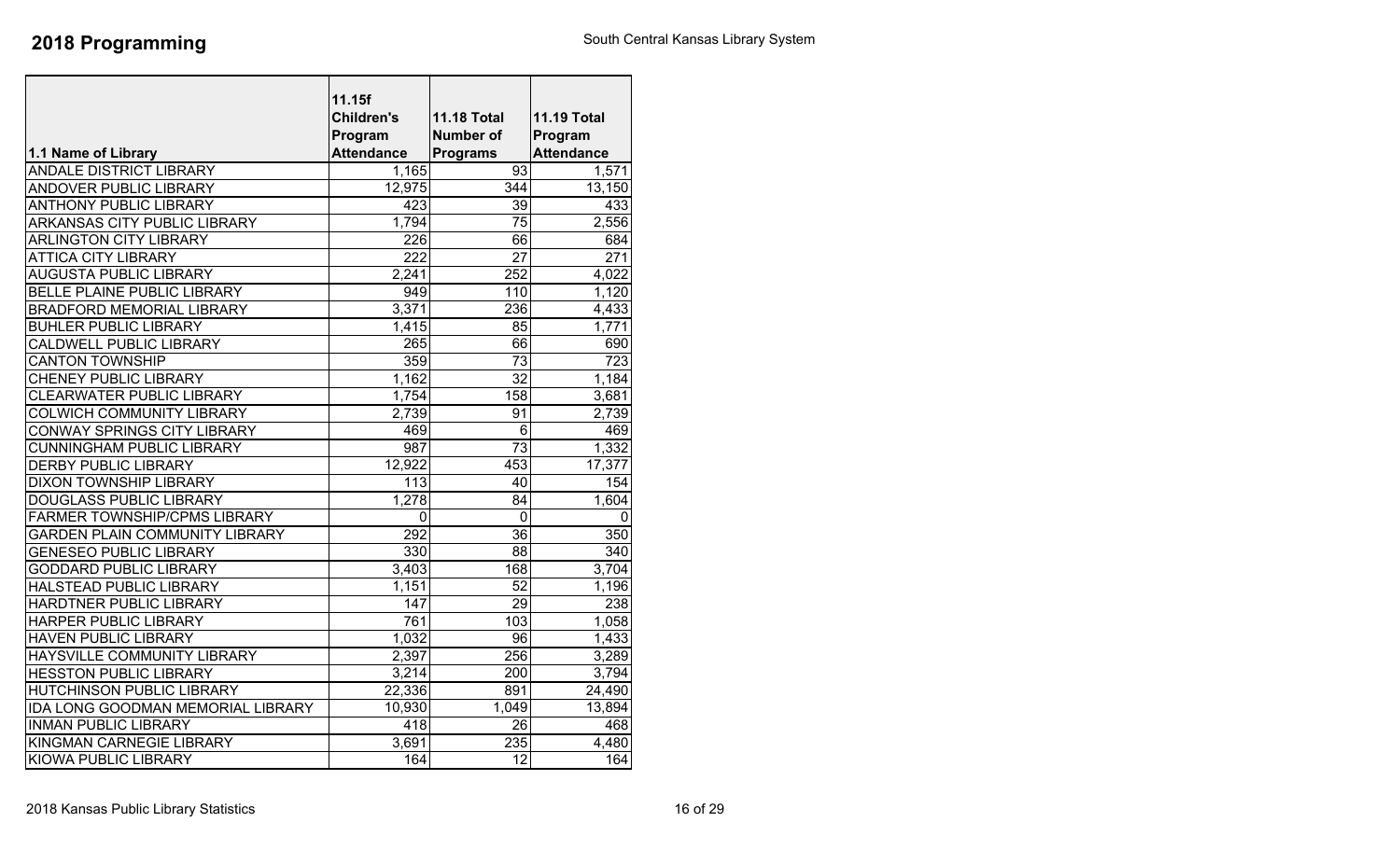|                                          | 11.15f<br><b>Children's</b><br>Program | <b>11.18 Total</b><br><b>Number of</b> | <b>11.19 Total</b><br>Program |
|------------------------------------------|----------------------------------------|----------------------------------------|-------------------------------|
| 1.1 Name of Library                      | <b>Attendance</b>                      | <b>Programs</b>                        | <b>Attendance</b>             |
| <b>ANDALE DISTRICT LIBRARY</b>           | 1,165                                  | 93                                     | 1,571                         |
| <b>ANDOVER PUBLIC LIBRARY</b>            | 12,975                                 | 344                                    | 13,150                        |
| <b>ANTHONY PUBLIC LIBRARY</b>            | 423                                    | 39                                     | 433                           |
| ARKANSAS CITY PUBLIC LIBRARY             | 1,794                                  | 75                                     | 2,556                         |
| <b>ARLINGTON CITY LIBRARY</b>            | 226                                    | 66                                     | 684                           |
| <b>ATTICA CITY LIBRARY</b>               | $\overline{222}$                       | 27                                     | $\overline{271}$              |
| <b>AUGUSTA PUBLIC LIBRARY</b>            | 2,241                                  | 252                                    | 4,022                         |
| <b>BELLE PLAINE PUBLIC LIBRARY</b>       | 949                                    | 110                                    | 1,120                         |
| <b>BRADFORD MEMORIAL LIBRARY</b>         | 3,371                                  | 236                                    | 4,433                         |
| <b>BUHLER PUBLIC LIBRARY</b>             | 1,415                                  | 85                                     | 1,771                         |
| CALDWELL PUBLIC LIBRARY                  | 265                                    | 66                                     | 690                           |
| <b>CANTON TOWNSHIP</b>                   | 359                                    | $\overline{73}$                        | 723                           |
| <b>CHENEY PUBLIC LIBRARY</b>             | 1,162                                  | $\overline{32}$                        | 1,184                         |
| <b>CLEARWATER PUBLIC LIBRARY</b>         | 1,754                                  | 158                                    | 3,681                         |
| <b>COLWICH COMMUNITY LIBRARY</b>         | 2,739                                  | 91                                     | 2,739                         |
| CONWAY SPRINGS CITY LIBRARY              | 469                                    | 6                                      | 469                           |
| <b>CUNNINGHAM PUBLIC LIBRARY</b>         | $\overline{987}$                       | $\overline{73}$                        | 1,332                         |
| <b>DERBY PUBLIC LIBRARY</b>              | 12,922                                 | 453                                    | 17,377                        |
| <b>DIXON TOWNSHIP LIBRARY</b>            | $\overline{113}$                       | 40                                     | 154                           |
| DOUGLASS PUBLIC LIBRARY                  | 1,278                                  | 84                                     | 1,604                         |
| FARMER TOWNSHIP/CPMS LIBRARY             | 0                                      | 0                                      | 0                             |
| <b>GARDEN PLAIN COMMUNITY LIBRARY</b>    | 292                                    | 36                                     | 350                           |
| <b>GENESEO PUBLIC LIBRARY</b>            | 330                                    | 88                                     | 340                           |
| <b>GODDARD PUBLIC LIBRARY</b>            | 3,403                                  | 168                                    | 3,704                         |
| <b>HALSTEAD PUBLIC LIBRARY</b>           | 1,151                                  | 52                                     | 1,196                         |
| HARDTNER PUBLIC LIBRARY                  | $\overline{147}$                       | $\overline{29}$                        | 238                           |
| HARPER PUBLIC LIBRARY                    | 761                                    | 103                                    | 1,058                         |
| <b>HAVEN PUBLIC LIBRARY</b>              | 1,032                                  | 96                                     | 1,433                         |
| HAYSVILLE COMMUNITY LIBRARY              | 2,397                                  | 256                                    | 3,289                         |
| <b>HESSTON PUBLIC LIBRARY</b>            | 3,214                                  | 200                                    | 3,794                         |
| <b>HUTCHINSON PUBLIC LIBRARY</b>         | $\overline{2}2,336$                    | 891                                    | 24,490                        |
| <b>IDA LONG GOODMAN MEMORIAL LIBRARY</b> | 10,930                                 | 1,049                                  | 13,894                        |
| <b>INMAN PUBLIC LIBRARY</b>              | 418                                    | 26                                     | 468                           |
| KINGMAN CARNEGIE LIBRARY                 | 3,691                                  | 235                                    | 4,480                         |
| <b>KIOWA PUBLIC LIBRARY</b>              | 164                                    | $\overline{12}$                        | 164                           |
|                                          |                                        |                                        |                               |

 $\mathbf I$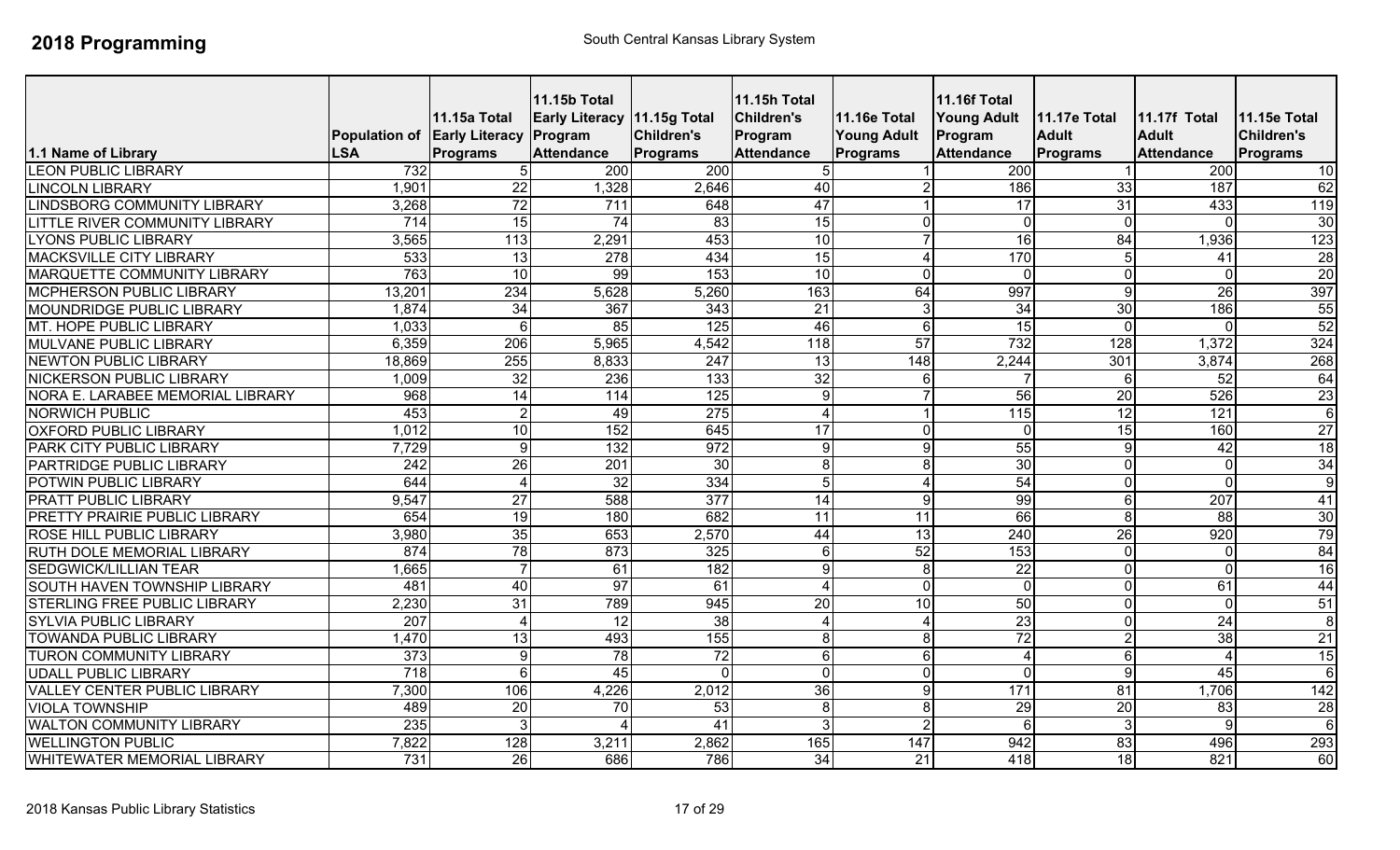| 1.1 Name of Library                 | <b>LSA</b>       | 11.15a Total<br>Population of Early Literacy Program<br>Programs | <b>11.15b Total</b><br>Early Literacy 11.15g Total<br><b>Attendance</b> | <b>Children's</b><br><b>Programs</b> | <b>11.15h Total</b><br><b>Children's</b><br>Program<br><b>Attendance</b> | <b>11.16e Total</b><br><b>Young Adult</b><br><b>Programs</b> | <b>11.16f Total</b><br><b>Young Adult</b><br>Program<br><b>Attendance</b> | 11.17e Total<br><b>Adult</b><br><b>Programs</b> | 11.17f Total<br><b>Adult</b><br><b>Attendance</b> | 11.15e Total<br><b>Children's</b><br>Programs |
|-------------------------------------|------------------|------------------------------------------------------------------|-------------------------------------------------------------------------|--------------------------------------|--------------------------------------------------------------------------|--------------------------------------------------------------|---------------------------------------------------------------------------|-------------------------------------------------|---------------------------------------------------|-----------------------------------------------|
| <b>LEON PUBLIC LIBRARY</b>          | 732              |                                                                  | 200                                                                     | 200                                  | 5                                                                        |                                                              | 200                                                                       |                                                 | 200                                               | 10                                            |
| <b>LINCOLN LIBRARY</b>              | 1,901            | $\overline{22}$                                                  | 1,328                                                                   | 2,646                                | 40                                                                       |                                                              | 186                                                                       | 33                                              | 187                                               | 62                                            |
| <b>LINDSBORG COMMUNITY LIBRARY</b>  | 3,268            | $\overline{72}$                                                  | $\overline{711}$                                                        | 648                                  | 47                                                                       |                                                              | 17                                                                        | $\overline{31}$                                 | 433                                               | 119                                           |
| LITTLE RIVER COMMUNITY LIBRARY      | $\overline{714}$ | 15                                                               | $\overline{74}$                                                         | 83                                   | 15                                                                       | $\mathbf{0}$                                                 | $\mathbf{0}$                                                              | $\mathbf{0}$                                    | $\Omega$                                          | 30                                            |
| <b>LYONS PUBLIC LIBRARY</b>         | 3,565            | $\overline{113}$                                                 | 2,291                                                                   | 453                                  | $\overline{10}$                                                          |                                                              | $\overline{16}$                                                           | 84                                              | 1,936                                             | 123                                           |
| <b>MACKSVILLE CITY LIBRARY</b>      | $\overline{533}$ | $\overline{13}$                                                  | 278                                                                     | 434                                  | 15                                                                       | 4                                                            | 170                                                                       |                                                 | 41                                                | $\overline{28}$                               |
| <b>MARQUETTE COMMUNITY LIBRARY</b>  | 763              | 10                                                               | $\overline{99}$                                                         | 153                                  | $\overline{10}$                                                          | $\Omega$                                                     | $\Omega$                                                                  | $\Omega$                                        | $\mathbf{0}$                                      | $\overline{20}$                               |
| <b>MCPHERSON PUBLIC LIBRARY</b>     | 13,201           | 234                                                              | 5,628                                                                   | 5,260                                | 163                                                                      | 64                                                           | 997                                                                       |                                                 | 26                                                | 397                                           |
| <b>MOUNDRIDGE PUBLIC LIBRARY</b>    | 1,874            | 34                                                               | 367                                                                     | 343                                  | $\overline{21}$                                                          | 3                                                            | $\overline{34}$                                                           | $\overline{30}$                                 | 186                                               | 55                                            |
| MT. HOPE PUBLIC LIBRARY             | 1,033            | 6                                                                | 85                                                                      | 125                                  | 46                                                                       | 6                                                            | 15                                                                        | $\Omega$                                        | $\Omega$                                          | 52                                            |
| <b>MULVANE PUBLIC LIBRARY</b>       | 6,359            | 206                                                              | 5,965                                                                   | 4,542                                | 118                                                                      | 57                                                           | 732                                                                       | $\overline{128}$                                | 1,372                                             | 324                                           |
| <b>NEWTON PUBLIC LIBRARY</b>        | 18,869           | 255                                                              | 8,833                                                                   | 247                                  | 13                                                                       | 148                                                          | 2,244                                                                     | 301                                             | 3,874                                             | 268                                           |
| <b>NICKERSON PUBLIC LIBRARY</b>     | 1,009            | $\overline{32}$                                                  | 236                                                                     | 133                                  | 32                                                                       | 6                                                            |                                                                           | 6                                               | 52                                                | 64                                            |
| NORA E. LARABEE MEMORIAL LIBRARY    | 968              | 14                                                               | 114                                                                     | 125                                  | 9                                                                        |                                                              | 56                                                                        | 20                                              | 526                                               | 23                                            |
| <b>NORWICH PUBLIC</b>               | 453              | $\overline{2}$                                                   | 49                                                                      | $\overline{275}$                     | $\boldsymbol{\Delta}$                                                    |                                                              | $\overline{115}$                                                          | 12                                              | 121                                               | 6                                             |
| <b>OXFORD PUBLIC LIBRARY</b>        | 1,012            | $\overline{10}$                                                  | 152                                                                     | 645                                  | $\overline{17}$                                                          | $\Omega$                                                     | $\mathbf{0}$                                                              | $\overline{15}$                                 | 160                                               | 27                                            |
| PARK CITY PUBLIC LIBRARY            | 7,729            | $\overline{9}$                                                   | 132                                                                     | 972                                  | $\boldsymbol{9}$                                                         | $\overline{9}$                                               | 55                                                                        | 9                                               | 42                                                | $\overline{18}$                               |
| PARTRIDGE PUBLIC LIBRARY            | $\overline{242}$ | 26                                                               | $\overline{201}$                                                        | 30                                   | 8                                                                        | 8                                                            | 30                                                                        | $\Omega$                                        | $\mathbf 0$                                       | 34                                            |
| POTWIN PUBLIC LIBRARY               | 644              | 4                                                                | $\overline{32}$                                                         | 334                                  | 5                                                                        |                                                              | 54                                                                        |                                                 | $\Omega$                                          | 9                                             |
| <b>PRATT PUBLIC LIBRARY</b>         | 9,547            | 27                                                               | 588                                                                     | 377                                  | $\overline{14}$                                                          | 9                                                            | 99                                                                        | 6                                               | 207                                               | 41                                            |
| PRETTY PRAIRIE PUBLIC LIBRARY       | 654              | 19                                                               | 180                                                                     | 682                                  | 11                                                                       | 11                                                           | 66                                                                        |                                                 | 88                                                | 30                                            |
| <b>ROSE HILL PUBLIC LIBRARY</b>     | 3,980            | $\overline{35}$                                                  | 653                                                                     | 2,570                                | 44                                                                       | $\overline{13}$                                              | 240                                                                       | 26                                              | 920                                               | 79                                            |
| <b>RUTH DOLE MEMORIAL LIBRARY</b>   | 874              | 78                                                               | 873                                                                     | 325                                  | $6\phantom{1}$                                                           | 52                                                           | 153                                                                       |                                                 | $\mathbf 0$                                       | 84                                            |
| <b>SEDGWICK/LILLIAN TEAR</b>        | 1,665            | $\overline{7}$                                                   | 61                                                                      | 182                                  | 9                                                                        | 8                                                            | $\overline{22}$                                                           | $\Omega$                                        | $\mathbf 0$                                       | 16                                            |
| <b>SOUTH HAVEN TOWNSHIP LIBRARY</b> | 481              | 40                                                               | 97                                                                      | 61                                   | $\boldsymbol{\varDelta}$                                                 | $\mathbf 0$                                                  | $\Omega$                                                                  |                                                 | 61                                                | 44                                            |
| <b>STERLING FREE PUBLIC LIBRARY</b> | 2,230            | 31                                                               | 789                                                                     | 945                                  | 20                                                                       | 10                                                           | 50                                                                        |                                                 | $\Omega$                                          | 51                                            |
| <b>SYLVIA PUBLIC LIBRARY</b>        | 207              | 4                                                                | 12                                                                      | 38                                   | $\boldsymbol{\Delta}$                                                    |                                                              | $\overline{23}$                                                           |                                                 | $\overline{24}$                                   | $\boldsymbol{8}$                              |
| <b>TOWANDA PUBLIC LIBRARY</b>       | ,470             | 13                                                               | 493                                                                     | 155                                  | 8                                                                        | 8                                                            | $\overline{72}$                                                           |                                                 | 38                                                | $\overline{21}$                               |
| <b>TURON COMMUNITY LIBRARY</b>      | $\overline{373}$ | 9                                                                | 78                                                                      | $\overline{72}$                      | 6                                                                        | 6                                                            | Δ                                                                         | 6                                               | $\boldsymbol{\Delta}$                             | 15                                            |
| <b>UDALL PUBLIC LIBRARY</b>         | 718              | 6                                                                | 45                                                                      |                                      | $\mathbf 0$                                                              | $\Omega$                                                     | $\Omega$                                                                  | g                                               | 45                                                | 6                                             |
| <b>VALLEY CENTER PUBLIC LIBRARY</b> | 7,300            | 106                                                              | 4,226                                                                   | 2,012                                | 36                                                                       | $\overline{9}$                                               | $\overline{171}$                                                          | 81                                              | 1,706                                             | 142                                           |
| <b>VIOLA TOWNSHIP</b>               | 489              | 20                                                               | $\overline{70}$                                                         | 53                                   | 8                                                                        | 8                                                            | 29                                                                        | 20                                              | 83                                                | $\overline{28}$                               |
| <b>WALTON COMMUNITY LIBRARY</b>     | 235              | 3                                                                | $\boldsymbol{\varLambda}$                                               | 41                                   | 3                                                                        | $\mathcal{D}$                                                | 6                                                                         |                                                 | 9                                                 | 6                                             |
| <b>WELLINGTON PUBLIC</b>            | 7,822            | 128                                                              | 3,211                                                                   | 2,862                                | 165                                                                      | 147                                                          | 942                                                                       | 83                                              | 496                                               | 293                                           |
| <b>WHITEWATER MEMORIAL LIBRARY</b>  | 731              | 26                                                               | 686                                                                     | 786                                  | 34                                                                       | 21                                                           | 418                                                                       | 18                                              | 821                                               | 60                                            |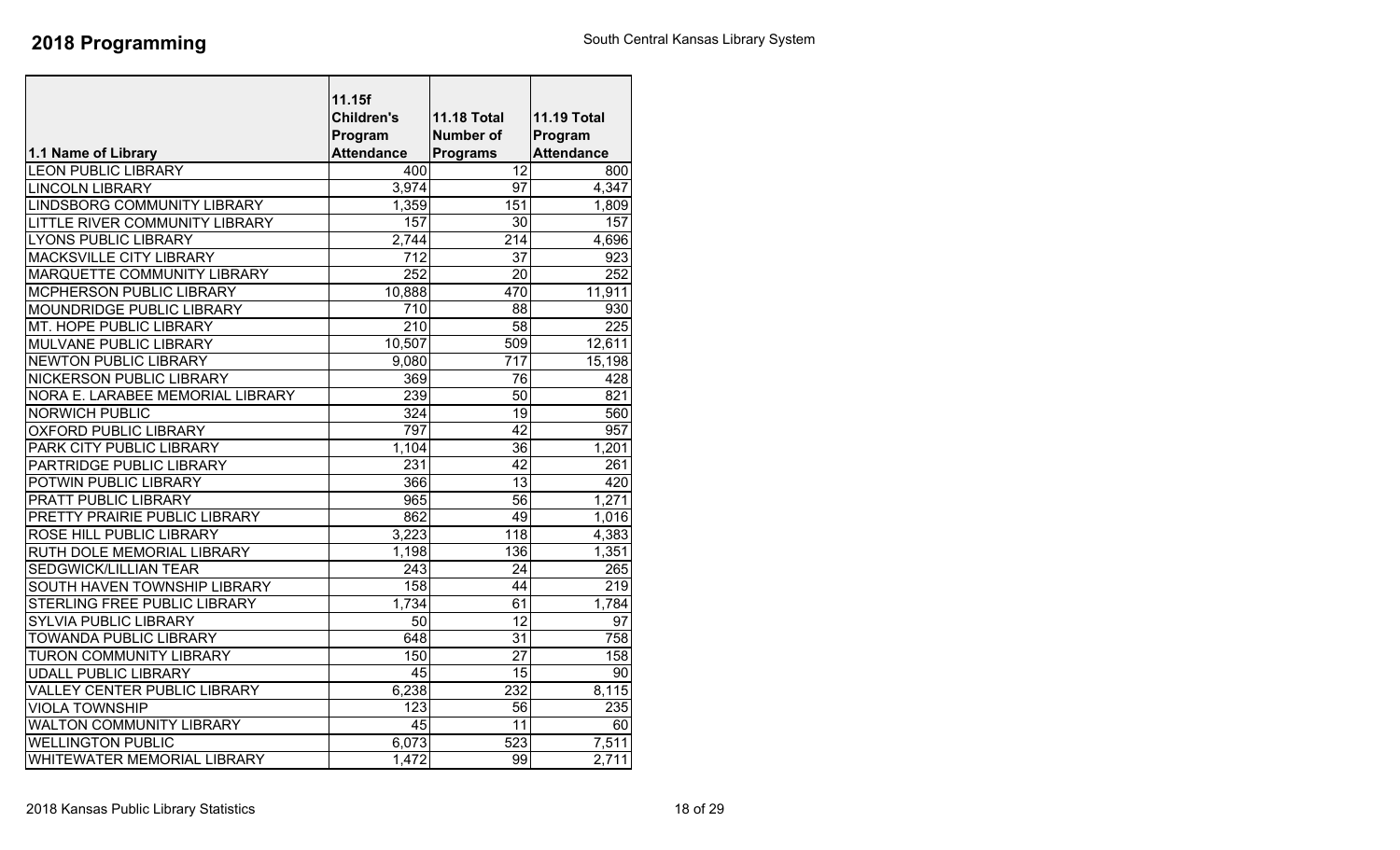|                                     | 11.15f             |                    |                    |
|-------------------------------------|--------------------|--------------------|--------------------|
|                                     | <b>Children's</b>  | <b>11.18 Total</b> | <b>11.19 Total</b> |
|                                     | Program            | <b>Number of</b>   | Program            |
| 1.1 Name of Library                 | <b>Attendance</b>  | <b>Programs</b>    | <b>Attendance</b>  |
| <b>LEON PUBLIC LIBRARY</b>          | 400                | 12                 | 800                |
| <b>LINCOLN LIBRARY</b>              | 3,974              | 97                 | 4,347              |
| LINDSBORG COMMUNITY LIBRARY         | 1,359              | 151                | 1,809              |
| LITTLE RIVER COMMUNITY LIBRARY      | 157                | $\overline{30}$    | 157                |
| <b>LYONS PUBLIC LIBRARY</b>         | 2.744              | 214                | 4,696              |
| <b>MACKSVILLE CITY LIBRARY</b>      | $\overline{712}$   | $\overline{37}$    | 923                |
| MARQUETTE COMMUNITY LIBRARY         | 252                | 20                 | 252                |
| MCPHERSON PUBLIC LIBRARY            | 10,888             | 470                | 11,911             |
| MOUNDRIDGE PUBLIC LIBRARY           | 710                | 88                 | 930                |
| MT. HOPE PUBLIC LIBRARY             | 210                | $\overline{58}$    | $\overline{225}$   |
| <b>MULVANE PUBLIC LIBRARY</b>       | 10,507             | 509                | 12,611             |
| <b>NEWTON PUBLIC LIBRARY</b>        | 9,080              | $\overline{717}$   | 15,198             |
| <b>NICKERSON PUBLIC LIBRARY</b>     | 369                | 76                 | 428                |
| NORA E. LARABEE MEMORIAL LIBRARY    | 239                | 50                 | 821                |
| <b>NORWICH PUBLIC</b>               | 324                | 19                 | 560                |
| <b>OXFORD PUBLIC LIBRARY</b>        | 797                | 42                 | 957                |
| PARK CITY PUBLIC LIBRARY            | $\overline{1,}104$ | $\overline{36}$    | 1,201              |
| PARTRIDGE PUBLIC LIBRARY            | $\overline{231}$   | $\overline{42}$    | 261                |
| POTWIN PUBLIC LIBRARY               | 366                | 13                 | 420                |
| PRATT PUBLIC LIBRARY                | 965                | 56                 | 1,271              |
| PRETTY PRAIRIE PUBLIC LIBRARY       | 862                | 49                 | 1,016              |
| ROSE HILL PUBLIC LIBRARY            | 3,223              | $\overline{118}$   | 4,383              |
| RUTH DOLE MEMORIAL LIBRARY          | 1,198              | 136                | 1,351              |
| <b>SEDGWICK/LILLIAN TEAR</b>        | $\overline{243}$   | 24                 | 265                |
| SOUTH HAVEN TOWNSHIP LIBRARY        | 158                | 44                 | $\overline{219}$   |
| <b>STERLING FREE PUBLIC LIBRARY</b> | 1,734              | 61                 | 1,784              |
| <b>SYLVIA PUBLIC LIBRARY</b>        | 50                 | 12                 | 97                 |
| <b>TOWANDA PUBLIC LIBRARY</b>       | 648                | 31                 | 758                |
| <b>TURON COMMUNITY LIBRARY</b>      | 150                | 27                 | 158                |
| <b>UDALL PUBLIC LIBRARY</b>         | $\overline{45}$    | $\overline{15}$    | 90                 |
| <b>VALLEY CENTER PUBLIC LIBRARY</b> | 6,238              | $\overline{232}$   | 8,115              |
| <b>VIOLA TOWNSHIP</b>               | 123                | 56                 | 235                |
| <b>WALTON COMMUNITY LIBRARY</b>     | 45                 | 11                 | 60                 |
| <b>WELLINGTON PUBLIC</b>            | 6,073              | 523                | 7,511              |
| WHITEWATER MEMORIAL LIBRARY         | 1,472              | 99                 | 2,711              |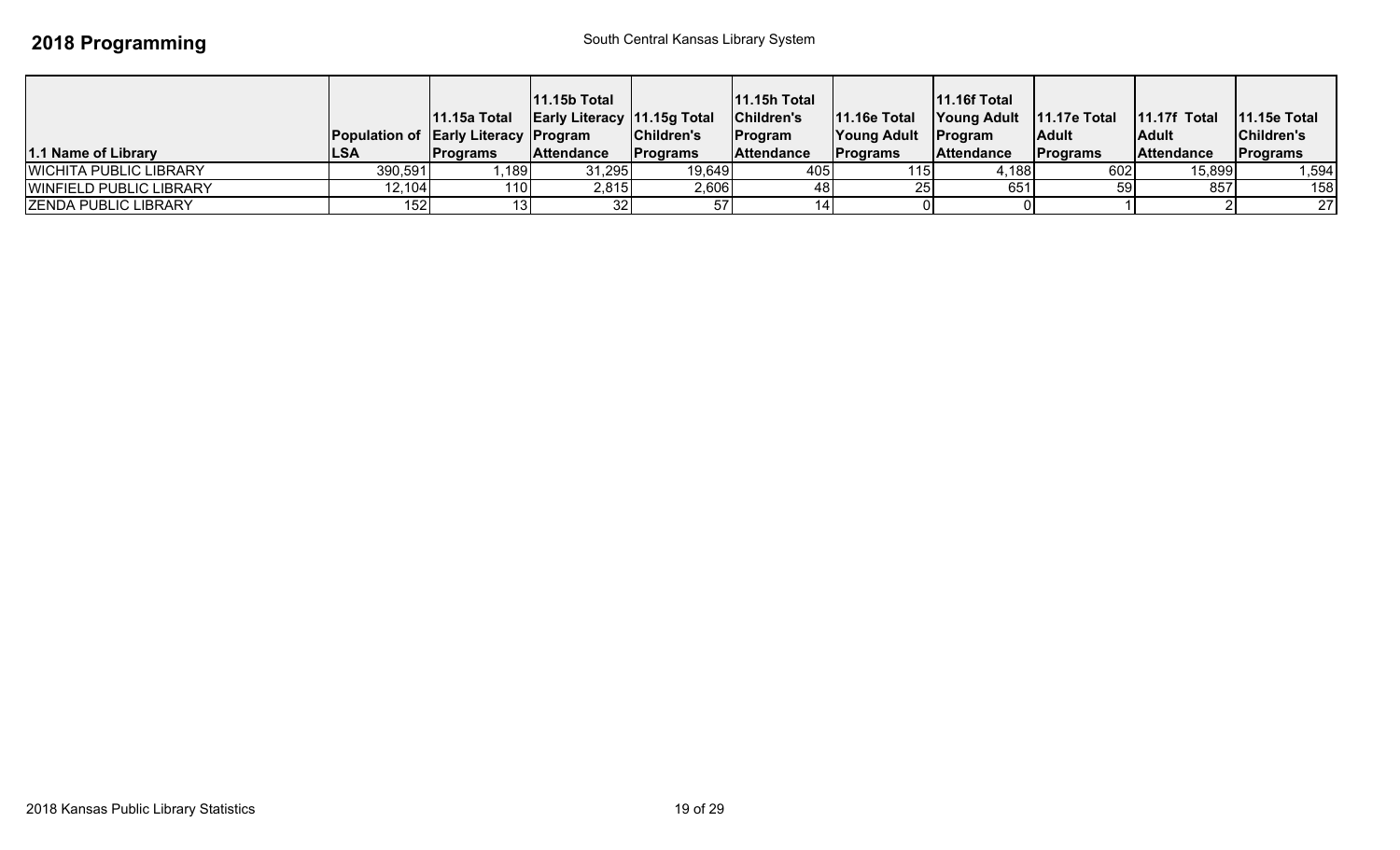| 1.1 Name of Library            | <b>Population of Early Literacy Program</b><br><b>ILSA</b> | 11.15a Total<br><b>Programs</b> | <b>11.15b Total</b><br>Early Literacy   11.15g Total   Children's<br>Attendance | Children's<br><b>IPrograms</b> | 11.15h Total<br>Program<br><b>Attendance</b> | 11.16e Total   Young Adult   11.17e Total   11.17f Total<br>Young Adult   Program<br><b>Programs</b> | <b>11.16f Total</b><br>Attendance | <b>Adult</b><br><b>Programs</b> | <b>Adult</b><br><b>Attendance</b> | $11.15e$ Total<br>Children's<br><b>Programs</b> |
|--------------------------------|------------------------------------------------------------|---------------------------------|---------------------------------------------------------------------------------|--------------------------------|----------------------------------------------|------------------------------------------------------------------------------------------------------|-----------------------------------|---------------------------------|-----------------------------------|-------------------------------------------------|
| <b>WICHITA PUBLIC LIBRARY</b>  | 390,591                                                    | ,189                            | 31,295                                                                          | 19,649                         | 405                                          | 115 <sub>1</sub>                                                                                     | 4,188                             | 602                             | 15,899                            | 1,594                                           |
| <b>WINFIELD PUBLIC LIBRARY</b> | 12,104                                                     | 110l                            | 2,815                                                                           | 2,606                          | 48                                           |                                                                                                      | 651                               |                                 | 857                               | 158                                             |
| <b>ZENDA PUBLIC LIBRARY</b>    | 152                                                        |                                 |                                                                                 | 57                             |                                              |                                                                                                      |                                   |                                 |                                   | 27                                              |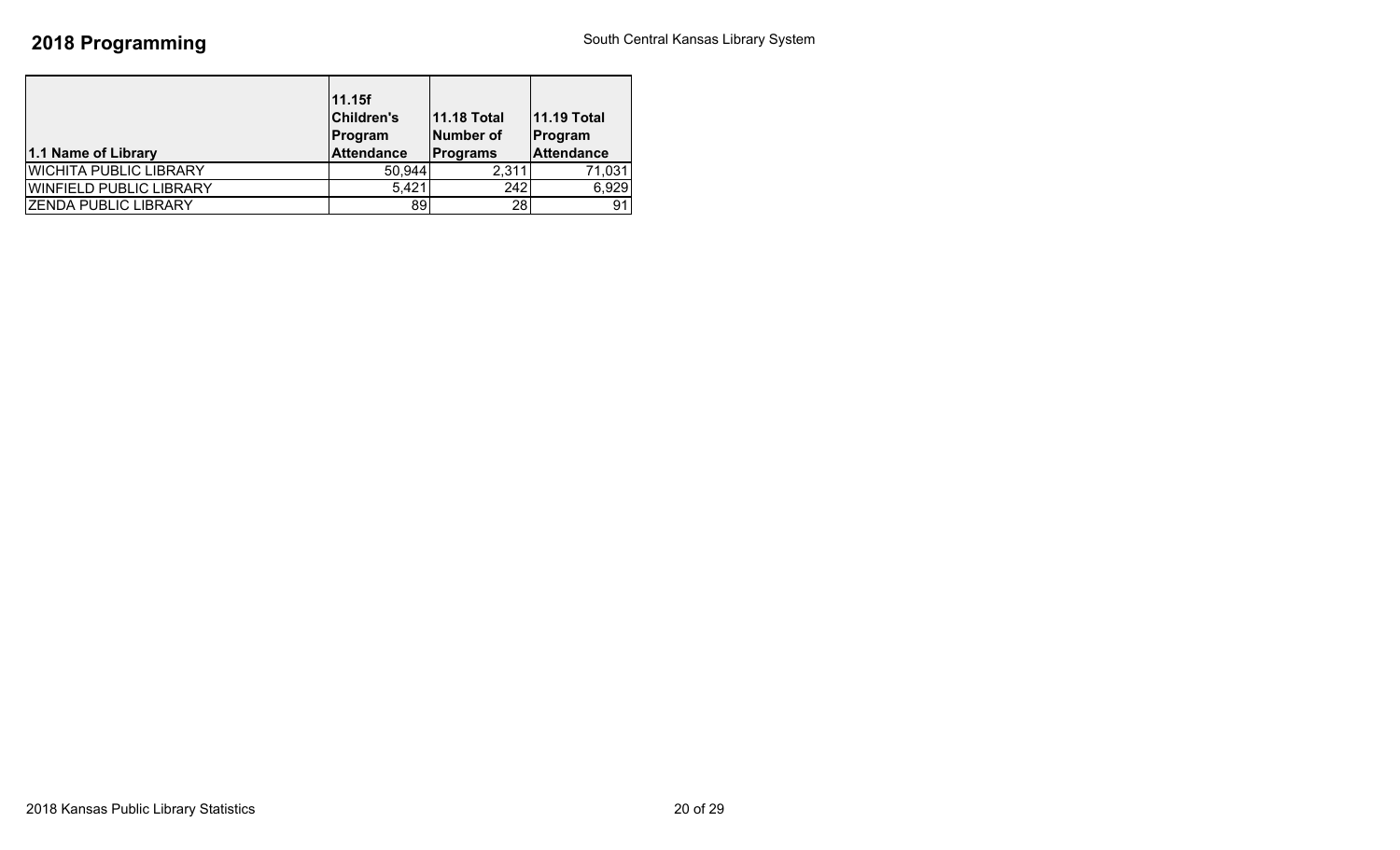| 1.1 Name of Library            | 11.15f<br><b>Children's</b><br>Program<br><b>Attendance</b> | <b>11.18 Total</b><br>Number of<br><b>Programs</b> | <b>11.19 Total</b><br>Program<br><b>Attendance</b> |
|--------------------------------|-------------------------------------------------------------|----------------------------------------------------|----------------------------------------------------|
| <b>WICHITA PUBLIC LIBRARY</b>  | 50,944                                                      | 2,311                                              | 71,031                                             |
| <b>WINFIELD PUBLIC LIBRARY</b> | 5,421                                                       | 242                                                | 6,929                                              |
| <b>ZENDA PUBLIC LIBRARY</b>    | 89                                                          | 28                                                 | 91                                                 |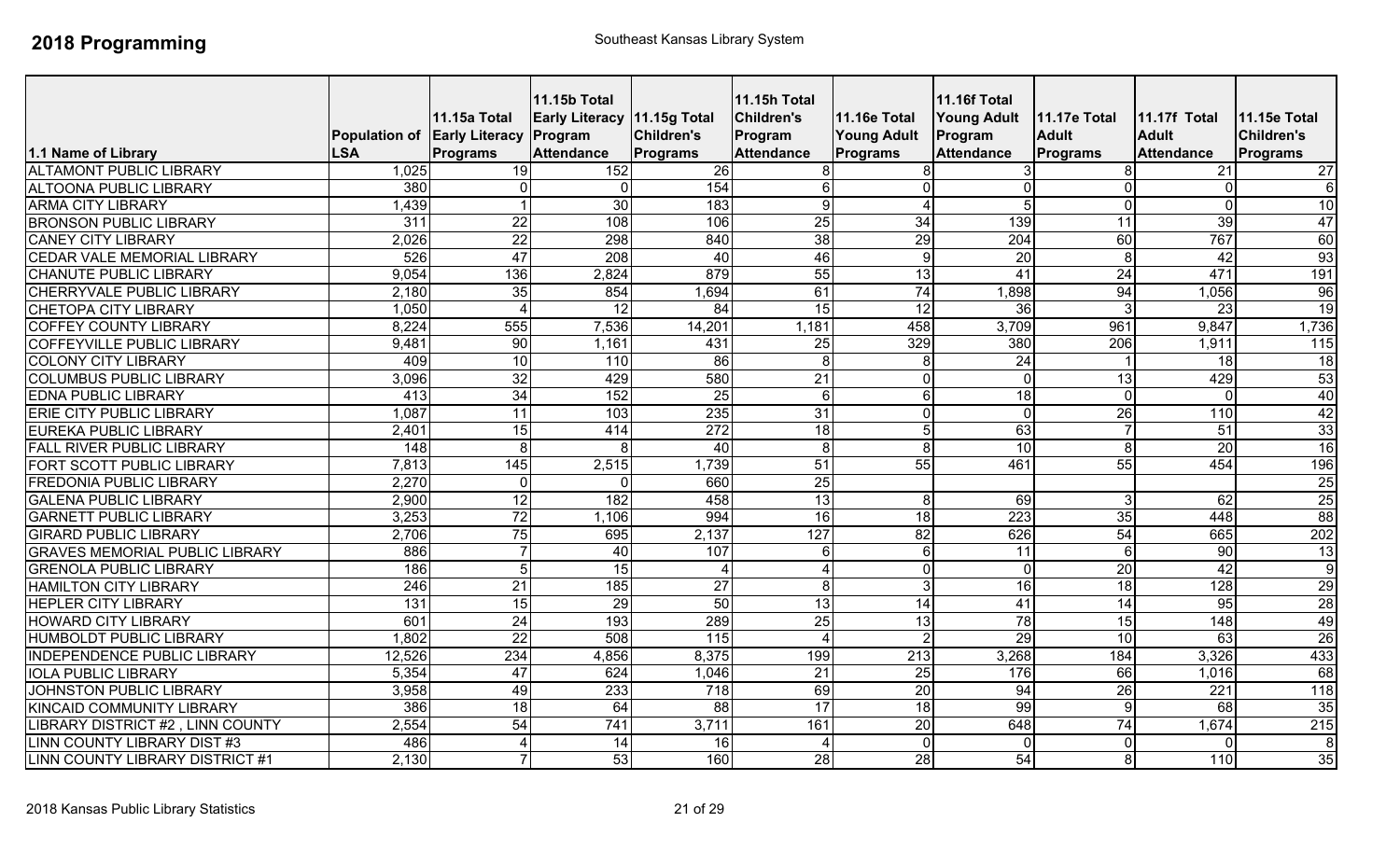| 1.1 Name of Library                   | Population of Early Literacy Program<br><b>LSA</b> | 11.15a Total<br>Programs | <b>11.15b Total</b><br>Early Literacy 11.15g Total<br><b>Attendance</b> | <b>Children's</b><br><b>Programs</b> | <b>11.15h Total</b><br><b>Children's</b><br>Program<br><b>Attendance</b> | <b>11.16e Total</b><br><b>Young Adult</b><br><b>Programs</b> | <b>11.16f Total</b><br><b>Young Adult</b><br>Program<br><b>Attendance</b> | 11.17e Total<br><b>Adult</b><br><b>Programs</b> | 11.17f Total<br><b>Adult</b><br><b>Attendance</b> | 11.15e Total<br><b>Children's</b><br><b>Programs</b> |
|---------------------------------------|----------------------------------------------------|--------------------------|-------------------------------------------------------------------------|--------------------------------------|--------------------------------------------------------------------------|--------------------------------------------------------------|---------------------------------------------------------------------------|-------------------------------------------------|---------------------------------------------------|------------------------------------------------------|
| <b>ALTAMONT PUBLIC LIBRARY</b>        | 1,025                                              | 19                       | 152                                                                     | $\overline{26}$                      | 8                                                                        |                                                              |                                                                           |                                                 | $\overline{21}$                                   | 27                                                   |
| <b>ALTOONA PUBLIC LIBRARY</b>         | 380                                                | $\Omega$                 | $\Omega$                                                                | 154                                  | $6\phantom{1}$                                                           |                                                              |                                                                           |                                                 | $\Omega$                                          | $6\phantom{1}$                                       |
| <b>ARMA CITY LIBRARY</b>              | 1,439                                              |                          | 30                                                                      | 183                                  | $\overline{9}$                                                           | $\overline{4}$                                               | $\sqrt{5}$                                                                | $\Omega$                                        | $\mathbf 0$                                       | $\overline{10}$                                      |
| <b>BRONSON PUBLIC LIBRARY</b>         | $\overline{311}$                                   | $\overline{22}$          | 108                                                                     | 106                                  | 25                                                                       | $\overline{34}$                                              | 139                                                                       | $\overline{11}$                                 | $\overline{39}$                                   | 47                                                   |
| <b>CANEY CITY LIBRARY</b>             | 2,026                                              | $\overline{22}$          | 298                                                                     | 840                                  | 38                                                                       | $\overline{29}$                                              | 204                                                                       | 60                                              | 767                                               | 60                                                   |
| <b>CEDAR VALE MEMORIAL LIBRARY</b>    | 526                                                | 47                       | $\overline{208}$                                                        | 40                                   | 46                                                                       | 9                                                            | 20                                                                        | 8                                               | 42                                                | 93                                                   |
| <b>CHANUTE PUBLIC LIBRARY</b>         | 9,054                                              | 136                      | 2,824                                                                   | 879                                  | 55                                                                       | 13                                                           | 41                                                                        | 24                                              | 471                                               | 191                                                  |
| CHERRYVALE PUBLIC LIBRARY             | 2,180                                              | 35                       | 854                                                                     | 1,694                                | 61                                                                       | 74                                                           | 1,898                                                                     | 94                                              | 1,056                                             | 96                                                   |
| <b>CHETOPA CITY LIBRARY</b>           | 1,050                                              | $\Delta$                 | 12                                                                      | 84                                   | 15                                                                       | 12                                                           | 36                                                                        |                                                 | 23                                                | 19                                                   |
| <b>COFFEY COUNTY LIBRARY</b>          | 8,224                                              | 555                      | 7,536                                                                   | 14,201                               | 1,181                                                                    | 458                                                          | 3,709                                                                     | 961                                             | 9,847                                             | 1,736                                                |
| <b>COFFEYVILLE PUBLIC LIBRARY</b>     | 9,481                                              | 90                       | 1,161                                                                   | 431                                  | 25                                                                       | 329                                                          | 380                                                                       | $\overline{206}$                                | 1,911                                             | $\overline{115}$                                     |
| <b>COLONY CITY LIBRARY</b>            | 409                                                | 10                       | 110                                                                     | 86                                   | 8                                                                        | 8                                                            | $\overline{24}$                                                           |                                                 | 18                                                | $\overline{18}$                                      |
| <b>COLUMBUS PUBLIC LIBRARY</b>        | 3,096                                              | 32                       | 429                                                                     | 580                                  | $\overline{21}$                                                          | $\Omega$                                                     | $\mathbf 0$                                                               | 13                                              | 429                                               | 53                                                   |
| <b>EDNA PUBLIC LIBRARY</b>            | 413                                                | 34                       | 152                                                                     | 25                                   | 6                                                                        | 6                                                            | 18                                                                        | $\Omega$                                        | $\Omega$                                          | 40                                                   |
| ERIE CITY PUBLIC LIBRARY              | 1,087                                              | 11                       | 103                                                                     | 235                                  | 31                                                                       | $\Omega$                                                     | $\Omega$                                                                  | 26                                              | 110                                               | 42                                                   |
| <b>EUREKA PUBLIC LIBRARY</b>          | 2,401                                              | $\overline{15}$          | 414                                                                     | 272                                  | $\overline{18}$                                                          |                                                              | 63                                                                        |                                                 | 51                                                | $\overline{33}$                                      |
| <b>FALL RIVER PUBLIC LIBRARY</b>      | 148                                                | 8                        | 8                                                                       | 40                                   | $\overline{8}$                                                           | 8                                                            | 10                                                                        |                                                 | 20                                                | 16                                                   |
| FORT SCOTT PUBLIC LIBRARY             | 7,813                                              | 145                      | 2,515                                                                   | ,739                                 | 51                                                                       | $\overline{55}$                                              | 461                                                                       | $\overline{55}$                                 | 454                                               | 196                                                  |
| <b>FREDONIA PUBLIC LIBRARY</b>        | 2,270                                              | ∩                        | ∩                                                                       | 660                                  | $\overline{25}$                                                          |                                                              |                                                                           |                                                 |                                                   | 25                                                   |
| <b>GALENA PUBLIC LIBRARY</b>          | 2,900                                              | 12                       | 182                                                                     | 458                                  | 13                                                                       | 8                                                            | 69                                                                        |                                                 | 62                                                | 25                                                   |
| <b>GARNETT PUBLIC LIBRARY</b>         | 3,253                                              | 72                       | 1,106                                                                   | 994                                  | 16                                                                       | 18                                                           | 223                                                                       | 35                                              | 448                                               | $\overline{88}$                                      |
| <b>GIRARD PUBLIC LIBRARY</b>          | 2,706                                              | 75                       | 695                                                                     | 2,137                                | 127                                                                      | 82                                                           | 626                                                                       | 54                                              | 665                                               | 202                                                  |
| <b>GRAVES MEMORIAL PUBLIC LIBRARY</b> | 886                                                |                          | 40                                                                      | 107                                  | 6                                                                        | 6                                                            | $\overline{11}$                                                           | 6                                               | 90                                                | 13                                                   |
| <b>GRENOLA PUBLIC LIBRARY</b>         | 186                                                | $\overline{5}$           | 15                                                                      |                                      | $\overline{4}$                                                           | $\mathbf 0$                                                  | $\mathbf 0$                                                               | 20                                              | 42                                                | ۱o                                                   |
| <b>HAMILTON CITY LIBRARY</b>          | $\overline{246}$                                   | $\overline{21}$          | 185                                                                     | $\overline{27}$                      | $\overline{8}$                                                           | 3                                                            | 16                                                                        | 18                                              | 128                                               | 29                                                   |
| <b>HEPLER CITY LIBRARY</b>            | 131                                                | 15                       | $\overline{29}$                                                         | 50                                   | 13                                                                       | $\overline{14}$                                              | 41                                                                        | $\overline{14}$                                 | 95                                                | $\overline{28}$                                      |
| <b>HOWARD CITY LIBRARY</b>            | 601                                                | $\overline{24}$          | 193                                                                     | 289                                  | 25                                                                       | 13                                                           | $\overline{78}$                                                           | 15                                              | 148                                               | 49                                                   |
| <b>HUMBOLDT PUBLIC LIBRARY</b>        | 1,802                                              | $\overline{22}$          | 508                                                                     | 115                                  | $\boldsymbol{\varDelta}$                                                 |                                                              | 29                                                                        | 10                                              | 63                                                | 26                                                   |
| INDEPENDENCE PUBLIC LIBRARY           | 12,526                                             | 234                      | 4,856                                                                   | 8,375                                | 199                                                                      | $\overline{213}$                                             | 3,268                                                                     | 184                                             | 3,326                                             | 433                                                  |
| <b>IOLA PUBLIC LIBRARY</b>            | 5,354                                              | 47                       | 624                                                                     | 1,046                                | $\overline{21}$                                                          | 25                                                           | 176                                                                       | 66                                              | 1,016                                             | 68                                                   |
| <b>JOHNSTON PUBLIC LIBRARY</b>        | 3,958                                              | 49                       | 233                                                                     | $\overline{718}$                     | 69                                                                       | 20                                                           | 94                                                                        | $\overline{26}$                                 | $\overline{221}$                                  | 118                                                  |
| <b>KINCAID COMMUNITY LIBRARY</b>      | 386                                                | $\overline{18}$          | 64                                                                      | $\overline{88}$                      | $\overline{17}$                                                          | 18                                                           | 99                                                                        | 9                                               | 68                                                | 35                                                   |
| LIBRARY DISTRICT #2, LINN COUNTY      | 2,554                                              | 54                       | 741                                                                     | 3,711                                | 161                                                                      | 20                                                           | 648                                                                       | 74                                              | 1,674                                             | 215                                                  |
| LINN COUNTY LIBRARY DIST #3           | 486                                                | $\overline{4}$           | 14                                                                      | 16                                   | $\boldsymbol{\Delta}$                                                    | $\mathbf 0$                                                  | $\mathbf{0}$                                                              | $\Omega$                                        | $\Omega$                                          | 8                                                    |
| LINN COUNTY LIBRARY DISTRICT #1       | 2,130                                              | $\overline{7}$           | 53                                                                      | 160                                  | 28                                                                       | 28                                                           | $\overline{54}$                                                           | 8                                               | 110                                               | 35                                                   |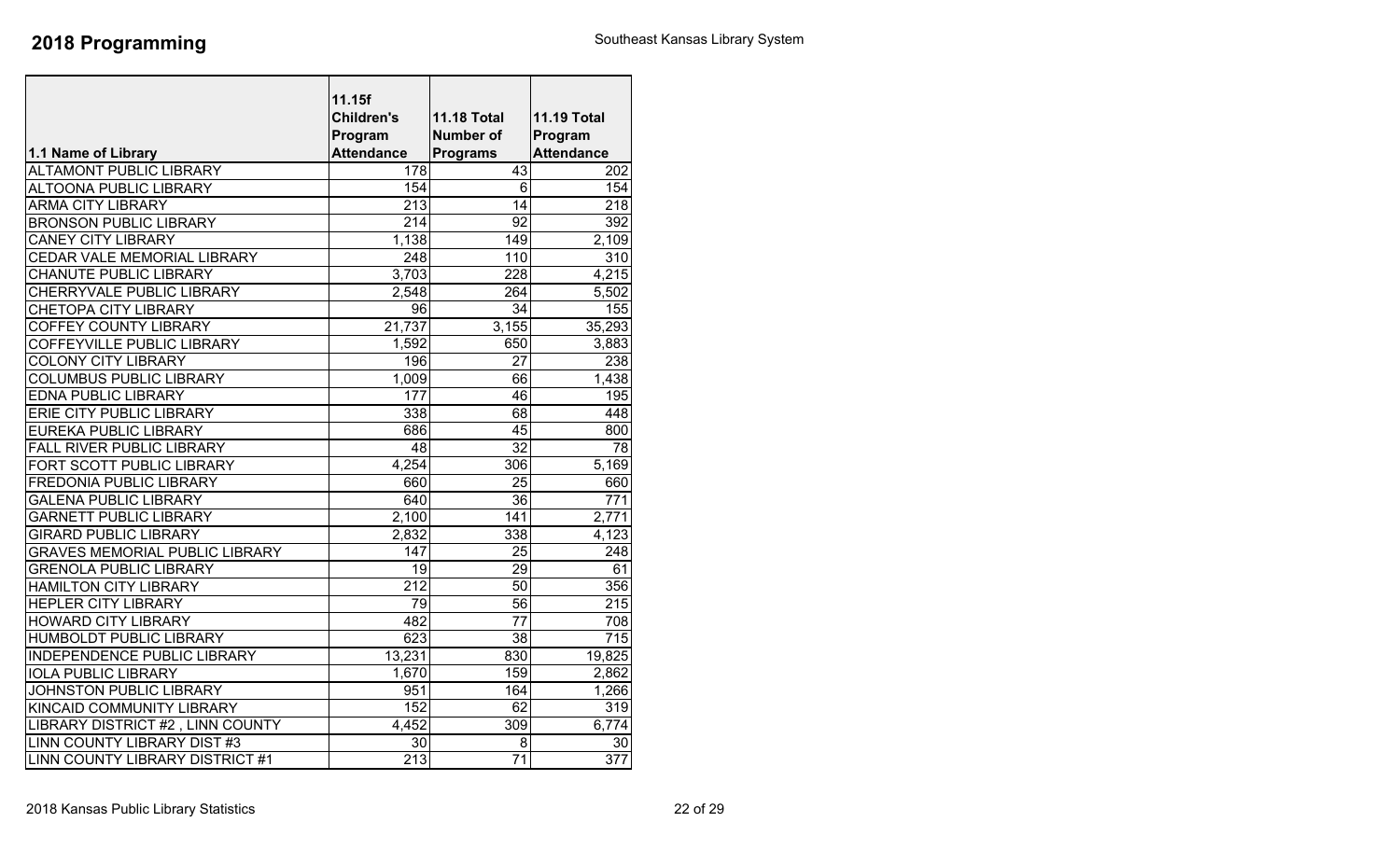| <b>Children's</b><br><b>11.18 Total</b><br><b>11.19 Total</b><br>Program<br><b>Number of</b><br>Program<br><b>Attendance</b><br><b>Attendance</b><br>1.1 Name of Library<br><b>Programs</b><br>43<br><b>ALTAMONT PUBLIC LIBRARY</b><br>178<br>202<br><b>ALTOONA PUBLIC LIBRARY</b><br>154<br>6<br>154<br><b>ARMA CITY LIBRARY</b><br>213<br>14<br>218<br>$\overline{214}$<br>$\overline{92}$<br>392<br><b>BRONSON PUBLIC LIBRARY</b><br>1,138<br><b>CANEY CITY LIBRARY</b><br>149<br>2,109<br>CEDAR VALE MEMORIAL LIBRARY<br>248<br>110<br>310<br>3,703<br>$\overline{228}$<br>4,215<br>CHANUTE PUBLIC LIBRARY<br>CHERRYVALE PUBLIC LIBRARY<br>2,548<br>264<br>5,502<br>34<br>96<br>155<br><b>COFFEY COUNTY LIBRARY</b><br>21,737<br>3,155<br>35,293<br>1,592<br>650<br>3,883<br>196<br>27<br>238<br>1,009<br>66<br>1,438<br>177<br>46<br>195<br>338<br>68<br>448<br>686<br>45<br>800<br>$\overline{32}$<br>$\overline{48}$<br>$\overline{78}$<br>4,254<br>306<br>5.169<br>25<br>660<br>660<br>640<br>36<br>771<br>2,100<br>141<br>2,771<br>338<br>2,832<br>4,123<br>147<br>25<br>248<br>29<br>19<br>61<br>$\overline{212}$<br>356<br>50<br>79<br>56<br>215<br>482<br>77<br>708<br>623<br>38<br>715<br>13,231<br>830<br>19,825<br>159<br>1,670<br>2,862<br>951<br>164<br>1,266<br>152<br>62<br>319<br>4,452<br>309<br>6,774<br>30<br>8<br>30<br>$\overline{213}$<br>$\overline{71}$<br>$\overline{377}$ |                                        |        |  |
|---------------------------------------------------------------------------------------------------------------------------------------------------------------------------------------------------------------------------------------------------------------------------------------------------------------------------------------------------------------------------------------------------------------------------------------------------------------------------------------------------------------------------------------------------------------------------------------------------------------------------------------------------------------------------------------------------------------------------------------------------------------------------------------------------------------------------------------------------------------------------------------------------------------------------------------------------------------------------------------------------------------------------------------------------------------------------------------------------------------------------------------------------------------------------------------------------------------------------------------------------------------------------------------------------------------------------------------------------------------------------------------------------------|----------------------------------------|--------|--|
|                                                                                                                                                                                                                                                                                                                                                                                                                                                                                                                                                                                                                                                                                                                                                                                                                                                                                                                                                                                                                                                                                                                                                                                                                                                                                                                                                                                                         |                                        | 11.15f |  |
|                                                                                                                                                                                                                                                                                                                                                                                                                                                                                                                                                                                                                                                                                                                                                                                                                                                                                                                                                                                                                                                                                                                                                                                                                                                                                                                                                                                                         |                                        |        |  |
|                                                                                                                                                                                                                                                                                                                                                                                                                                                                                                                                                                                                                                                                                                                                                                                                                                                                                                                                                                                                                                                                                                                                                                                                                                                                                                                                                                                                         |                                        |        |  |
|                                                                                                                                                                                                                                                                                                                                                                                                                                                                                                                                                                                                                                                                                                                                                                                                                                                                                                                                                                                                                                                                                                                                                                                                                                                                                                                                                                                                         |                                        |        |  |
|                                                                                                                                                                                                                                                                                                                                                                                                                                                                                                                                                                                                                                                                                                                                                                                                                                                                                                                                                                                                                                                                                                                                                                                                                                                                                                                                                                                                         |                                        |        |  |
|                                                                                                                                                                                                                                                                                                                                                                                                                                                                                                                                                                                                                                                                                                                                                                                                                                                                                                                                                                                                                                                                                                                                                                                                                                                                                                                                                                                                         |                                        |        |  |
|                                                                                                                                                                                                                                                                                                                                                                                                                                                                                                                                                                                                                                                                                                                                                                                                                                                                                                                                                                                                                                                                                                                                                                                                                                                                                                                                                                                                         |                                        |        |  |
|                                                                                                                                                                                                                                                                                                                                                                                                                                                                                                                                                                                                                                                                                                                                                                                                                                                                                                                                                                                                                                                                                                                                                                                                                                                                                                                                                                                                         |                                        |        |  |
|                                                                                                                                                                                                                                                                                                                                                                                                                                                                                                                                                                                                                                                                                                                                                                                                                                                                                                                                                                                                                                                                                                                                                                                                                                                                                                                                                                                                         |                                        |        |  |
|                                                                                                                                                                                                                                                                                                                                                                                                                                                                                                                                                                                                                                                                                                                                                                                                                                                                                                                                                                                                                                                                                                                                                                                                                                                                                                                                                                                                         |                                        |        |  |
|                                                                                                                                                                                                                                                                                                                                                                                                                                                                                                                                                                                                                                                                                                                                                                                                                                                                                                                                                                                                                                                                                                                                                                                                                                                                                                                                                                                                         |                                        |        |  |
|                                                                                                                                                                                                                                                                                                                                                                                                                                                                                                                                                                                                                                                                                                                                                                                                                                                                                                                                                                                                                                                                                                                                                                                                                                                                                                                                                                                                         |                                        |        |  |
|                                                                                                                                                                                                                                                                                                                                                                                                                                                                                                                                                                                                                                                                                                                                                                                                                                                                                                                                                                                                                                                                                                                                                                                                                                                                                                                                                                                                         | <b>CHETOPA CITY LIBRARY</b>            |        |  |
|                                                                                                                                                                                                                                                                                                                                                                                                                                                                                                                                                                                                                                                                                                                                                                                                                                                                                                                                                                                                                                                                                                                                                                                                                                                                                                                                                                                                         |                                        |        |  |
|                                                                                                                                                                                                                                                                                                                                                                                                                                                                                                                                                                                                                                                                                                                                                                                                                                                                                                                                                                                                                                                                                                                                                                                                                                                                                                                                                                                                         | COFFEYVILLE PUBLIC LIBRARY             |        |  |
|                                                                                                                                                                                                                                                                                                                                                                                                                                                                                                                                                                                                                                                                                                                                                                                                                                                                                                                                                                                                                                                                                                                                                                                                                                                                                                                                                                                                         | <b>COLONY CITY LIBRARY</b>             |        |  |
|                                                                                                                                                                                                                                                                                                                                                                                                                                                                                                                                                                                                                                                                                                                                                                                                                                                                                                                                                                                                                                                                                                                                                                                                                                                                                                                                                                                                         | <b>COLUMBUS PUBLIC LIBRARY</b>         |        |  |
|                                                                                                                                                                                                                                                                                                                                                                                                                                                                                                                                                                                                                                                                                                                                                                                                                                                                                                                                                                                                                                                                                                                                                                                                                                                                                                                                                                                                         | <b>EDNA PUBLIC LIBRARY</b>             |        |  |
|                                                                                                                                                                                                                                                                                                                                                                                                                                                                                                                                                                                                                                                                                                                                                                                                                                                                                                                                                                                                                                                                                                                                                                                                                                                                                                                                                                                                         | ERIE CITY PUBLIC LIBRARY               |        |  |
|                                                                                                                                                                                                                                                                                                                                                                                                                                                                                                                                                                                                                                                                                                                                                                                                                                                                                                                                                                                                                                                                                                                                                                                                                                                                                                                                                                                                         | <b>EUREKA PUBLIC LIBRARY</b>           |        |  |
|                                                                                                                                                                                                                                                                                                                                                                                                                                                                                                                                                                                                                                                                                                                                                                                                                                                                                                                                                                                                                                                                                                                                                                                                                                                                                                                                                                                                         | <b>FALL RIVER PUBLIC LIBRARY</b>       |        |  |
|                                                                                                                                                                                                                                                                                                                                                                                                                                                                                                                                                                                                                                                                                                                                                                                                                                                                                                                                                                                                                                                                                                                                                                                                                                                                                                                                                                                                         | <b>FORT SCOTT PUBLIC LIBRARY</b>       |        |  |
|                                                                                                                                                                                                                                                                                                                                                                                                                                                                                                                                                                                                                                                                                                                                                                                                                                                                                                                                                                                                                                                                                                                                                                                                                                                                                                                                                                                                         | <b>FREDONIA PUBLIC LIBRARY</b>         |        |  |
|                                                                                                                                                                                                                                                                                                                                                                                                                                                                                                                                                                                                                                                                                                                                                                                                                                                                                                                                                                                                                                                                                                                                                                                                                                                                                                                                                                                                         | <b>GALENA PUBLIC LIBRARY</b>           |        |  |
|                                                                                                                                                                                                                                                                                                                                                                                                                                                                                                                                                                                                                                                                                                                                                                                                                                                                                                                                                                                                                                                                                                                                                                                                                                                                                                                                                                                                         | <b>GARNETT PUBLIC LIBRARY</b>          |        |  |
|                                                                                                                                                                                                                                                                                                                                                                                                                                                                                                                                                                                                                                                                                                                                                                                                                                                                                                                                                                                                                                                                                                                                                                                                                                                                                                                                                                                                         | <b>GIRARD PUBLIC LIBRARY</b>           |        |  |
|                                                                                                                                                                                                                                                                                                                                                                                                                                                                                                                                                                                                                                                                                                                                                                                                                                                                                                                                                                                                                                                                                                                                                                                                                                                                                                                                                                                                         | <b>GRAVES MEMORIAL PUBLIC LIBRARY</b>  |        |  |
|                                                                                                                                                                                                                                                                                                                                                                                                                                                                                                                                                                                                                                                                                                                                                                                                                                                                                                                                                                                                                                                                                                                                                                                                                                                                                                                                                                                                         | <b>GRENOLA PUBLIC LIBRARY</b>          |        |  |
|                                                                                                                                                                                                                                                                                                                                                                                                                                                                                                                                                                                                                                                                                                                                                                                                                                                                                                                                                                                                                                                                                                                                                                                                                                                                                                                                                                                                         | <b>HAMILTON CITY LIBRARY</b>           |        |  |
|                                                                                                                                                                                                                                                                                                                                                                                                                                                                                                                                                                                                                                                                                                                                                                                                                                                                                                                                                                                                                                                                                                                                                                                                                                                                                                                                                                                                         | <b>HEPLER CITY LIBRARY</b>             |        |  |
|                                                                                                                                                                                                                                                                                                                                                                                                                                                                                                                                                                                                                                                                                                                                                                                                                                                                                                                                                                                                                                                                                                                                                                                                                                                                                                                                                                                                         | <b>HOWARD CITY LIBRARY</b>             |        |  |
|                                                                                                                                                                                                                                                                                                                                                                                                                                                                                                                                                                                                                                                                                                                                                                                                                                                                                                                                                                                                                                                                                                                                                                                                                                                                                                                                                                                                         | <b>HUMBOLDT PUBLIC LIBRARY</b>         |        |  |
|                                                                                                                                                                                                                                                                                                                                                                                                                                                                                                                                                                                                                                                                                                                                                                                                                                                                                                                                                                                                                                                                                                                                                                                                                                                                                                                                                                                                         | <b>INDEPENDENCE PUBLIC LIBRARY</b>     |        |  |
|                                                                                                                                                                                                                                                                                                                                                                                                                                                                                                                                                                                                                                                                                                                                                                                                                                                                                                                                                                                                                                                                                                                                                                                                                                                                                                                                                                                                         | <b>IOLA PUBLIC LIBRARY</b>             |        |  |
|                                                                                                                                                                                                                                                                                                                                                                                                                                                                                                                                                                                                                                                                                                                                                                                                                                                                                                                                                                                                                                                                                                                                                                                                                                                                                                                                                                                                         | JOHNSTON PUBLIC LIBRARY                |        |  |
|                                                                                                                                                                                                                                                                                                                                                                                                                                                                                                                                                                                                                                                                                                                                                                                                                                                                                                                                                                                                                                                                                                                                                                                                                                                                                                                                                                                                         | KINCAID COMMUNITY LIBRARY              |        |  |
|                                                                                                                                                                                                                                                                                                                                                                                                                                                                                                                                                                                                                                                                                                                                                                                                                                                                                                                                                                                                                                                                                                                                                                                                                                                                                                                                                                                                         | LIBRARY DISTRICT #2, LINN COUNTY       |        |  |
|                                                                                                                                                                                                                                                                                                                                                                                                                                                                                                                                                                                                                                                                                                                                                                                                                                                                                                                                                                                                                                                                                                                                                                                                                                                                                                                                                                                                         | LINN COUNTY LIBRARY DIST #3            |        |  |
|                                                                                                                                                                                                                                                                                                                                                                                                                                                                                                                                                                                                                                                                                                                                                                                                                                                                                                                                                                                                                                                                                                                                                                                                                                                                                                                                                                                                         | <b>LINN COUNTY LIBRARY DISTRICT #1</b> |        |  |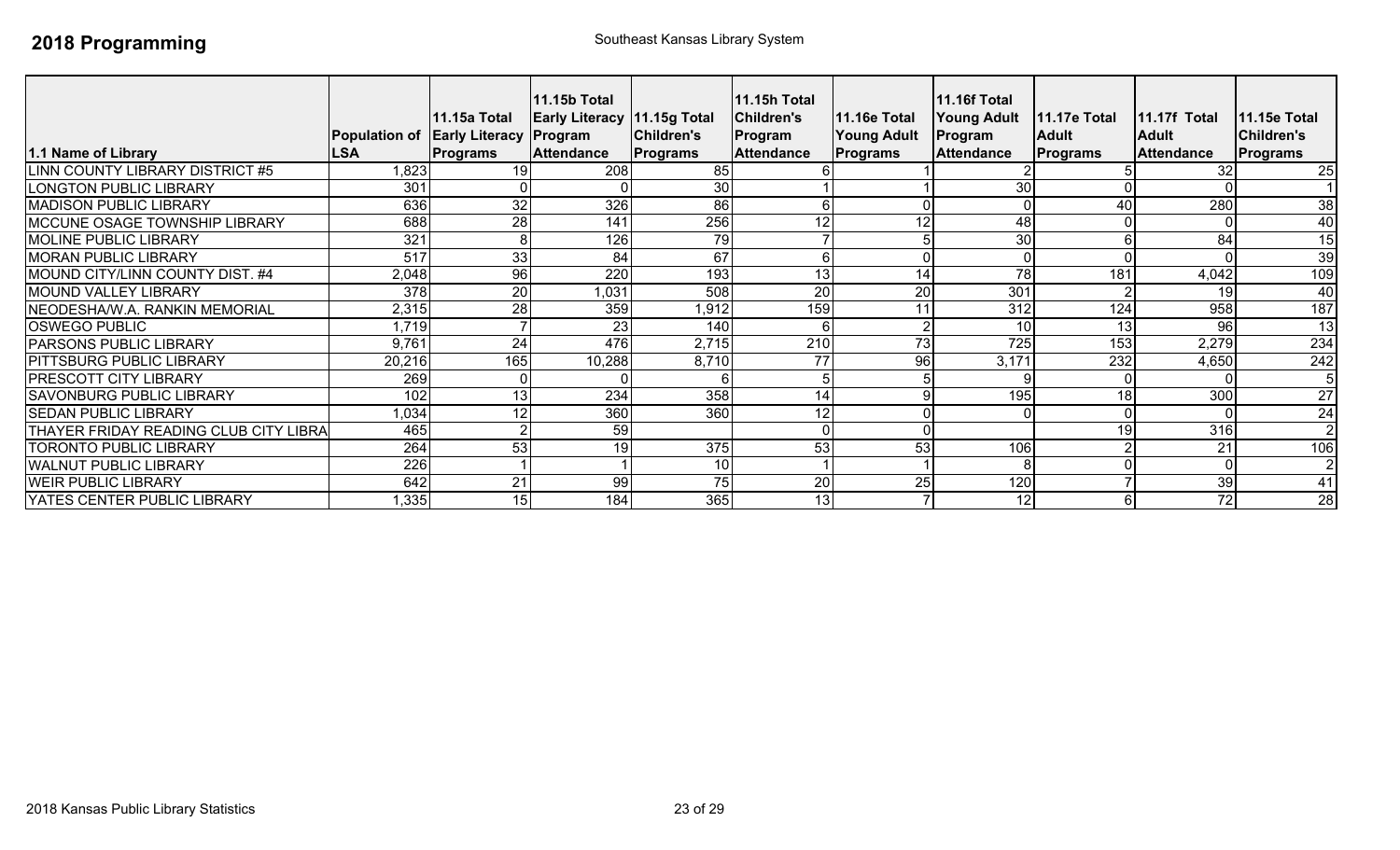| 1.1 Name of Library                   | <b>Population of Early Literacy</b><br><b>LSA</b> | 11.15a Total<br><b>Programs</b> | 11.15b Total<br><b>Early Literacy 11.15g Total</b><br>Program<br><b>Attendance</b> | Children's<br>Programs | 11.15h Total<br><b>Children's</b><br>Program<br><b>Attendance</b> | <b>11.16e Total</b><br><b>Young Adult</b><br><b>Programs</b> | <b>11.16f Total</b><br><b>Young Adult</b><br>Program<br><b>Attendance</b> | <b>11.17e Total</b><br><b>Adult</b><br>Programs | 11.17f Total<br><b>Adult</b><br><b>Attendance</b> | <b>11.15e Total</b><br><b>Children's</b><br>Programs |
|---------------------------------------|---------------------------------------------------|---------------------------------|------------------------------------------------------------------------------------|------------------------|-------------------------------------------------------------------|--------------------------------------------------------------|---------------------------------------------------------------------------|-------------------------------------------------|---------------------------------------------------|------------------------------------------------------|
| LINN COUNTY LIBRARY DISTRICT #5       | ,823                                              | 19                              | 208                                                                                | 85                     |                                                                   |                                                              |                                                                           |                                                 | 32                                                | 25                                                   |
| <b>LONGTON PUBLIC LIBRARY</b>         | 301                                               |                                 |                                                                                    | 30                     |                                                                   |                                                              | 30                                                                        |                                                 |                                                   |                                                      |
| <b>MADISON PUBLIC LIBRARY</b>         | 636                                               | 32                              | 326                                                                                | 86                     |                                                                   |                                                              |                                                                           | 40                                              | 280                                               | $\overline{38}$                                      |
| MCCUNE OSAGE TOWNSHIP LIBRARY         | 688                                               | 28                              | 141                                                                                | 256                    | 12                                                                | 12                                                           | 48                                                                        |                                                 |                                                   | 40                                                   |
| <b>MOLINE PUBLIC LIBRARY</b>          | 321                                               | 8                               | 126                                                                                | 79                     |                                                                   |                                                              | 30                                                                        |                                                 | 84                                                | 15                                                   |
| <b>MORAN PUBLIC LIBRARY</b>           | 517                                               | 33                              | 84                                                                                 | 67                     |                                                                   |                                                              |                                                                           |                                                 |                                                   | 39                                                   |
| MOUND CITY/LINN COUNTY DIST. #4       | 2,048                                             | 96                              | 220                                                                                | 193                    | 13                                                                | 14                                                           | 78                                                                        | 181                                             | 4,042                                             | 109                                                  |
| MOUND VALLEY LIBRARY                  | 378                                               | 20                              | 1,031                                                                              | 508                    | 20                                                                | 20                                                           | 301                                                                       |                                                 | 19                                                | 40                                                   |
| NEODESHA/W.A. RANKIN MEMORIAL         | 2,315                                             | 28                              | 359                                                                                | 1,912                  | 159                                                               | 11                                                           | 312                                                                       | 124                                             | 958                                               | 187                                                  |
| <b>OSWEGO PUBLIC</b>                  | 1,719                                             |                                 | 23                                                                                 | 140                    |                                                                   |                                                              | 10                                                                        | 13                                              | 96                                                | 13                                                   |
| <b>PARSONS PUBLIC LIBRARY</b>         | 9,761                                             | 24                              | 476                                                                                | 2,715                  | 210                                                               | 73                                                           | 725                                                                       | 153                                             | 2,279                                             | 234                                                  |
| <b>PITTSBURG PUBLIC LIBRARY</b>       | 20,216                                            | 165                             | 10,288                                                                             | 8,710                  | 77                                                                | 96                                                           | 3,171                                                                     | 232                                             | 4,650                                             | 242                                                  |
| <b>PRESCOTT CITY LIBRARY</b>          | 269                                               | $\Omega$                        |                                                                                    |                        |                                                                   |                                                              |                                                                           |                                                 |                                                   | 5                                                    |
| <b>SAVONBURG PUBLIC LIBRARY</b>       | 102                                               | 13                              | 234                                                                                | 358                    | 14                                                                |                                                              | 195                                                                       | 18                                              | 300                                               | $\overline{27}$                                      |
| <b>SEDAN PUBLIC LIBRARY</b>           | .034                                              | 12                              | 360                                                                                | 360                    | 12                                                                |                                                              |                                                                           |                                                 |                                                   | $\overline{24}$                                      |
| THAYER FRIDAY READING CLUB CITY LIBRA | 465                                               | $\overline{2}$                  | 59                                                                                 |                        |                                                                   |                                                              |                                                                           | 19                                              | 316                                               | $\overline{2}$                                       |
| <b>TORONTO PUBLIC LIBRARY</b>         | 264                                               | 53                              | 19                                                                                 | 375                    | 53                                                                | 53                                                           | 106                                                                       |                                                 | 21                                                | 106                                                  |
| <b>WALNUT PUBLIC LIBRARY</b>          | 226                                               |                                 |                                                                                    | 10                     |                                                                   |                                                              | 8                                                                         |                                                 |                                                   | $\overline{2}$                                       |
| <b>WEIR PUBLIC LIBRARY</b>            | 642                                               | 21                              | 99                                                                                 | 75                     | 20                                                                | $\overline{25}$                                              | 120                                                                       |                                                 | 39                                                | $\overline{41}$                                      |
| YATES CENTER PUBLIC LIBRARY           | .335                                              | 15                              | 184                                                                                | 365                    | 13                                                                |                                                              | 12                                                                        |                                                 | 72                                                | 28                                                   |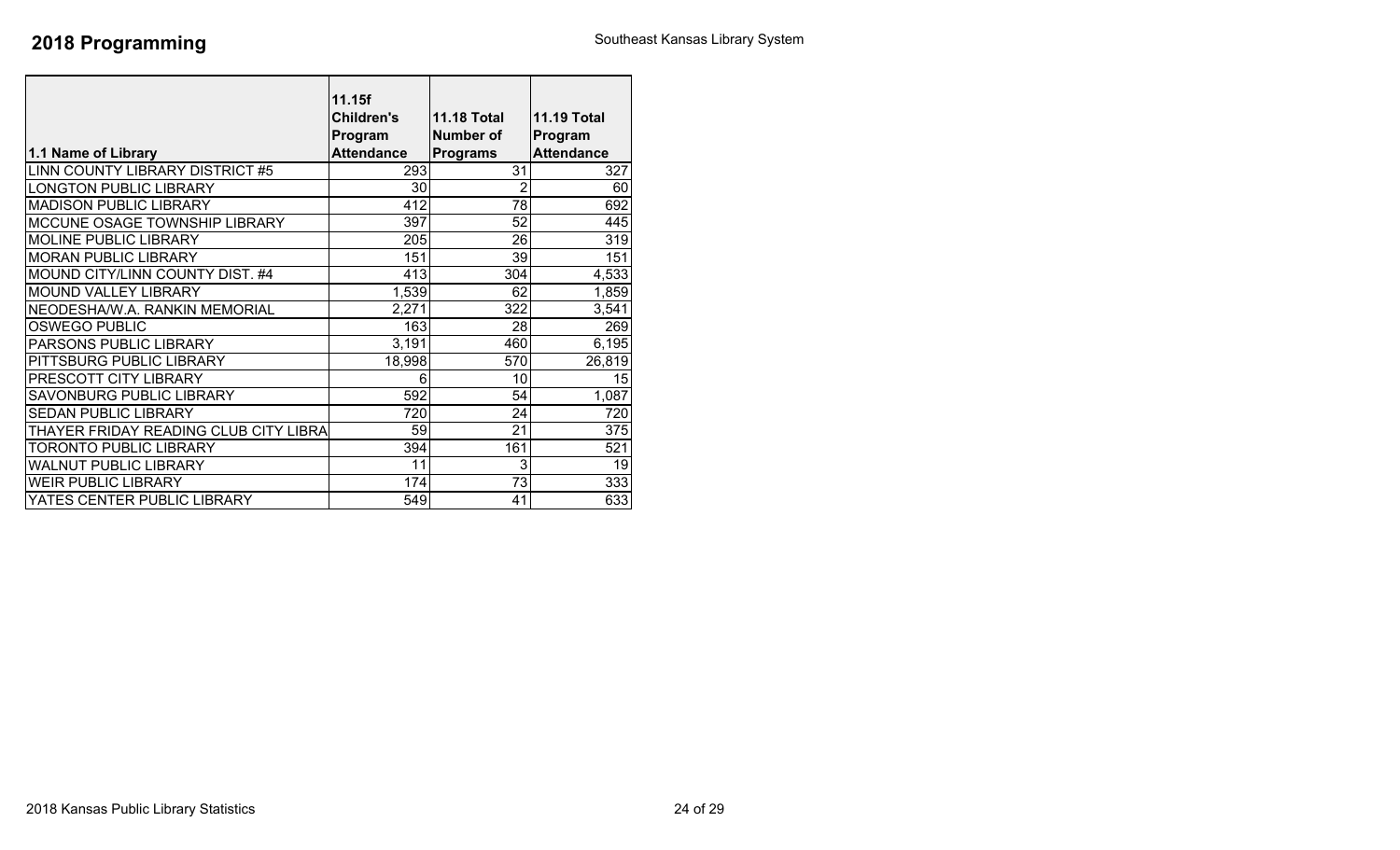| 1.1 Name of Library                   | 11.15f<br><b>Children's</b><br>Program<br><b>Attendance</b> | <b>11.18 Total</b><br><b>Number of</b><br><b>Programs</b> | <b>11.19 Total</b><br>Program<br><b>Attendance</b> |
|---------------------------------------|-------------------------------------------------------------|-----------------------------------------------------------|----------------------------------------------------|
| LINN COUNTY LIBRARY DISTRICT #5       | 293                                                         | 31                                                        | 327                                                |
| <b>LONGTON PUBLIC LIBRARY</b>         | 30                                                          | 2                                                         | 60                                                 |
| <b>MADISON PUBLIC LIBRARY</b>         | 412                                                         | 78                                                        | 692                                                |
| MCCUNE OSAGE TOWNSHIP LIBRARY         | 397                                                         | 52                                                        | 445                                                |
| <b>MOLINE PUBLIC LIBRARY</b>          | $\overline{205}$                                            | 26                                                        | 319                                                |
| <b>MORAN PUBLIC LIBRARY</b>           | 151                                                         | 39                                                        | 151                                                |
| MOUND CITY/LINN COUNTY DIST. #4       | 413                                                         | 304                                                       | 4,533                                              |
| <b>MOUND VALLEY LIBRARY</b>           | 1,539                                                       | 62                                                        | 1,859                                              |
| NEODESHA/W.A. RANKIN MEMORIAL         | 2,271                                                       | 322                                                       | 3,541                                              |
| <b>OSWEGO PUBLIC</b>                  | 163                                                         | 28                                                        | 269                                                |
| PARSONS PUBLIC LIBRARY                | 3,191                                                       | 460                                                       | 6,195                                              |
| PITTSBURG PUBLIC LIBRARY              | 18,998                                                      | 570                                                       | 26,819                                             |
| PRESCOTT CITY LIBRARY                 | 6                                                           | 10                                                        | 15                                                 |
| SAVONBURG PUBLIC LIBRARY              | 592                                                         | 54                                                        | 1,087                                              |
| <b>SEDAN PUBLIC LIBRARY</b>           | 720                                                         | 24                                                        | 720                                                |
| THAYER FRIDAY READING CLUB CITY LIBRA | 59                                                          | 21                                                        | 375                                                |
| <b>TORONTO PUBLIC LIBRARY</b>         | 394                                                         | 161                                                       | 521                                                |
| <b>WALNUT PUBLIC LIBRARY</b>          | 11                                                          | 3                                                         | 19                                                 |
| <b>WEIR PUBLIC LIBRARY</b>            | 174                                                         | 73                                                        | 333                                                |
| YATES CENTER PUBLIC LIBRARY           | 549                                                         | 41                                                        | 633                                                |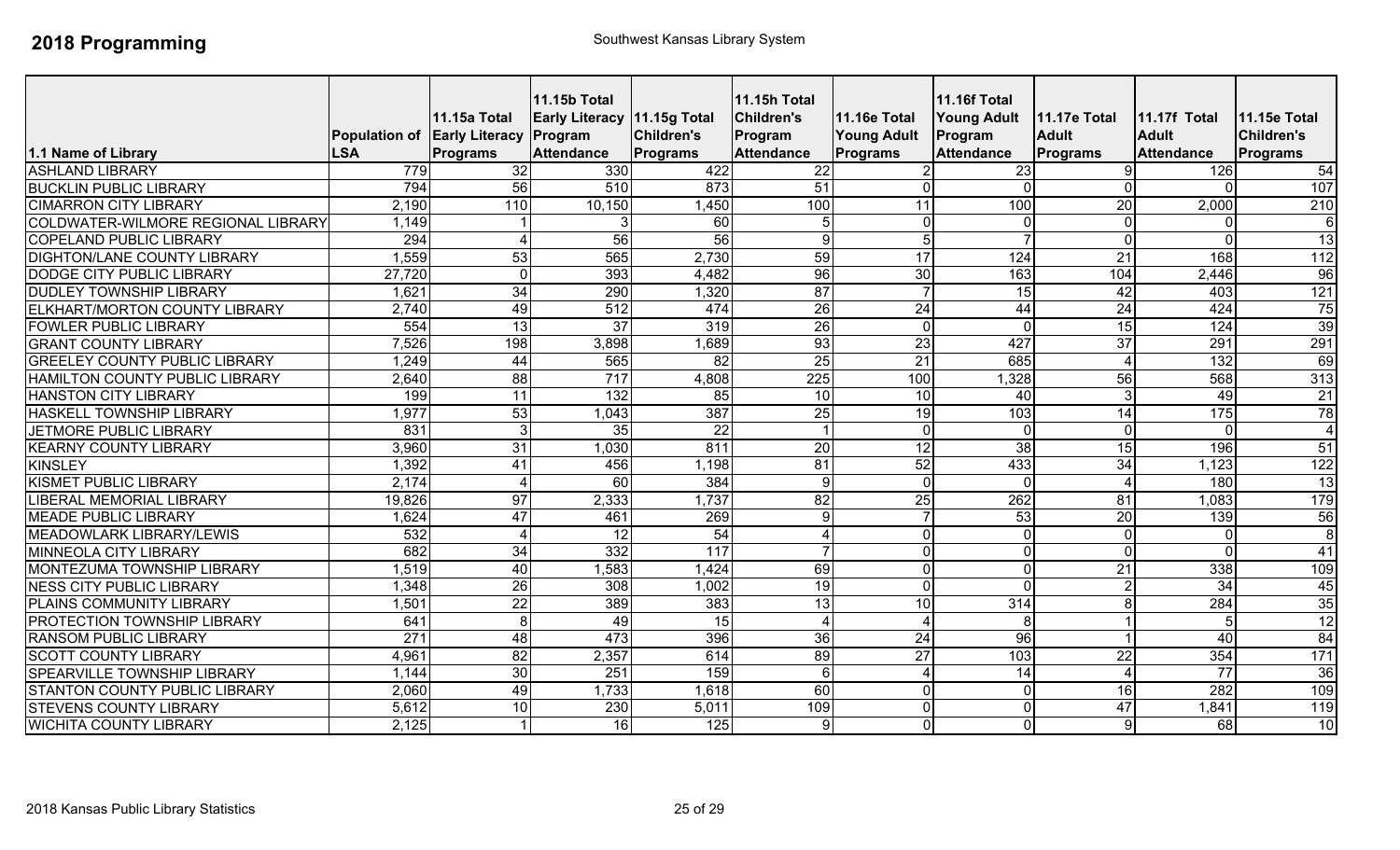|                                       | Population of Early Literacy Program | <b>11.15a Total</b> | <b>11.15b Total</b><br><b>Early Literacy 11.15g Total</b> | Children's       | <b>11.15h Total</b><br><b>Children's</b><br>Program | <b>11.16e Total</b><br><b>Young Adult</b> | 11.16f Total<br><b>Young Adult</b><br>Program | <b>11.17e Total</b><br><b>Adult</b> | <b>11.17f Total</b><br><b>Adult</b> | 11.15e Total<br><b>Children's</b> |
|---------------------------------------|--------------------------------------|---------------------|-----------------------------------------------------------|------------------|-----------------------------------------------------|-------------------------------------------|-----------------------------------------------|-------------------------------------|-------------------------------------|-----------------------------------|
| 1.1 Name of Library                   | <b>LSA</b>                           | <b>Programs</b>     | <b>Attendance</b>                                         | Programs         | <b>Attendance</b>                                   | <b>Programs</b>                           | <b>Attendance</b>                             | Programs                            | <b>Attendance</b>                   | <b>Programs</b>                   |
| <b>ASHLAND LIBRARY</b>                | 779                                  | 32                  | 330                                                       | 422              | $\overline{22}$                                     |                                           | 23                                            |                                     | 126                                 | 54                                |
| <b>BUCKLIN PUBLIC LIBRARY</b>         | 794                                  | 56                  | 510                                                       | 873              | $\overline{51}$                                     | $\Omega$                                  | $\overline{0}$                                | 0                                   | $\Omega$                            | 107                               |
| <b>CIMARRON CITY LIBRARY</b>          | 2,190                                | 110                 | 10,150                                                    | ,450             | 100                                                 | 11                                        | 100                                           | 20                                  | 2,000                               | 210                               |
| COLDWATER-WILMORE REGIONAL LIBRARY    | 1,149                                |                     | 3                                                         | 60               | 5                                                   | $\Omega$                                  | $\overline{0}$                                | $\Omega$                            | $\Omega$                            | 6 <sup>1</sup>                    |
| <b>COPELAND PUBLIC LIBRARY</b>        | 294                                  | $\overline{4}$      | 56                                                        | 56               | 9                                                   | 5                                         |                                               | $\Omega$                            | $\Omega$                            | 13                                |
| <b>DIGHTON/LANE COUNTY LIBRARY</b>    | 1,559                                | 53                  | 565                                                       | 2,730            | 59                                                  | 17                                        | 124                                           | 21                                  | 168                                 | 112                               |
| <b>DODGE CITY PUBLIC LIBRARY</b>      | 27,720                               | $\overline{0}$      | 393                                                       | 4,482            | 96                                                  | 30                                        | 163                                           | 104                                 | 2,446                               | 96                                |
| <b>DUDLEY TOWNSHIP LIBRARY</b>        | 1,621                                | 34                  | 290                                                       | 1,320            | 87                                                  |                                           | 15                                            | 42                                  | 403                                 | 121                               |
| ELKHART/MORTON COUNTY LIBRARY         | 2,740                                | 49                  | $\overline{512}$                                          | 474              | $\overline{26}$                                     | $\overline{24}$                           | 44                                            | $\overline{24}$                     | 424                                 | 75                                |
| <b>FOWLER PUBLIC LIBRARY</b>          | 554                                  | 13                  | $\overline{37}$                                           | 319              | 26                                                  | $\overline{0}$                            | $\Omega$                                      | 15                                  | 124                                 | 39                                |
| <b>GRANT COUNTY LIBRARY</b>           | 7,526                                | 198                 | 3,898                                                     | 1,689            | 93                                                  | 23                                        | 427                                           | $\overline{37}$                     | 291                                 | 291                               |
| <b>GREELEY COUNTY PUBLIC LIBRARY</b>  | 1,249                                | 44                  | 565                                                       | $\overline{82}$  | 25                                                  | 21                                        | 685                                           | $\boldsymbol{\varLambda}$           | 132                                 | 69                                |
| <b>HAMILTON COUNTY PUBLIC LIBRARY</b> | 2,640                                | $\overline{88}$     | 717                                                       | 4,808            | 225                                                 | 100                                       | 1,328                                         | 56                                  | 568                                 | $\overline{313}$                  |
| <b>HANSTON CITY LIBRARY</b>           | 199                                  | $\overline{11}$     | $\overline{132}$                                          | 85               | $\overline{10}$                                     | 10                                        | 40                                            | 3                                   | 49                                  | 21                                |
| HASKELL TOWNSHIP LIBRARY              | 1,977                                | 53                  | 1,043                                                     | 387              | 25                                                  | 19                                        | 103                                           | 14                                  | 175                                 | 78                                |
| <b>JETMORE PUBLIC LIBRARY</b>         | 831                                  | $\overline{3}$      | 35                                                        | $\overline{22}$  |                                                     | $\overline{0}$                            | $\overline{0}$                                | $\Omega$                            | $\overline{0}$                      | $\overline{4}$                    |
| <b>KEARNY COUNTY LIBRARY</b>          | 3,960                                | 31                  | 1,030                                                     | 811              | $\overline{20}$                                     | $\overline{12}$                           | 38                                            | 15                                  | 196                                 | 51                                |
| <b>KINSLEY</b>                        | 1,392                                | 41                  | 456                                                       | 1,198            | 81                                                  | 52                                        | 433                                           | 34                                  | 1,123                               | 122                               |
| <b>KISMET PUBLIC LIBRARY</b>          | 2,174                                | $\overline{4}$      | $\overline{60}$                                           | 384              | 9                                                   | $\overline{0}$                            | $\Omega$                                      | $\Lambda$                           | 180                                 | 13                                |
| LIBERAL MEMORIAL LIBRARY              | 19,826                               | 97                  | 2,333                                                     | 1,737            | 82                                                  | $\overline{25}$                           | 262                                           | 81                                  | 1,083                               | 179                               |
| <b>MEADE PUBLIC LIBRARY</b>           | 1,624                                | 47                  | 461                                                       | 269              | 9                                                   |                                           | 53                                            | $\overline{20}$                     | 139                                 | 56                                |
| <b>MEADOWLARK LIBRARY/LEWIS</b>       | 532                                  | $\overline{4}$      | $\overline{12}$                                           | 54               | $\overline{\mathcal{A}}$                            | $\overline{0}$                            | $\overline{0}$                                | $\Omega$                            | $\overline{0}$                      | $\infty$                          |
| <b>MINNEOLA CITY LIBRARY</b>          | 682                                  | 34                  | 332                                                       | 117              | $\overline{7}$                                      | $\overline{0}$                            | $\mathbf 0$                                   | 0                                   | $\Omega$                            | 41                                |
| MONTEZUMA TOWNSHIP LIBRARY            | 1,519                                | 40                  | 1,583                                                     | 1,424            | 69                                                  | $\overline{0}$                            | $\mathbf 0$                                   | 21                                  | 338                                 | 109                               |
| <b>NESS CITY PUBLIC LIBRARY</b>       | 1,348                                | 26                  | 308                                                       | 1,002            | 19                                                  | $\Omega$                                  | $\Omega$                                      |                                     | 34                                  | 45                                |
| PLAINS COMMUNITY LIBRARY              | 1,501                                | $\overline{22}$     | 389                                                       | 383              | 13                                                  | 10                                        | 314                                           |                                     | 284                                 | 35                                |
| PROTECTION TOWNSHIP LIBRARY           | 641                                  | 8 <sup>1</sup>      | 49                                                        | 15               | $\boldsymbol{\Delta}$                               |                                           | 8                                             |                                     | 5                                   | 12                                |
| <b>RANSOM PUBLIC LIBRARY</b>          | 271                                  | 48                  | 473                                                       | 396              | 36                                                  | 24                                        | $\overline{96}$                               |                                     | $\overline{40}$                     | 84                                |
| <b>SCOTT COUNTY LIBRARY</b>           | 4,961                                | 82                  | 2,357                                                     | 614              | 89                                                  | $\overline{27}$                           | 103                                           | 22                                  | 354                                 | 171                               |
| SPEARVILLE TOWNSHIP LIBRARY           | 1,144                                | 30                  | 251                                                       | 159              | 6                                                   | $\Delta$                                  | $\overline{14}$                               |                                     | $\overline{77}$                     | 36                                |
| <b>STANTON COUNTY PUBLIC LIBRARY</b>  | 2,060                                | 49                  | 1,733                                                     | 1,618            | 60                                                  | $\Omega$                                  | $\mathbf 0$                                   | 16                                  | 282                                 | 109                               |
| <b>STEVENS COUNTY LIBRARY</b>         | 5,612                                | 10                  | 230                                                       | 5,011            | 109                                                 | $\Omega$                                  | $\mathbf 0$                                   | 47                                  | 1,841                               | 119                               |
| <b>WICHITA COUNTY LIBRARY</b>         | 2,125                                |                     | 16                                                        | $\overline{125}$ | 9                                                   | $\overline{0}$                            | $\overline{0}$                                | 9                                   | 68                                  | 10                                |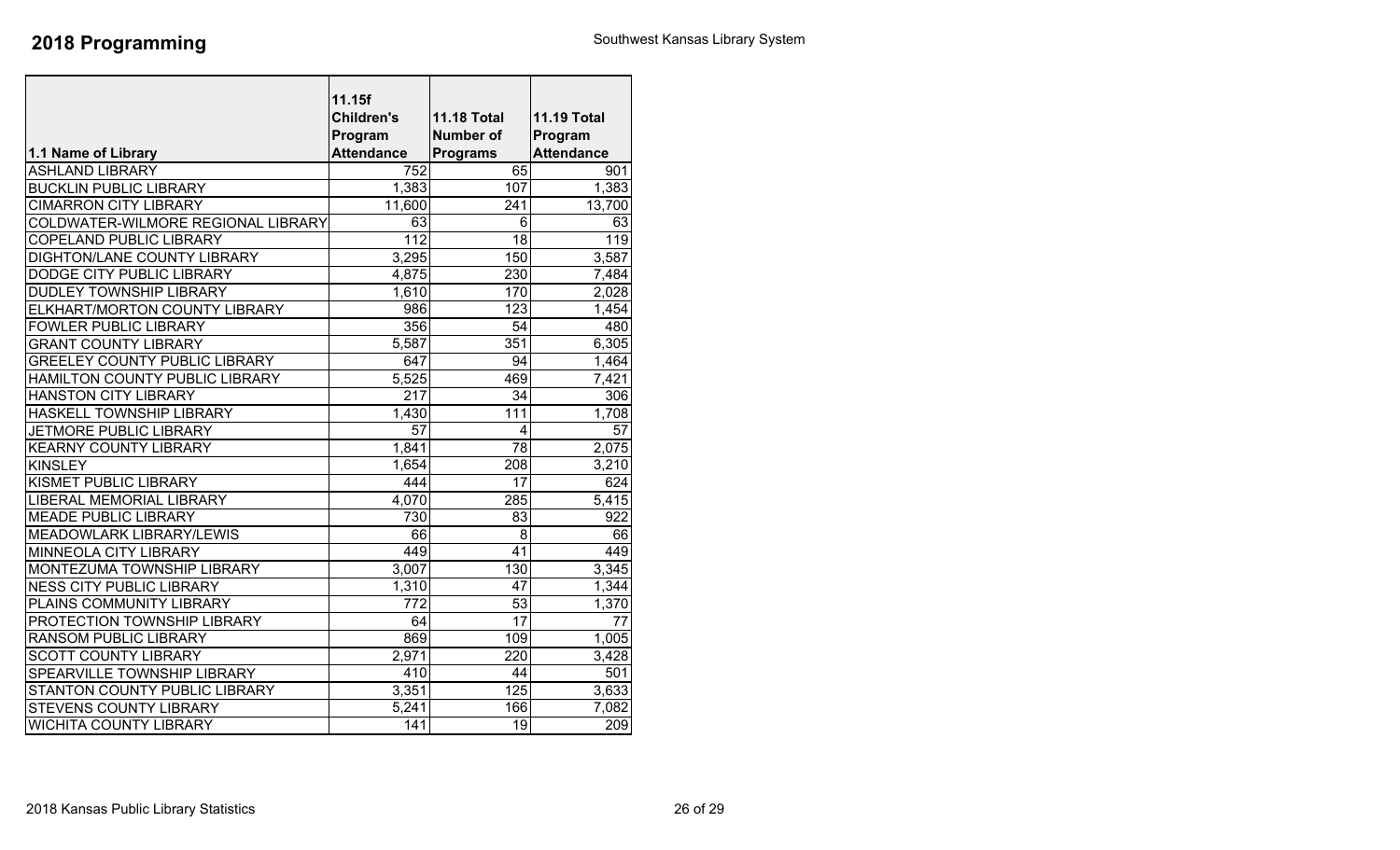|                                      | 11.15f<br><b>Children's</b><br>Program | <b>11.18 Total</b><br><b>Number of</b> | <b>11.19 Total</b><br>Program |
|--------------------------------------|----------------------------------------|----------------------------------------|-------------------------------|
| 1.1 Name of Library                  | <b>Attendance</b>                      | <b>Programs</b>                        | <b>Attendance</b>             |
| <b>ASHLAND LIBRARY</b>               | 752                                    | 65                                     | 901                           |
| <b>BUCKLIN PUBLIC LIBRARY</b>        | 1,383                                  | 107                                    | 1,383                         |
| <b>CIMARRON CITY LIBRARY</b>         | 11,600                                 | 241                                    | 13,700                        |
| COLDWATER-WILMORE REGIONAL LIBRARY   | 63                                     | $\overline{6}$                         | 63                            |
| COPELAND PUBLIC LIBRARY              | $\overline{112}$                       | 18                                     | 119                           |
| <b>DIGHTON/LANE COUNTY LIBRARY</b>   | 3,295                                  | 150                                    | 3,587                         |
| <b>DODGE CITY PUBLIC LIBRARY</b>     | 4,875                                  | 230                                    | 7,484                         |
| <b>DUDLEY TOWNSHIP LIBRARY</b>       | 1,610                                  | 170                                    | 2,028                         |
| ELKHART/MORTON COUNTY LIBRARY        | 986                                    | 123                                    | 1,454                         |
| <b>FOWLER PUBLIC LIBRARY</b>         | 356                                    | 54                                     | 480                           |
| <b>GRANT COUNTY LIBRARY</b>          | 5,587                                  | 351                                    | 6,305                         |
| <b>GREELEY COUNTY PUBLIC LIBRARY</b> | 647                                    | 94                                     | 1,464                         |
| HAMILTON COUNTY PUBLIC LIBRARY       | 5,525                                  | 469                                    | 7,421                         |
| <b>HANSTON CITY LIBRARY</b>          | 217                                    | 34                                     | 306                           |
| HASKELL TOWNSHIP LIBRARY             | 1,430                                  | 111                                    | 1,708                         |
| <b>JETMORE PUBLIC LIBRARY</b>        | $\overline{57}$                        | 4                                      | $\overline{57}$               |
| <b>KEARNY COUNTY LIBRARY</b>         | 1,841                                  | $\overline{78}$                        | 2,075                         |
| <b>KINSLEY</b>                       | 1,654                                  | 208                                    | 3,210                         |
| KISMET PUBLIC LIBRARY                | 444                                    | 17                                     | 624                           |
| <b>LIBERAL MEMORIAL LIBRARY</b>      | 4,070                                  | 285                                    | 5,415                         |
| <b>MEADE PUBLIC LIBRARY</b>          | 730                                    | 83                                     | 922                           |
| <b>MEADOWLARK LIBRARY/LEWIS</b>      | 66                                     | $\overline{8}$                         | 66                            |
| <b>MINNEOLA CITY LIBRARY</b>         | 449                                    | 41                                     | 449                           |
| MONTEZUMA TOWNSHIP LIBRARY           | 3,007                                  | 130                                    | 3,345                         |
| <b>NESS CITY PUBLIC LIBRARY</b>      | 1,310                                  | 47                                     | 1,344                         |
| PLAINS COMMUNITY LIBRARY             | $\overline{772}$                       | $\overline{53}$                        | 1,370                         |
| PROTECTION TOWNSHIP LIBRARY          | 64                                     | 17                                     | 77                            |
| <b>RANSOM PUBLIC LIBRARY</b>         | 869                                    | 109                                    | 1,005                         |
| <b>SCOTT COUNTY LIBRARY</b>          | $\overline{2,}971$                     | 220                                    | 3,428                         |
| SPEARVILLE TOWNSHIP LIBRARY          | 410                                    | 44                                     | 501                           |
| <b>STANTON COUNTY PUBLIC LIBRARY</b> | 3,351                                  | $\overline{125}$                       | 3,633                         |
| <b>STEVENS COUNTY LIBRARY</b>        | 5,241                                  | 166                                    | 7,082                         |
| <b>WICHITA COUNTY LIBRARY</b>        | 141                                    | $\overline{19}$                        | 209                           |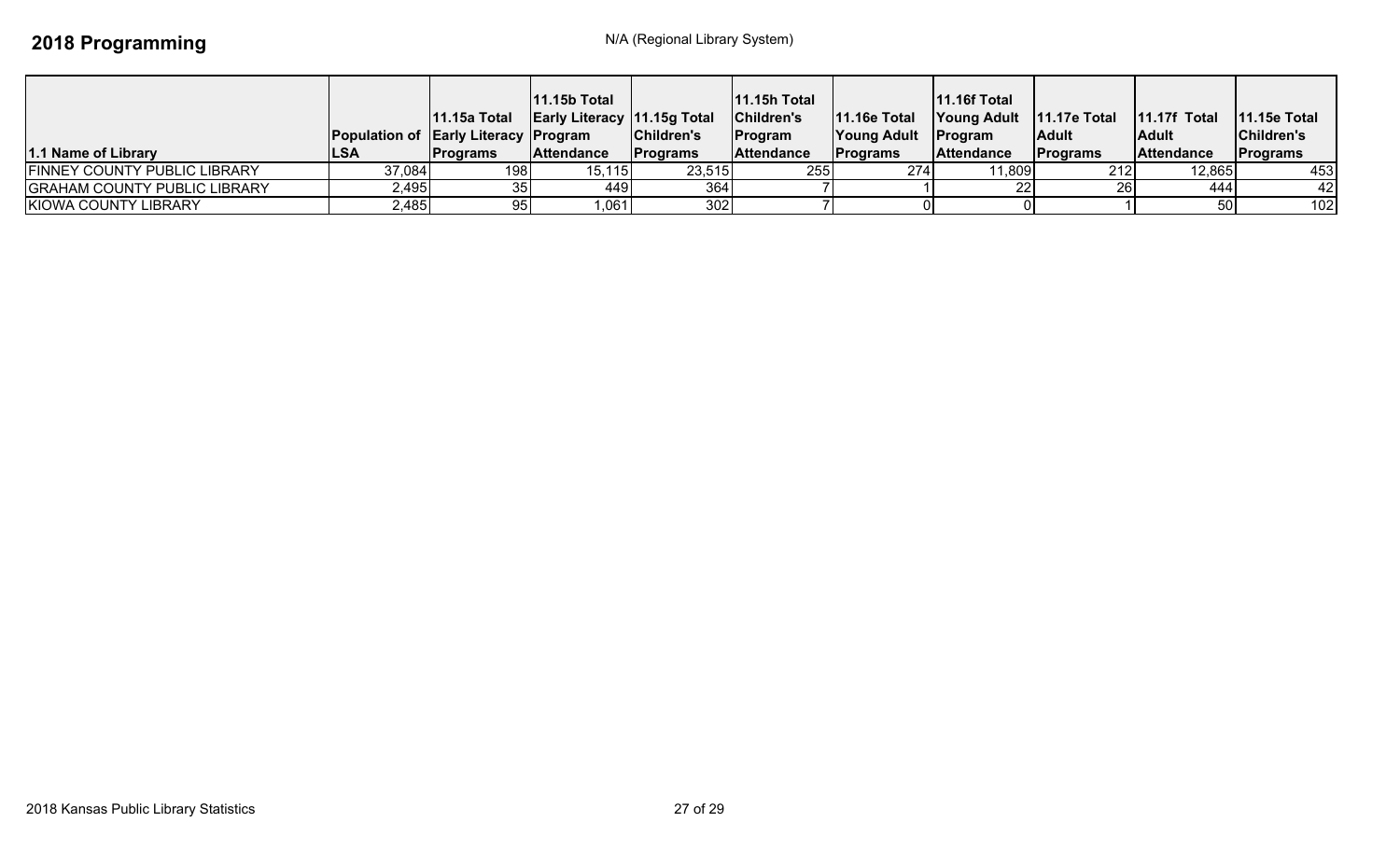| 1.1 Name of Library                 | <b>Population of Early Literacy Program</b><br><b>ILSA</b> | 11.15a Total<br><b>IPrograms</b> | <b>11.15b Total</b><br><b>Early Literacy 11.15g Total</b><br>Attendance | Children's<br><b>IPrograms</b> | $ 11.15h$ Total<br>Children's<br>Program<br><b>Attendance</b> | <b>11.16e Total</b><br><b>Young Adult</b><br><b>IPrograms</b> | <b>11.16f Total</b><br>Young Adult   11.17e Total<br><b>Program</b><br><b>Attendance</b> | l Adult<br><b>IPrograms</b> | $11.17f$ Total<br>lAdult<br><b>Attendance</b> | $11.15e$ Total<br>Children's<br><b>Programs</b> |
|-------------------------------------|------------------------------------------------------------|----------------------------------|-------------------------------------------------------------------------|--------------------------------|---------------------------------------------------------------|---------------------------------------------------------------|------------------------------------------------------------------------------------------|-----------------------------|-----------------------------------------------|-------------------------------------------------|
| <b>FINNEY COUNTY PUBLIC LIBRARY</b> | 37,084                                                     | 1981                             | 15,115                                                                  | 23,515                         | 255                                                           | 274                                                           | 11,809                                                                                   | 212                         | 12,865                                        | 453                                             |
| <b>GRAHAM COUNTY PUBLIC LIBRARY</b> | 2,495                                                      |                                  | 449                                                                     | 364                            |                                                               |                                                               |                                                                                          |                             | 444                                           | 42                                              |
| KIOWA COUNTY LIBRARY                | 2,485                                                      | 95                               | 1,061                                                                   | 302                            |                                                               |                                                               |                                                                                          |                             |                                               | 102                                             |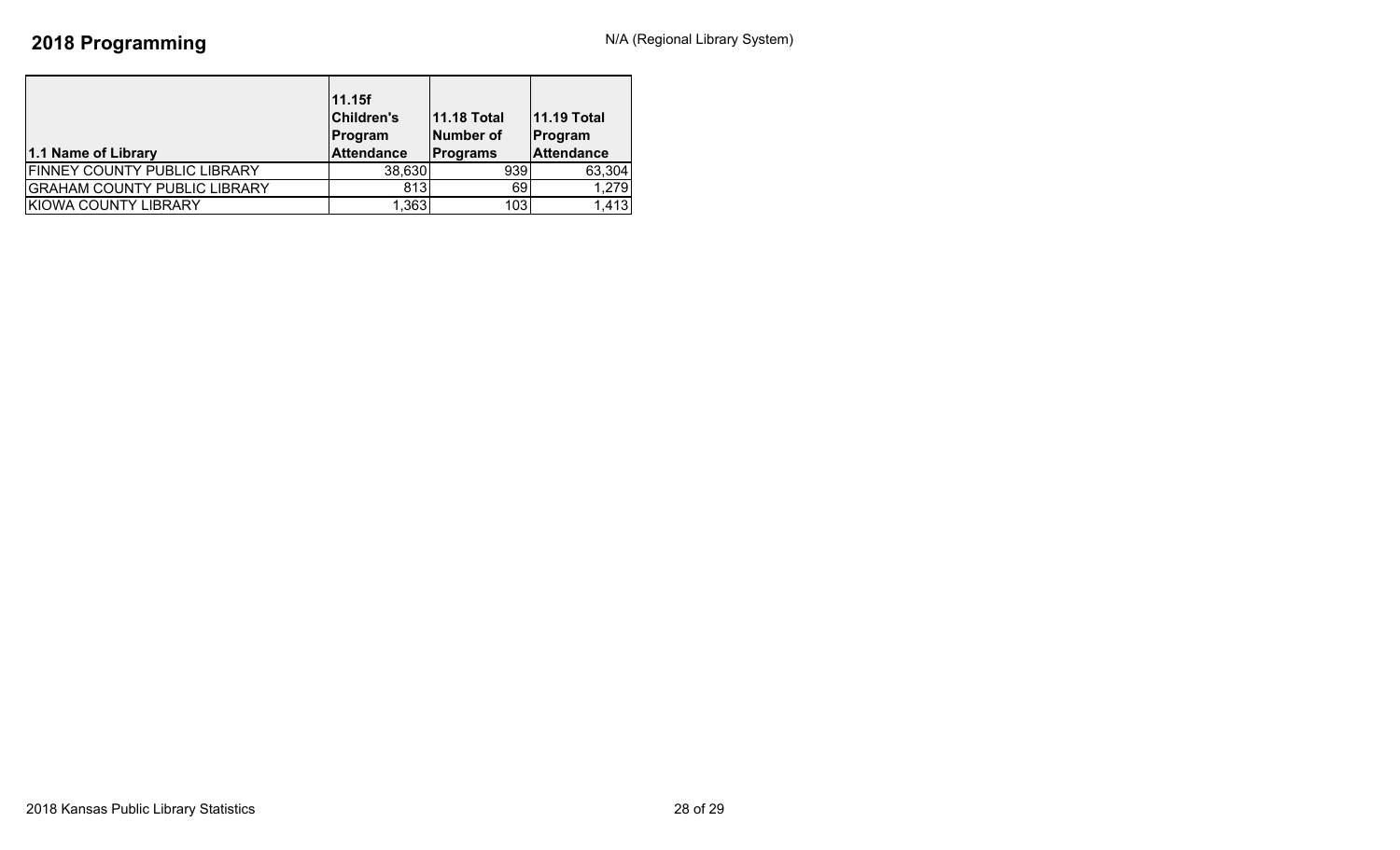| 1.1 Name of Library                 | 11.15f<br><b>Children's</b><br>Program<br><b>Attendance</b> | <b>11.18 Total</b><br><b>Number of</b><br><b>Programs</b> | <b>11.19 Total</b><br>Program<br><b>Attendance</b> |
|-------------------------------------|-------------------------------------------------------------|-----------------------------------------------------------|----------------------------------------------------|
| <b>FINNEY COUNTY PUBLIC LIBRARY</b> | 38,630                                                      | 939                                                       | 63,304                                             |
| <b>GRAHAM COUNTY PUBLIC LIBRARY</b> | 813                                                         | 69                                                        | 1,279                                              |
| KIOWA COUNTY LIBRARY                | 1,363                                                       | 103                                                       | 1,413                                              |